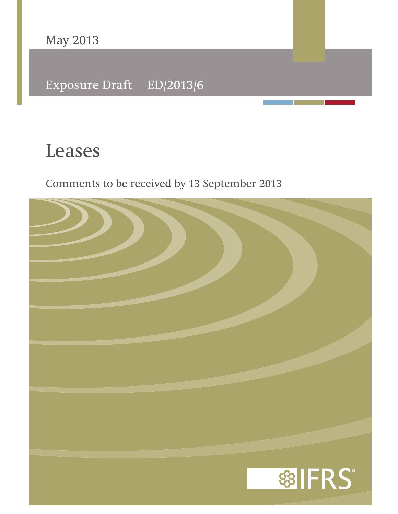

Exposure Draft ED/2013/6

# **Leases**

Comments to be received by 13 September 2013

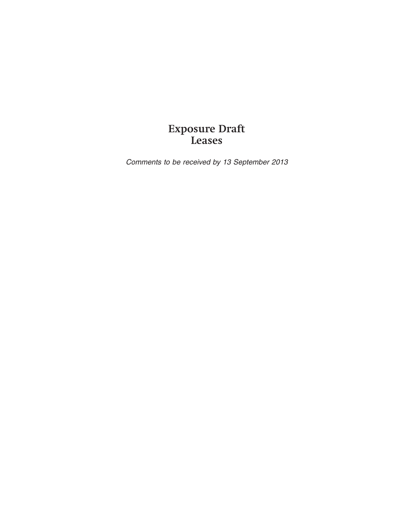## **Exposure Draft Leases**

Comments to be received by 13 September 2013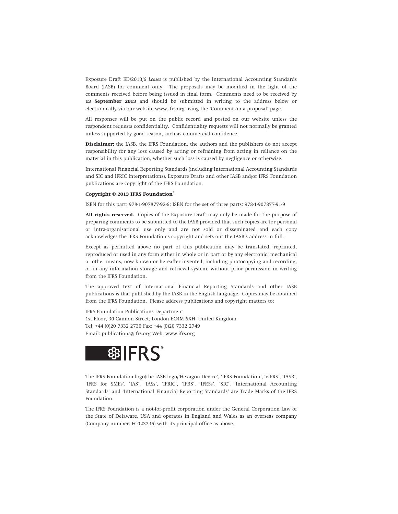Exposure Draft ED/2013/6 *Leases* is published by the International Accounting Standards Board (IASB) for comment only. The proposals may be modified in the light of the comments received before being issued in final form. Comments need to be received by **13 September 2013** and should be submitted in writing to the address below or electronically via our website www.ifrs.org using the 'Comment on a proposal' page.

All responses will be put on the public record and posted on our website unless the respondent requests confidentiality. Confidentiality requests will not normally be granted unless supported by good reason, such as commercial confidence.

**Disclaimer:** the IASB, the IFRS Foundation, the authors and the publishers do not accept responsibility for any loss caused by acting or refraining from acting in reliance on the material in this publication, whether such loss is caused by negligence or otherwise.

International Financial Reporting Standards (including International Accounting Standards and SIC and IFRIC Interpretations), Exposure Drafts and other IASB and/or IFRS Foundation publications are copyright of the IFRS Foundation.

#### **Copyright © 2013 IFRS Foundation®**

ISBN for this part: 978-1-907877-92-6; ISBN for the set of three parts: 978-1-907877-91-9

**All rights reserved.** Copies of the Exposure Draft may only be made for the purpose of preparing comments to be submitted to the IASB provided that such copies are for personal or intra-organisational use only and are not sold or disseminated and each copy acknowledges the IFRS Foundation's copyright and sets out the IASB's address in full.

Except as permitted above no part of this publication may be translated, reprinted, reproduced or used in any form either in whole or in part or by any electronic, mechanical or other means, now known or hereafter invented, including photocopying and recording, or in any information storage and retrieval system, without prior permission in writing from the IFRS Foundation.

The approved text of International Financial Reporting Standards and other IASB publications is that published by the IASB in the English language. Copies may be obtained from the IFRS Foundation. Please address publications and copyright matters to:

IFRS Foundation Publications Department 1st Floor, 30 Cannon Street, London EC4M 6XH, United Kingdom Tel: +44 (0)20 7332 2730 Fax: +44 (0)20 7332 2749 Email: publications@ifrs.org Web: www.ifrs.org



The IFRS Foundation logo/the IASB logo/'Hexagon Device', 'IFRS Foundation', 'eIFRS', 'IASB', 'IFRS for SMEs', 'IAS', 'IASs', 'IFRIC', 'IFRS', 'IFRSs', 'SIC', 'International Accounting Standards' and 'International Financial Reporting Standards' are Trade Marks of the IFRS Foundation.

The IFRS Foundation is a not-for-profit corporation under the General Corporation Law of the State of Delaware, USA and operates in England and Wales as an overseas company (Company number: FC023235) with its principal office as above.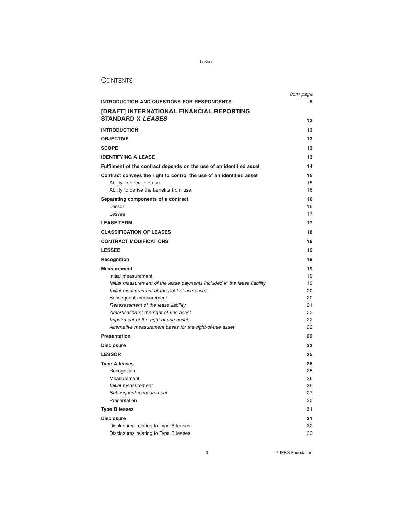## **CONTENTS**

|                                                                           | from page |
|---------------------------------------------------------------------------|-----------|
| INTRODUCTION AND QUESTIONS FOR RESPONDENTS                                | 5         |
| [DRAFT] INTERNATIONAL FINANCIAL REPORTING<br><b>STANDARD X LEASES</b>     | 13        |
| <b>INTRODUCTION</b>                                                       | 13        |
| <b>OBJECTIVE</b>                                                          | 13        |
| <b>SCOPE</b>                                                              | 13        |
| <b>IDENTIFYING A LEASE</b>                                                | 13        |
|                                                                           |           |
| Fulfilment of the contract depends on the use of an identified asset      | 14        |
| Contract conveys the right to control the use of an identified asset      | 15<br>15  |
| Ability to direct the use<br>Ability to derive the benefits from use      | 16        |
| Separating components of a contract                                       | 16        |
| Lessor                                                                    | 16        |
| Lessee                                                                    | 17        |
| <b>LEASE TERM</b>                                                         | 17        |
| <b>CLASSIFICATION OF LEASES</b>                                           | 18        |
| <b>CONTRACT MODIFICATIONS</b>                                             | 19        |
| <b>LESSEE</b>                                                             | 19        |
| Recognition                                                               | 19        |
| <b>Measurement</b>                                                        | 19        |
| Initial measurement                                                       | 19        |
| Initial measurement of the lease payments included in the lease liability | 19        |
| Initial measurement of the right-of-use asset                             | 20        |
| Subsequent measurement                                                    | 20        |
| Reassessment of the lease liability                                       | 21        |
| Amortisation of the right-of-use asset                                    | 22        |
| Impairment of the right-of-use asset                                      | 22<br>22  |
| Alternative measurement bases for the right-of-use asset                  |           |
| <b>Presentation</b>                                                       | 22        |
| <b>Disclosure</b>                                                         | 23        |
| <b>LESSOR</b>                                                             | 25        |
| <b>Type A leases</b>                                                      | 25        |
| Recognition<br>Measurement                                                | 25<br>26  |
| Initial measurement                                                       | 26        |
| Subsequent measurement                                                    | 27        |
| Presentation                                                              | 30        |
| <b>Type B leases</b>                                                      | 31        |
| <b>Disclosure</b>                                                         | 31        |
| Disclosures relating to Type A leases                                     | 32        |
| Disclosures relating to Type B leases                                     | 33        |
|                                                                           |           |

**3 B** IFRS Foundation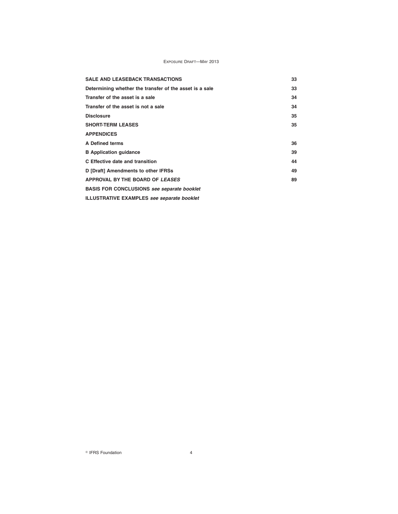EXPOSURE DRAFT—MAY 2013

| <b>SALE AND LEASEBACK TRANSACTIONS</b>                  | 33 |
|---------------------------------------------------------|----|
| Determining whether the transfer of the asset is a sale | 33 |
| Transfer of the asset is a sale                         | 34 |
| Transfer of the asset is not a sale                     | 34 |
| <b>Disclosure</b>                                       | 35 |
| <b>SHORT-TERM LEASES</b>                                | 35 |
| <b>APPENDICES</b>                                       |    |
| <b>A</b> Defined terms                                  | 36 |
| <b>B</b> Application quidance                           | 39 |
| C Effective date and transition                         | 44 |
| D [Draft] Amendments to other IFRSs                     | 49 |
| APPROVAL BY THE BOARD OF LEASES                         | 89 |
| <b>BASIS FOR CONCLUSIONS see separate booklet</b>       |    |
|                                                         |    |

**ILLUSTRATIVE EXAMPLES see separate booklet**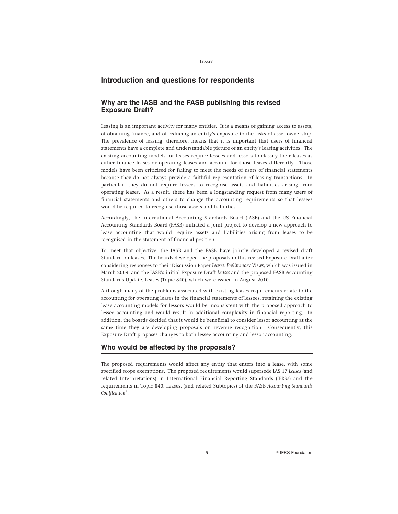## **Introduction and questions for respondents**

## **Why are the IASB and the FASB publishing this revised Exposure Draft?**

Leasing is an important activity for many entities. It is a means of gaining access to assets, of obtaining finance, and of reducing an entity's exposure to the risks of asset ownership. The prevalence of leasing, therefore, means that it is important that users of financial statements have a complete and understandable picture of an entity's leasing activities. The existing accounting models for leases require lessees and lessors to classify their leases as either finance leases or operating leases and account for those leases differently. Those models have been criticised for failing to meet the needs of users of financial statements because they do not always provide a faithful representation of leasing transactions. In particular, they do not require lessees to recognise assets and liabilities arising from operating leases. As a result, there has been a longstanding request from many users of financial statements and others to change the accounting requirements so that lessees would be required to recognise those assets and liabilities.

Accordingly, the International Accounting Standards Board (IASB) and the US Financial Accounting Standards Board (FASB) initiated a joint project to develop a new approach to lease accounting that would require assets and liabilities arising from leases to be recognised in the statement of financial position.

To meet that objective, the IASB and the FASB have jointly developed a revised draft Standard on leases. The boards developed the proposals in this revised Exposure Draft after considering responses to their Discussion Paper *Leases: Preliminary Views*, which was issued in March 2009, and the IASB's initial Exposure Draft *Leases* and the proposed FASB Accounting Standards Update, Leases (Topic 840), which were issued in August 2010.

Although many of the problems associated with existing leases requirements relate to the accounting for operating leases in the financial statements of lessees, retaining the existing lease accounting models for lessors would be inconsistent with the proposed approach to lessee accounting and would result in additional complexity in financial reporting. In addition, the boards decided that it would be beneficial to consider lessor accounting at the same time they are developing proposals on revenue recognition. Consequently, this Exposure Draft proposes changes to both lessee accounting and lessor accounting.

## **Who would be affected by the proposals?**

The proposed requirements would affect any entity that enters into a lease, with some specified scope exemptions. The proposed requirements would supersede IAS 17 *Leases* (and related Interpretations) in International Financial Reporting Standards (IFRSs) and the requirements in Topic 840, Leases, (and related Subtopics) of the FASB *Accounting Standards Codification*® .

5 **B** IFRS Foundation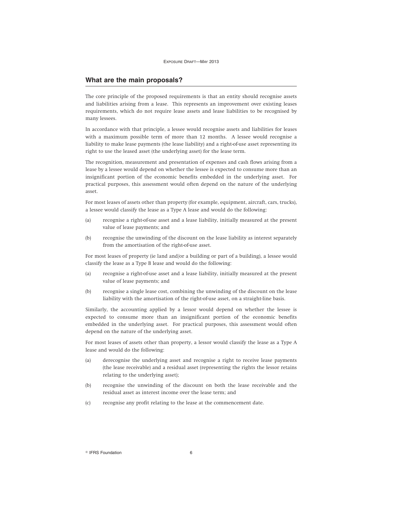## **What are the main proposals?**

The core principle of the proposed requirements is that an entity should recognise assets and liabilities arising from a lease. This represents an improvement over existing leases requirements, which do not require lease assets and lease liabilities to be recognised by many lessees.

In accordance with that principle, a lessee would recognise assets and liabilities for leases with a maximum possible term of more than 12 months. A lessee would recognise a liability to make lease payments (the lease liability) and a right-of-use asset representing its right to use the leased asset (the underlying asset) for the lease term.

The recognition, measurement and presentation of expenses and cash flows arising from a lease by a lessee would depend on whether the lessee is expected to consume more than an insignificant portion of the economic benefits embedded in the underlying asset. For practical purposes, this assessment would often depend on the nature of the underlying asset.

For most leases of assets other than property (for example, equipment, aircraft, cars, trucks), a lessee would classify the lease as a Type A lease and would do the following:

- (a) recognise a right-of-use asset and a lease liability, initially measured at the present value of lease payments; and
- (b) recognise the unwinding of the discount on the lease liability as interest separately from the amortisation of the right-of-use asset.

For most leases of property (ie land and/or a building or part of a building), a lessee would classify the lease as a Type B lease and would do the following:

- (a) recognise a right-of-use asset and a lease liability, initially measured at the present value of lease payments; and
- (b) recognise a single lease cost, combining the unwinding of the discount on the lease liability with the amortisation of the right-of-use asset, on a straight-line basis.

Similarly, the accounting applied by a lessor would depend on whether the lessee is expected to consume more than an insignificant portion of the economic benefits embedded in the underlying asset. For practical purposes, this assessment would often depend on the nature of the underlying asset.

For most leases of assets other than property, a lessor would classify the lease as a Type A lease and would do the following:

- (a) derecognise the underlying asset and recognise a right to receive lease payments (the lease receivable) and a residual asset (representing the rights the lessor retains relating to the underlying asset);
- (b) recognise the unwinding of the discount on both the lease receivable and the residual asset as interest income over the lease term; and
- (c) recognise any profit relating to the lease at the commencement date.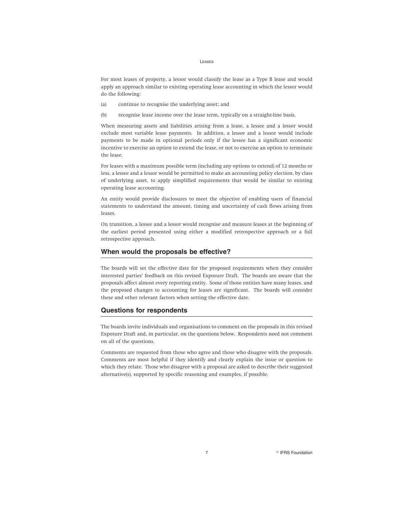For most leases of property, a lessor would classify the lease as a Type B lease and would apply an approach similar to existing operating lease accounting in which the lessor would do the following:

- (a) continue to recognise the underlying asset; and
- (b) recognise lease income over the lease term, typically on a straight-line basis.

When measuring assets and liabilities arising from a lease, a lessee and a lessor would exclude most variable lease payments. In addition, a lessee and a lessor would include payments to be made in optional periods only if the lessee has a significant economic incentive to exercise an option to extend the lease, or not to exercise an option to terminate the lease.

For leases with a maximum possible term (including any options to extend) of 12 months or less, a lessee and a lessor would be permitted to make an accounting policy election, by class of underlying asset, to apply simplified requirements that would be similar to existing operating lease accounting.

An entity would provide disclosures to meet the objective of enabling users of financial statements to understand the amount, timing and uncertainty of cash flows arising from leases.

On transition, a lessee and a lessor would recognise and measure leases at the beginning of the earliest period presented using either a modified retrospective approach or a full retrospective approach.

#### **When would the proposals be effective?**

The boards will set the effective date for the proposed requirements when they consider interested parties' feedback on this revised Exposure Draft. The boards are aware that the proposals affect almost every reporting entity. Some of those entities have many leases, and the proposed changes to accounting for leases are significant. The boards will consider these and other relevant factors when setting the effective date.

## **Questions for respondents**

The boards invite individuals and organisations to comment on the proposals in this revised Exposure Draft and, in particular, on the questions below. Respondents need not comment on all of the questions.

Comments are requested from those who agree and those who disagree with the proposals. Comments are most helpful if they identify and clearly explain the issue or question to which they relate. Those who disagree with a proposal are asked to describe their suggested alternative(s), supported by specific reasoning and examples, if possible.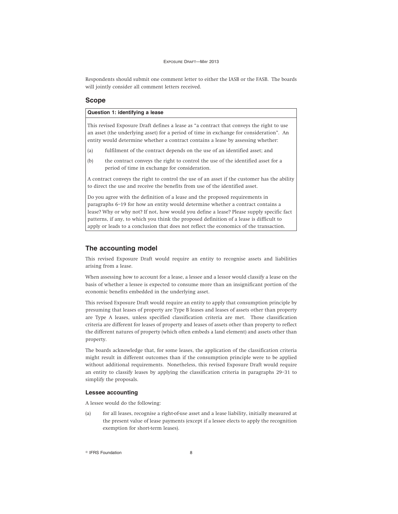Respondents should submit one comment letter to either the IASB or the FASB. The boards will jointly consider all comment letters received.

## **Scope**

## **Question 1: identifying a lease**

This revised Exposure Draft defines a lease as "a contract that conveys the right to use an asset (the underlying asset) for a period of time in exchange for consideration". An entity would determine whether a contract contains a lease by assessing whether:

- (a) fulfilment of the contract depends on the use of an identified asset; and
- (b) the contract conveys the right to control the use of the identified asset for a period of time in exchange for consideration.

A contract conveys the right to control the use of an asset if the customer has the ability to direct the use and receive the benefits from use of the identified asset.

Do you agree with the definition of a lease and the proposed requirements in paragraphs 6–19 for how an entity would determine whether a contract contains a lease? Why or why not? If not, how would you define a lease? Please supply specific fact patterns, if any, to which you think the proposed definition of a lease is difficult to apply or leads to a conclusion that does not reflect the economics of the transaction.

## **The accounting model**

This revised Exposure Draft would require an entity to recognise assets and liabilities arising from a lease.

When assessing how to account for a lease, a lessee and a lessor would classify a lease on the basis of whether a lessee is expected to consume more than an insignificant portion of the economic benefits embedded in the underlying asset.

This revised Exposure Draft would require an entity to apply that consumption principle by presuming that leases of property are Type B leases and leases of assets other than property are Type A leases, unless specified classification criteria are met. Those classification criteria are different for leases of property and leases of assets other than property to reflect the different natures of property (which often embeds a land element) and assets other than property.

The boards acknowledge that, for some leases, the application of the classification criteria might result in different outcomes than if the consumption principle were to be applied without additional requirements. Nonetheless, this revised Exposure Draft would require an entity to classify leases by applying the classification criteria in paragraphs 29–31 to simplify the proposals.

## **Lessee accounting**

A lessee would do the following:

(a) for all leases, recognise a right-of-use asset and a lease liability, initially measured at the present value of lease payments (except if a lessee elects to apply the recognition exemption for short-term leases).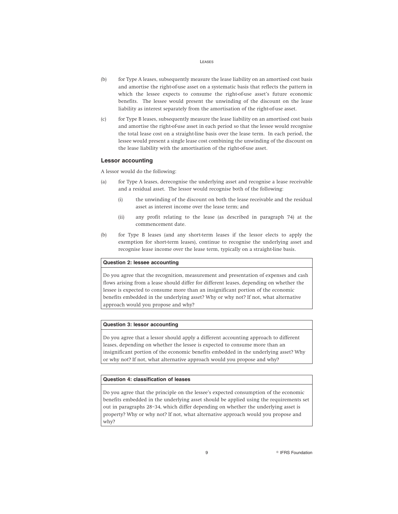- (b) for Type A leases, subsequently measure the lease liability on an amortised cost basis and amortise the right-of-use asset on a systematic basis that reflects the pattern in which the lessee expects to consume the right-of-use asset's future economic benefits. The lessee would present the unwinding of the discount on the lease liability as interest separately from the amortisation of the right-of-use asset.
- (c) for Type B leases, subsequently measure the lease liability on an amortised cost basis and amortise the right-of-use asset in each period so that the lessee would recognise the total lease cost on a straight-line basis over the lease term. In each period, the lessee would present a single lease cost combining the unwinding of the discount on the lease liability with the amortisation of the right-of-use asset.

#### **Lessor accounting**

A lessor would do the following:

- (a) for Type A leases, derecognise the underlying asset and recognise a lease receivable and a residual asset. The lessor would recognise both of the following:
	- (i) the unwinding of the discount on both the lease receivable and the residual asset as interest income over the lease term; and
	- (ii) any profit relating to the lease (as described in paragraph 74) at the commencement date.
- (b) for Type B leases (and any short-term leases if the lessor elects to apply the exemption for short-term leases), continue to recognise the underlying asset and recognise lease income over the lease term, typically on a straight-line basis.

## **Question 2: lessee accounting**

Do you agree that the recognition, measurement and presentation of expenses and cash flows arising from a lease should differ for different leases, depending on whether the lessee is expected to consume more than an insignificant portion of the economic benefits embedded in the underlying asset? Why or why not? If not, what alternative approach would you propose and why?

## **Question 3: lessor accounting**

Do you agree that a lessor should apply a different accounting approach to different leases, depending on whether the lessee is expected to consume more than an insignificant portion of the economic benefits embedded in the underlying asset? Why or why not? If not, what alternative approach would you propose and why?

## **Question 4: classification of leases**

Do you agree that the principle on the lessee's expected consumption of the economic benefits embedded in the underlying asset should be applied using the requirements set out in paragraphs 28–34, which differ depending on whether the underlying asset is property? Why or why not? If not, what alternative approach would you propose and why?

9 **PERS Foundation**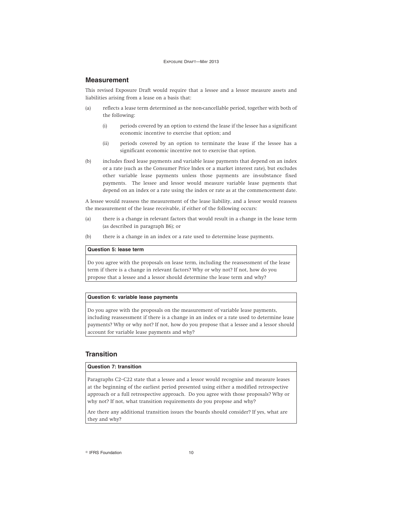## **Measurement**

This revised Exposure Draft would require that a lessee and a lessor measure assets and liabilities arising from a lease on a basis that:

- (a) reflects a lease term determined as the non-cancellable period, together with both of the following:
	- (i) periods covered by an option to extend the lease if the lessee has a significant economic incentive to exercise that option; and
	- (ii) periods covered by an option to terminate the lease if the lessee has a significant economic incentive not to exercise that option.
- (b) includes fixed lease payments and variable lease payments that depend on an index or a rate (such as the Consumer Price Index or a market interest rate), but excludes other variable lease payments unless those payments are in-substance fixed payments. The lessee and lessor would measure variable lease payments that depend on an index or a rate using the index or rate as at the commencement date.

A lessee would reassess the measurement of the lease liability, and a lessor would reassess the measurement of the lease receivable, if either of the following occurs:

- (a) there is a change in relevant factors that would result in a change in the lease term (as described in paragraph B6); or
- (b) there is a change in an index or a rate used to determine lease payments.

## **Question 5: lease term**

Do you agree with the proposals on lease term, including the reassessment of the lease term if there is a change in relevant factors? Why or why not? If not, how do you propose that a lessee and a lessor should determine the lease term and why?

## **Question 6: variable lease payments**

Do you agree with the proposals on the measurement of variable lease payments, including reassessment if there is a change in an index or a rate used to determine lease payments? Why or why not? If not, how do you propose that a lessee and a lessor should account for variable lease payments and why?

## **Transition**

#### **Question 7: transition**

Paragraphs C2–C22 state that a lessee and a lessor would recognise and measure leases at the beginning of the earliest period presented using either a modified retrospective approach or a full retrospective approach. Do you agree with those proposals? Why or why not? If not, what transition requirements do you propose and why?

Are there any additional transition issues the boards should consider? If yes, what are they and why?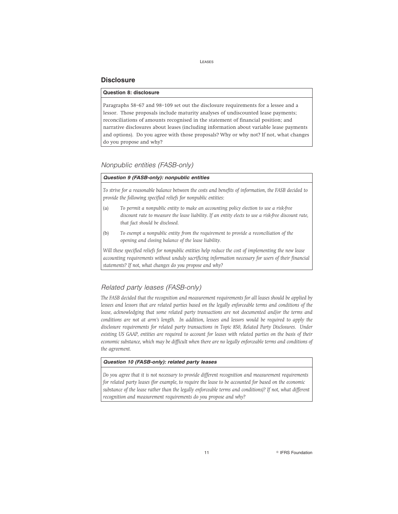## **Disclosure**

## **Question 8: disclosure**

Paragraphs 58–67 and 98–109 set out the disclosure requirements for a lessee and a lessor. Those proposals include maturity analyses of undiscounted lease payments; reconciliations of amounts recognised in the statement of financial position; and narrative disclosures about leases (including information about variable lease payments and options). Do you agree with those proposals? Why or why not? If not, what changes do you propose and why?

## Nonpublic entities (FASB-only)

## **Question 9 (FASB-only): nonpublic entities** *To strive for a reasonable balance between the costs and benefits of information, the FASB decided to provide the following specified reliefs for nonpublic entities*: (a) *To permit a nonpublic entity to make an accounting policy election to use a risk-free discount rate to measure the lease liability. If an entity elects to use a risk-free discount rate, that fact should be disclosed.* (b) *To exempt a nonpublic entity from the requirement to provide a reconciliation of the opening and closing balance of the lease liability. Will these specified reliefs for nonpublic entities help reduce the cost of implementing the new lease accounting requirements without unduly sacrificing information necessary for users of their financial statements? If not, what changes do you propose and why?*

## Related party leases (FASB-only)

*The FASB decided that the recognition and measurement requirements for all leases should be applied by lessees and lessors that are related parties based on the legally enforceable terms and conditions of the lease, acknowledging that some related party transactions are not documented and/or the terms and conditions are not at arm's length. In addition, lessees and lessors would be required to apply the disclosure requirements for related party transactions in Topic 850, Related Party Disclosures. Under existing US GAAP, entities are required to account for leases with related parties on the basis of their economic substance, which may be difficult when there are no legally enforceable terms and conditions of the agreement.*

## **Question 10 (FASB-only): related party leases**

*Do you agree that it is not necessary to provide different recognition and measurement requirements for related party leases (for example, to require the lease to be accounted for based on the economic substance of the lease rather than the legally enforceable terms and conditions)? If not, what different recognition and measurement requirements do you propose and why?*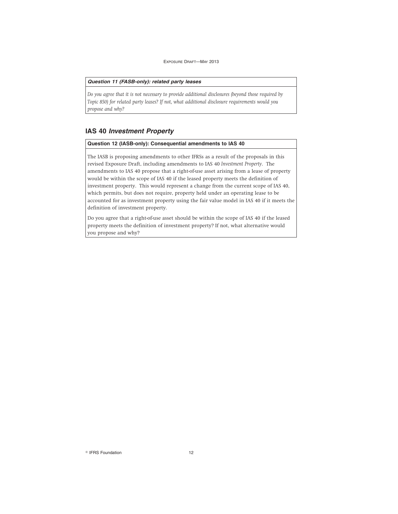## **Question 11 (FASB-only): related party leases**

*Do you agree that it is not necessary to provide additional disclosures (beyond those required by Topic 850) for related party leases? If not, what additional disclosure requirements would you propose and why?*

## **IAS 40 Investment Property**

#### **Question 12 (IASB-only): Consequential amendments to IAS 40**

The IASB is proposing amendments to other IFRSs as a result of the proposals in this revised Exposure Draft, including amendments to IAS 40 *Investment Property*. The amendments to IAS 40 propose that a right-of-use asset arising from a lease of property would be within the scope of IAS 40 if the leased property meets the definition of investment property. This would represent a change from the current scope of IAS 40, which permits, but does not require, property held under an operating lease to be accounted for as investment property using the fair value model in IAS 40 if it meets the definition of investment property.

Do you agree that a right-of-use asset should be within the scope of IAS 40 if the leased property meets the definition of investment property? If not, what alternative would you propose and why?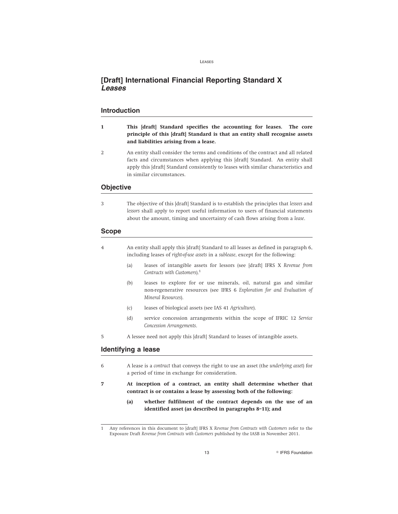## **[Draft] International Financial Reporting Standard X Leases**

## **Introduction**

- **1 This [draft] Standard specifies the accounting for leases. The core principle of this [draft] Standard is that an entity shall recognise assets and liabilities arising from a lease.**
- 2 An entity shall consider the terms and conditions of the contract and all related facts and circumstances when applying this [draft] Standard. An entity shall apply this [draft] Standard consistently to leases with similar characteristics and in similar circumstances.

## **Objective**

3 The objective of this [draft] Standard is to establish the principles that *lessees* and *lessors* shall apply to report useful information to users of financial statements about the amount, timing and uncertainty of cash flows arising from a *lease*.

## **Scope**

- 4 An entity shall apply this [draft] Standard to all leases as defined in paragraph 6, including leases of *right-of-use assets* in a *sublease*, except for the following:
	- (a) leases of intangible assets for lessors (see [draft] IFRS X *Revenue from Contracts with Customers*).<sup>1</sup>
	- (b) leases to explore for or use minerals, oil, natural gas and similar non-regenerative resources (see IFRS 6 *Exploration for and Evaluation of Mineral Resources*).
	- (c) leases of biological assets (see IAS 41 *Agriculture*).
	- (d) service concession arrangements within the scope of IFRIC 12 *Service Concession Arrangements*.
- 5 A lessee need not apply this [draft] Standard to leases of intangible assets.

## **Identifying a lease**

- 6 A lease is a *contract* that conveys the right to use an asset (the *underlying asset*) for a period of time in exchange for consideration.
- **7 At inception of a contract, an entity shall determine whether that contract is or contains a lease by assessing both of the following:**
	- **(a) whether fulfilment of the contract depends on the use of an identified asset (as described in paragraphs 8–11); and**

<sup>1</sup> Any references in this document to [draft] IFRS X *Revenue from Contracts with Customers* refer to the Exposure Draft *Revenue from Contracts with Customers* published by the IASB in November 2011.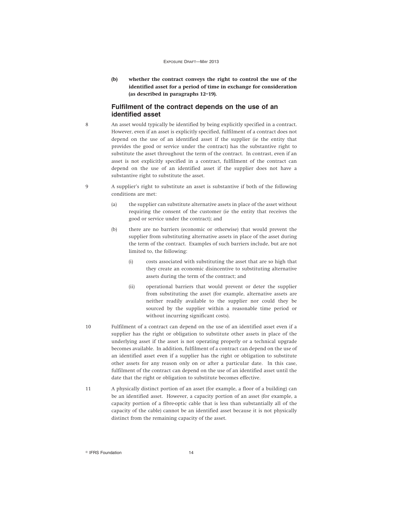**(b) whether the contract conveys the right to control the use of the identified asset for a period of time in exchange for consideration (as described in paragraphs 12–19).**

## **Fulfilment of the contract depends on the use of an identified asset**

- 8 An asset would typically be identified by being explicitly specified in a contract. However, even if an asset is explicitly specified, fulfilment of a contract does not depend on the use of an identified asset if the supplier (ie the entity that provides the good or service under the contract) has the substantive right to substitute the asset throughout the term of the contract. In contrast, even if an asset is not explicitly specified in a contract, fulfilment of the contract can depend on the use of an identified asset if the supplier does not have a substantive right to substitute the asset.
- 9 A supplier's right to substitute an asset is substantive if both of the following conditions are met:
	- (a) the supplier can substitute alternative assets in place of the asset without requiring the consent of the customer (ie the entity that receives the good or service under the contract); and
	- (b) there are no barriers (economic or otherwise) that would prevent the supplier from substituting alternative assets in place of the asset during the term of the contract. Examples of such barriers include, but are not limited to, the following:
		- (i) costs associated with substituting the asset that are so high that they create an economic disincentive to substituting alternative assets during the term of the contract; and
		- (ii) operational barriers that would prevent or deter the supplier from substituting the asset (for example, alternative assets are neither readily available to the supplier nor could they be sourced by the supplier within a reasonable time period or without incurring significant costs).
- 10 Fulfilment of a contract can depend on the use of an identified asset even if a supplier has the right or obligation to substitute other assets in place of the underlying asset if the asset is not operating properly or a technical upgrade becomes available. In addition, fulfilment of a contract can depend on the use of an identified asset even if a supplier has the right or obligation to substitute other assets for any reason only on or after a particular date. In this case, fulfilment of the contract can depend on the use of an identified asset until the date that the right or obligation to substitute becomes effective.
- 11 A physically distinct portion of an asset (for example, a floor of a building) can be an identified asset. However, a capacity portion of an asset (for example, a capacity portion of a fibre-optic cable that is less than substantially all of the capacity of the cable) cannot be an identified asset because it is not physically distinct from the remaining capacity of the asset.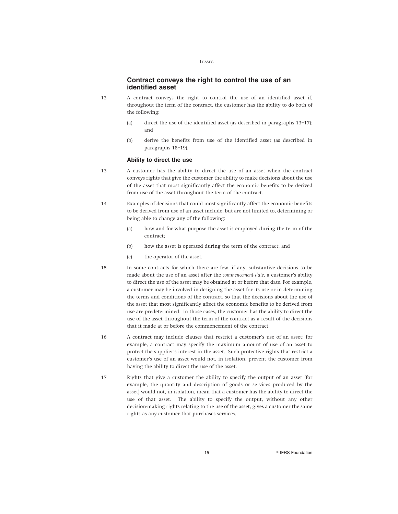## **Contract conveys the right to control the use of an identified asset**

- 12 A contract conveys the right to control the use of an identified asset if, throughout the term of the contract, the customer has the ability to do both of the following:
	- (a) direct the use of the identified asset (as described in paragraphs 13–17); and
	- (b) derive the benefits from use of the identified asset (as described in paragraphs 18–19).

## **Ability to direct the use**

- 13 A customer has the ability to direct the use of an asset when the contract conveys rights that give the customer the ability to make decisions about the use of the asset that most significantly affect the economic benefits to be derived from use of the asset throughout the term of the contract.
- 14 Examples of decisions that could most significantly affect the economic benefits to be derived from use of an asset include, but are not limited to, determining or being able to change any of the following:
	- (a) how and for what purpose the asset is employed during the term of the contract;
	- (b) how the asset is operated during the term of the contract; and
	- (c) the operator of the asset.
- 15 In some contracts for which there are few, if any, substantive decisions to be made about the use of an asset after the *commencement date*, a customer's ability to direct the use of the asset may be obtained at or before that date. For example, a customer may be involved in designing the asset for its use or in determining the terms and conditions of the contract, so that the decisions about the use of the asset that most significantly affect the economic benefits to be derived from use are predetermined. In those cases, the customer has the ability to direct the use of the asset throughout the term of the contract as a result of the decisions that it made at or before the commencement of the contract.
- 16 A contract may include clauses that restrict a customer's use of an asset; for example, a contract may specify the maximum amount of use of an asset to protect the supplier's interest in the asset. Such protective rights that restrict a customer's use of an asset would not, in isolation, prevent the customer from having the ability to direct the use of the asset.
- 17 Rights that give a customer the ability to specify the output of an asset (for example, the quantity and description of goods or services produced by the asset) would not, in isolation, mean that a customer has the ability to direct the use of that asset. The ability to specify the output, without any other decision-making rights relating to the use of the asset, gives a customer the same rights as any customer that purchases services.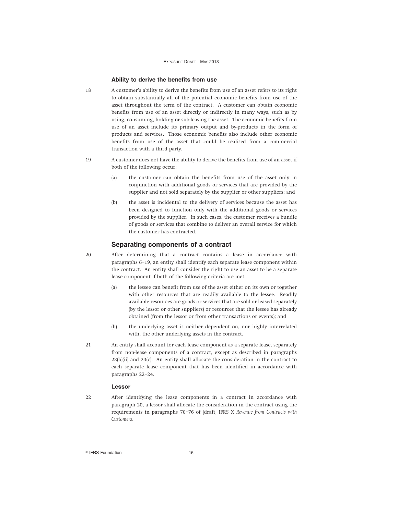#### **Ability to derive the benefits from use**

- 18 A customer's ability to derive the benefits from use of an asset refers to its right to obtain substantially all of the potential economic benefits from use of the asset throughout the term of the contract. A customer can obtain economic benefits from use of an asset directly or indirectly in many ways, such as by using, consuming, holding or sub-leasing the asset. The economic benefits from use of an asset include its primary output and by-products in the form of products and services. Those economic benefits also include other economic benefits from use of the asset that could be realised from a commercial transaction with a third party.
- 19 A customer does not have the ability to derive the benefits from use of an asset if both of the following occur:
	- (a) the customer can obtain the benefits from use of the asset only in conjunction with additional goods or services that are provided by the supplier and not sold separately by the supplier or other suppliers; and
	- (b) the asset is incidental to the delivery of services because the asset has been designed to function only with the additional goods or services provided by the supplier. In such cases, the customer receives a bundle of goods or services that combine to deliver an overall service for which the customer has contracted.

## **Separating components of a contract**

- 20 After determining that a contract contains a lease in accordance with paragraphs 6–19, an entity shall identify each separate lease component within the contract. An entity shall consider the right to use an asset to be a separate lease component if both of the following criteria are met:
	- (a) the lessee can benefit from use of the asset either on its own or together with other resources that are readily available to the lessee. Readily available resources are goods or services that are sold or leased separately (by the lessor or other suppliers) or resources that the lessee has already obtained (from the lessor or from other transactions or events); and
	- (b) the underlying asset is neither dependent on, nor highly interrelated with, the other underlying assets in the contract.
- 21 An entity shall account for each lease component as a separate lease, separately from non-lease components of a contract, except as described in paragraphs 23(b)(ii) and 23(c). An entity shall allocate the consideration in the contract to each separate lease component that has been identified in accordance with paragraphs 22–24.

#### **Lessor**

22 After identifying the lease components in a contract in accordance with paragraph 20, a lessor shall allocate the consideration in the contract using the requirements in paragraphs 70–76 of [draft] IFRS X *Revenue from Contracts with Customers*.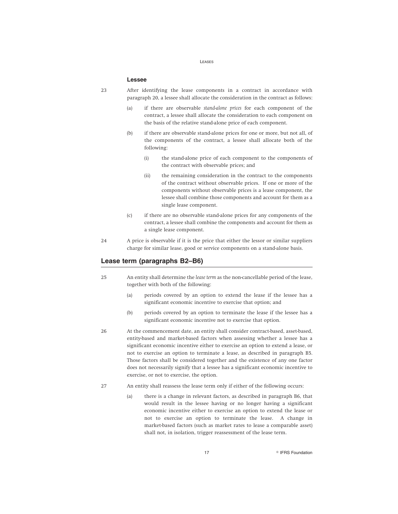#### **Lessee**

- 23 After identifying the lease components in a contract in accordance with paragraph 20, a lessee shall allocate the consideration in the contract as follows:
	- (a) if there are observable *stand-alone prices* for each component of the contract, a lessee shall allocate the consideration to each component on the basis of the relative stand-alone price of each component.
	- (b) if there are observable stand-alone prices for one or more, but not all, of the components of the contract, a lessee shall allocate both of the following:
		- (i) the stand-alone price of each component to the components of the contract with observable prices; and
		- (ii) the remaining consideration in the contract to the components of the contract without observable prices. If one or more of the components without observable prices is a lease component, the lessee shall combine those components and account for them as a single lease component.
	- (c) if there are no observable stand-alone prices for any components of the contract, a lessee shall combine the components and account for them as a single lease component.
- 24 A price is observable if it is the price that either the lessor or similar suppliers charge for similar lease, good or service components on a stand-alone basis.

## **Lease term (paragraphs B2–B6)**

- 25 An entity shall determine the *lease term* as the non-cancellable period of the lease, together with both of the following:
	- (a) periods covered by an option to extend the lease if the lessee has a significant economic incentive to exercise that option; and
	- (b) periods covered by an option to terminate the lease if the lessee has a significant economic incentive not to exercise that option.
- 26 At the commencement date, an entity shall consider contract-based, asset-based, entity-based and market-based factors when assessing whether a lessee has a significant economic incentive either to exercise an option to extend a lease, or not to exercise an option to terminate a lease, as described in paragraph B5. Those factors shall be considered together and the existence of any one factor does not necessarily signify that a lessee has a significant economic incentive to exercise, or not to exercise, the option.
- 27 An entity shall reassess the lease term only if either of the following occurs:
	- (a) there is a change in relevant factors, as described in paragraph B6, that would result in the lessee having or no longer having a significant economic incentive either to exercise an option to extend the lease or not to exercise an option to terminate the lease. A change in market-based factors (such as market rates to lease a comparable asset) shall not, in isolation, trigger reassessment of the lease term.

17 **Constanting Construction Constanting Construction Construction**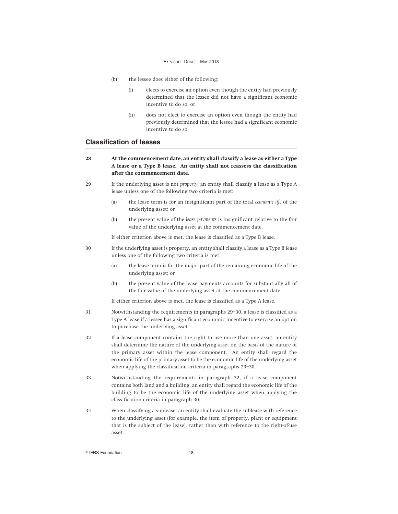- (b) the lessee does either of the following:
	- (i) elects to exercise an option even though the entity had previously determined that the lessee did not have a significant economic incentive to do so; or
	- (ii) does not elect to exercise an option even though the entity had previously determined that the lessee had a significant economic incentive to do so.

## **Classification of leases**

| 28 | At the commencement date, an entity shall classify a lease as either a Type |
|----|-----------------------------------------------------------------------------|
|    | A lease or a Type B lease. An entity shall not reassess the classification  |
|    | after the commencement date.                                                |
|    |                                                                             |

- 29 If the underlying asset is not *property*, an entity shall classify a lease as a Type A lease unless one of the following two criteria is met:
	- (a) the lease term is for an insignificant part of the total *economic life* of the underlying asset; or
	- (b) the present value of the *lease payments* is insignificant relative to the fair value of the underlying asset at the commencement date.

If either criterion above is met, the lease is classified as a Type B lease.

- 30 If the underlying asset is property, an entity shall classify a lease as a Type B lease unless one of the following two criteria is met:
	- (a) the lease term is for the major part of the remaining economic life of the underlying asset; or
	- (b) the present value of the lease payments accounts for substantially all of the fair value of the underlying asset at the commencement date.

If either criterion above is met, the lease is classified as a Type A lease.

- 31 Notwithstanding the requirements in paragraphs 29–30, a lease is classified as a Type A lease if a lessee has a significant economic incentive to exercise an option to purchase the underlying asset.
- 32 If a lease component contains the right to use more than one asset, an entity shall determine the nature of the underlying asset on the basis of the nature of the primary asset within the lease component. An entity shall regard the economic life of the primary asset to be the economic life of the underlying asset when applying the classification criteria in paragraphs 29–30.
- 33 Notwithstanding the requirements in paragraph 32, if a lease component contains both land and a building, an entity shall regard the economic life of the building to be the economic life of the underlying asset when applying the classification criteria in paragraph 30.
- 34 When classifying a sublease, an entity shall evaluate the sublease with reference to the underlying asset (for example, the item of property, plant or equipment that is the subject of the lease), rather than with reference to the right-of-use asset.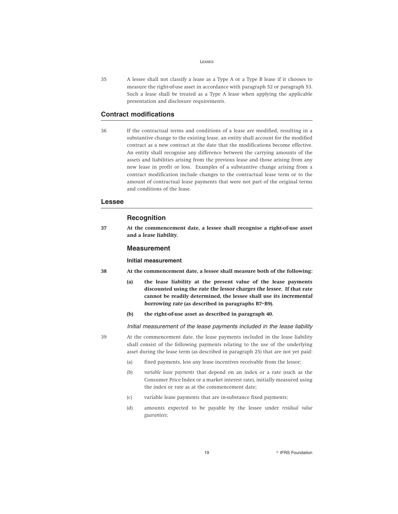35 A lessee shall not classify a lease as a Type A or a Type B lease if it chooses to measure the right-of-use asset in accordance with paragraph 52 or paragraph 53. Such a lease shall be treated as a Type A lease when applying the applicable presentation and disclosure requirements.

## **Contract modifications**

36 If the contractual terms and conditions of a lease are modified, resulting in a substantive change to the existing lease, an entity shall account for the modified contract as a new contract at the date that the modifications become effective. An entity shall recognise any difference between the carrying amounts of the assets and liabilities arising from the previous lease and those arising from any new lease in profit or loss. Examples of a substantive change arising from a contract modification include changes to the contractual lease term or to the amount of contractual lease payments that were not part of the original terms and conditions of the lease.

#### **Lessee**

## **Recognition**

**37 At the commencement date, a lessee shall recognise a right-of-use asset and a** *lease liability***.**

#### **Measurement**

#### **Initial measurement**

- **38 At the commencement date, a lessee shall measure both of the following:**
	- **(a) the lease liability at the present value of the lease payments discounted using the** *rate the lessor charges the lessee***. If that rate cannot be readily determined, the lessee shall use its** *incremental borrowing rate* **(as described in paragraphs B7–B9).**
	- **(b) the right-of-use asset as described in paragraph 40.**

#### Initial measurement of the lease payments included in the lease liability

- 39 At the commencement date, the lease payments included in the lease liability shall consist of the following payments relating to the use of the underlying asset during the lease term (as described in paragraph 25) that are not yet paid:
	- (a) fixed payments, less any lease incentives receivable from the lessor;
	- (b) *variable lease payments* that depend on an index or a rate (such as the Consumer Price Index or a market interest rate), initially measured using the index or rate as at the commencement date;
	- (c) variable lease payments that are in-substance fixed payments;
	- (d) amounts expected to be payable by the lessee under *residual value guarantees*;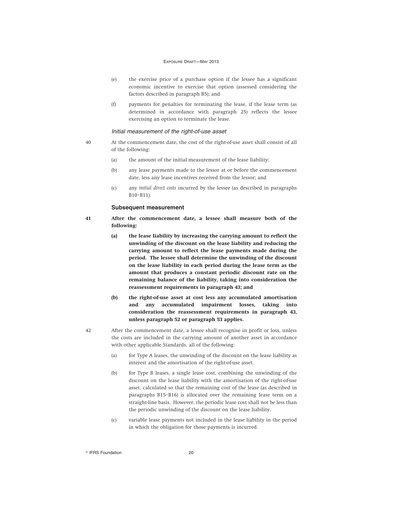- (e) the exercise price of a purchase option if the lessee has a significant economic incentive to exercise that option (assessed considering the factors described in paragraph B5); and
- (f) payments for penalties for terminating the lease, if the lease term (as determined in accordance with paragraph 25) reflects the lessee exercising an option to terminate the lease.

#### Initial measurement of the right-of-use asset

- 40 At the commencement date, the cost of the right-of-use asset shall consist of all of the following:
	- (a) the amount of the initial measurement of the lease liability;
	- (b) any lease payments made to the lessor at or before the commencement date, less any lease incentives received from the lessor; and
	- (c) any *initial direct costs* incurred by the lessee (as described in paragraphs B10–B11).

#### **Subsequent measurement**

- **41 After the commencement date, a lessee shall measure both of the following:**
	- **(a) the lease liability by increasing the carrying amount to reflect the unwinding of the discount on the lease liability and reducing the carrying amount to reflect the lease payments made during the period. The lessee shall determine the unwinding of the discount on the lease liability in each period during the lease term as the amount that produces a constant periodic discount rate on the remaining balance of the liability, taking into consideration the reassessment requirements in paragraph 43; and**
	- **(b) the right-of-use asset at cost less any accumulated amortisation and any accumulated impairment losses, taking into consideration the reassessment requirements in paragraph 43, unless paragraph 52 or paragraph 53 applies.**
- 42 After the commencement date, a lessee shall recognise in profit or loss, unless the costs are included in the carrying amount of another asset in accordance with other applicable Standards, all of the following:
	- (a) for Type A leases, the unwinding of the discount on the lease liability as interest and the amortisation of the right-of-use asset.
	- (b) for Type B leases, a single lease cost, combining the unwinding of the discount on the lease liability with the amortisation of the right-of-use asset, calculated so that the remaining cost of the lease (as described in paragraphs B15–B16) is allocated over the remaining lease term on a straight-line basis. However, the periodic lease cost shall not be less than the periodic unwinding of the discount on the lease liability.
	- (c) variable lease payments not included in the lease liability in the period in which the obligation for those payments is incurred.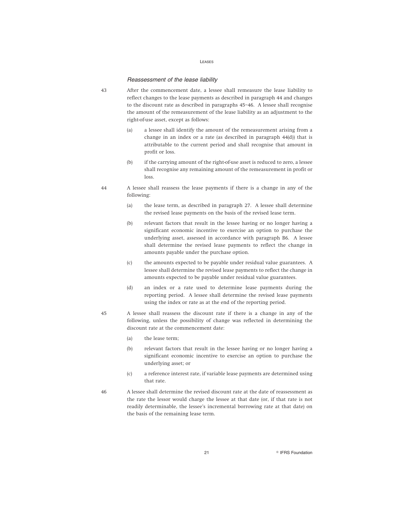#### Reassessment of the lease liability

- 43 After the commencement date, a lessee shall remeasure the lease liability to reflect changes to the lease payments as described in paragraph 44 and changes to the discount rate as described in paragraphs 45–46. A lessee shall recognise the amount of the remeasurement of the lease liability as an adjustment to the right-of-use asset, except as follows:
	- (a) a lessee shall identify the amount of the remeasurement arising from a change in an index or a rate (as described in paragraph 44(d)) that is attributable to the current period and shall recognise that amount in profit or loss.
	- (b) if the carrying amount of the right-of-use asset is reduced to zero, a lessee shall recognise any remaining amount of the remeasurement in profit or loss.
- 44 A lessee shall reassess the lease payments if there is a change in any of the following:
	- (a) the lease term, as described in paragraph 27. A lessee shall determine the revised lease payments on the basis of the revised lease term.
	- (b) relevant factors that result in the lessee having or no longer having a significant economic incentive to exercise an option to purchase the underlying asset, assessed in accordance with paragraph B6. A lessee shall determine the revised lease payments to reflect the change in amounts payable under the purchase option.
	- (c) the amounts expected to be payable under residual value guarantees. A lessee shall determine the revised lease payments to reflect the change in amounts expected to be payable under residual value guarantees.
	- (d) an index or a rate used to determine lease payments during the reporting period. A lessee shall determine the revised lease payments using the index or rate as at the end of the reporting period.
- 45 A lessee shall reassess the discount rate if there is a change in any of the following, unless the possibility of change was reflected in determining the discount rate at the commencement date:
	- (a) the lease term;
	- (b) relevant factors that result in the lessee having or no longer having a significant economic incentive to exercise an option to purchase the underlying asset; or
	- (c) a reference interest rate, if variable lease payments are determined using that rate.
- 46 A lessee shall determine the revised discount rate at the date of reassessment as the rate the lessor would charge the lessee at that date (or, if that rate is not readily determinable, the lessee's incremental borrowing rate at that date) on the basis of the remaining lease term.

21 **Constanting Construction Constanting Construction Construction**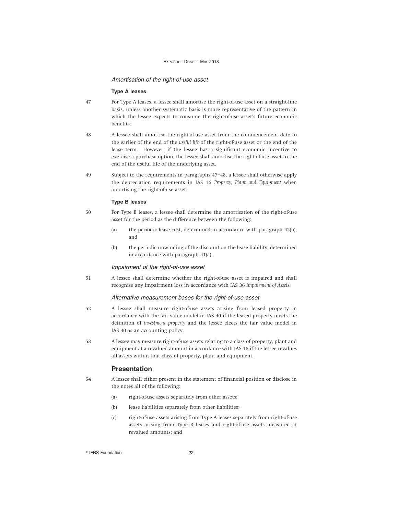#### Amortisation of the right-of-use asset

#### **Type A leases**

- 47 For Type A leases, a lessee shall amortise the right-of-use asset on a straight-line basis, unless another systematic basis is more representative of the pattern in which the lessee expects to consume the right-of-use asset's future economic benefits.
- 48 A lessee shall amortise the right-of-use asset from the commencement date to the earlier of the end of the *useful life* of the right-of-use asset or the end of the lease term. However, if the lessee has a significant economic incentive to exercise a purchase option, the lessee shall amortise the right-of-use asset to the end of the useful life of the underlying asset.
- 49 Subject to the requirements in paragraphs 47–48, a lessee shall otherwise apply the depreciation requirements in IAS 16 *Property, Plant and Equipment* when amortising the right-of-use asset.

#### **Type B leases**

- 50 For Type B leases, a lessee shall determine the amortisation of the right-of-use asset for the period as the difference between the following:
	- (a) the periodic lease cost, determined in accordance with paragraph 42(b); and
	- (b) the periodic unwinding of the discount on the lease liability, determined in accordance with paragraph 41(a).

#### Impairment of the right-of-use asset

51 A lessee shall determine whether the right-of-use asset is impaired and shall recognise any impairment loss in accordance with IAS 36 *Impairment of Assets*.

#### Alternative measurement bases for the right-of-use asset

- 52 A lessee shall measure right-of-use assets arising from leased property in accordance with the fair value model in IAS 40 if the leased property meets the definition of *investment property* and the lessee elects the fair value model in IAS 40 as an accounting policy.
- 53 A lessee may measure right-of-use assets relating to a class of property, plant and equipment at a revalued amount in accordance with IAS 16 if the lessee revalues all assets within that class of property, plant and equipment.

## **Presentation**

- 54 A lessee shall either present in the statement of financial position or disclose in the notes all of the following:
	- (a) right-of-use assets separately from other assets;
	- (b) lease liabilities separately from other liabilities;
	- (c) right-of-use assets arising from Type A leases separately from right-of-use assets arising from Type B leases and right-of-use assets measured at revalued amounts; and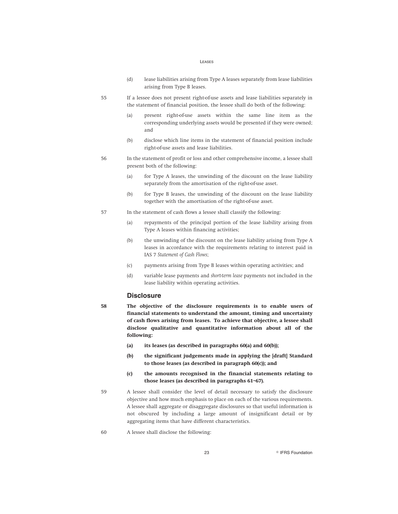- (d) lease liabilities arising from Type A leases separately from lease liabilities arising from Type B leases.
- 55 If a lessee does not present right-of-use assets and lease liabilities separately in the statement of financial position, the lessee shall do both of the following:
	- (a) present right-of-use assets within the same line item as the corresponding underlying assets would be presented if they were owned; and
	- (b) disclose which line items in the statement of financial position include right-of-use assets and lease liabilities.
- 56 In the statement of profit or loss and other comprehensive income, a lessee shall present both of the following:
	- (a) for Type A leases, the unwinding of the discount on the lease liability separately from the amortisation of the right-of-use asset.
	- (b) for Type B leases, the unwinding of the discount on the lease liability together with the amortisation of the right-of-use asset.
- 57 In the statement of cash flows a lessee shall classify the following:
	- (a) repayments of the principal portion of the lease liability arising from Type A leases within financing activities;
	- (b) the unwinding of the discount on the lease liability arising from Type A leases in accordance with the requirements relating to interest paid in IAS 7 *Statement of Cash Flows*;
	- (c) payments arising from Type B leases within operating activities; and
	- (d) variable lease payments and *short-term lease* payments not included in the lease liability within operating activities.

## **Disclosure**

- **58 The objective of the disclosure requirements is to enable users of financial statements to understand the amount, timing and uncertainty of cash flows arising from leases. To achieve that objective, a lessee shall disclose qualitative and quantitative information about all of the following:**
	- **(a) its leases (as described in paragraphs 60(a) and 60(b));**
	- **(b) the significant judgements made in applying the [draft] Standard to those leases (as described in paragraph 60(c)); and**
	- **(c) the amounts recognised in the financial statements relating to those leases (as described in paragraphs 61–67).**
- 59 A lessee shall consider the level of detail necessary to satisfy the disclosure objective and how much emphasis to place on each of the various requirements. A lessee shall aggregate or disaggregate disclosures so that useful information is not obscured by including a large amount of insignificant detail or by aggregating items that have different characteristics.
- 60 A lessee shall disclose the following:

23 **Participal Executive State of PERS Foundation**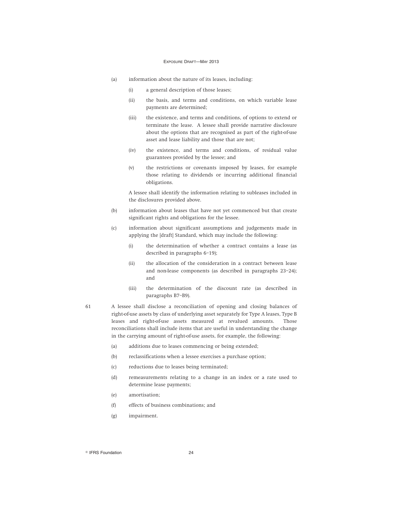- (a) information about the nature of its leases, including:
	- (i) a general description of those leases;
	- (ii) the basis, and terms and conditions, on which variable lease payments are determined;
	- (iii) the existence, and terms and conditions, of options to extend or terminate the lease. A lessee shall provide narrative disclosure about the options that are recognised as part of the right-of-use asset and lease liability and those that are not;
	- (iv) the existence, and terms and conditions, of residual value guarantees provided by the lessee; and
	- (v) the restrictions or covenants imposed by leases, for example those relating to dividends or incurring additional financial obligations.

A lessee shall identify the information relating to subleases included in the disclosures provided above.

- (b) information about leases that have not yet commenced but that create significant rights and obligations for the lessee.
- (c) information about significant assumptions and judgements made in applying the [draft] Standard, which may include the following:
	- (i) the determination of whether a contract contains a lease (as described in paragraphs 6–19);
	- (ii) the allocation of the consideration in a contract between lease and non-lease components (as described in paragraphs 23–24); and
	- (iii) the determination of the discount rate (as described in paragraphs B7–B9).
- 61 A lessee shall disclose a reconciliation of opening and closing balances of right-of-use assets by class of underlying asset separately for Type A leases, Type B leases and right-of-use assets measured at revalued amounts. Those reconciliations shall include items that are useful in understanding the change in the carrying amount of right-of-use assets, for example, the following:
	- (a) additions due to leases commencing or being extended;
	- (b) reclassifications when a lessee exercises a purchase option;
	- (c) reductions due to leases being terminated;
	- (d) remeasurements relating to a change in an index or a rate used to determine lease payments;
	- (e) amortisation;
	- (f) effects of business combinations; and
	- (g) impairment.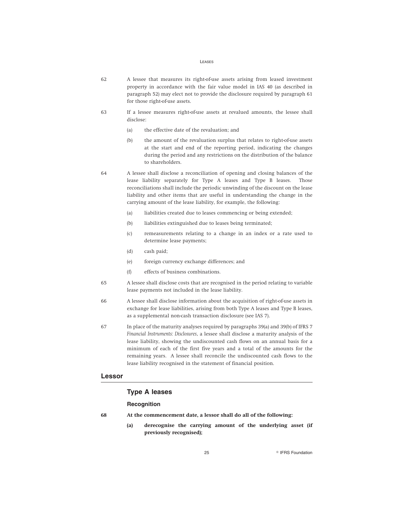- 62 A lessee that measures its right-of-use assets arising from leased investment property in accordance with the fair value model in IAS 40 (as described in paragraph 52) may elect not to provide the disclosure required by paragraph 61 for those right-of-use assets.
- 63 If a lessee measures right-of-use assets at revalued amounts, the lessee shall disclose:
	- (a) the effective date of the revaluation; and
	- (b) the amount of the revaluation surplus that relates to right-of-use assets at the start and end of the reporting period, indicating the changes during the period and any restrictions on the distribution of the balance to shareholders.
- 64 A lessee shall disclose a reconciliation of opening and closing balances of the lease liability separately for Type A leases and Type B leases. Those reconciliations shall include the periodic unwinding of the discount on the lease liability and other items that are useful in understanding the change in the carrying amount of the lease liability, for example, the following:
	- (a) liabilities created due to leases commencing or being extended;
	- (b) liabilities extinguished due to leases being terminated;
	- (c) remeasurements relating to a change in an index or a rate used to determine lease payments;
	- (d) cash paid;
	- (e) foreign currency exchange differences; and
	- (f) effects of business combinations.
- 65 A lessee shall disclose costs that are recognised in the period relating to variable lease payments not included in the lease liability.
- 66 A lessee shall disclose information about the acquisition of right-of-use assets in exchange for lease liabilities, arising from both Type A leases and Type B leases, as a supplemental non-cash transaction disclosure (see IAS 7).
- 67 In place of the maturity analyses required by paragraphs 39(a) and 39(b) of IFRS 7 *Financial Instruments: Disclosures*, a lessee shall disclose a maturity analysis of the lease liability, showing the undiscounted cash flows on an annual basis for a minimum of each of the first five years and a total of the amounts for the remaining years. A lessee shall reconcile the undiscounted cash flows to the lease liability recognised in the statement of financial position.

## **Lessor**

## **Type A leases**

## **Recognition**

- **68 At the commencement date, a lessor shall do all of the following:**
	- **(a) derecognise the carrying amount of the underlying asset (if previously recognised);**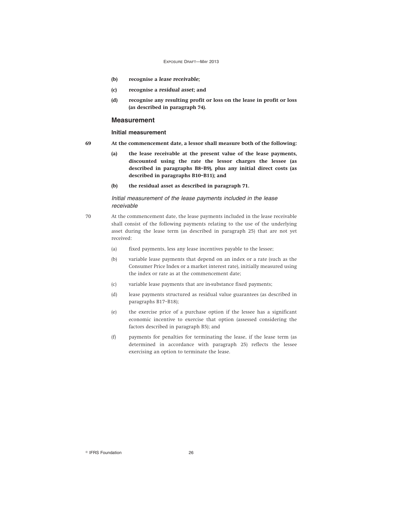- **(b) recognise a** *lease receivable***;**
- **(c) recognise a** *residual asset***; and**
- **(d) recognise any resulting profit or loss on the lease in profit or loss (as described in paragraph 74).**

## **Measurement**

#### **Initial measurement**

- **69 At the commencement date, a lessor shall measure both of the following:**
	- **(a) the lease receivable at the present value of the lease payments, discounted using the rate the lessor charges the lessee (as described in paragraphs B8–B9), plus any initial direct costs (as described in paragraphs B10–B11); and**
	- **(b) the residual asset as described in paragraph 71.**

## Initial measurement of the lease payments included in the lease receivable

- 70 At the commencement date, the lease payments included in the lease receivable shall consist of the following payments relating to the use of the underlying asset during the lease term (as described in paragraph 25) that are not yet received:
	- (a) fixed payments, less any lease incentives payable to the lessee;
	- (b) variable lease payments that depend on an index or a rate (such as the Consumer Price Index or a market interest rate), initially measured using the index or rate as at the commencement date;
	- (c) variable lease payments that are in-substance fixed payments;
	- (d) lease payments structured as residual value guarantees (as described in paragraphs B17–B18);
	- (e) the exercise price of a purchase option if the lessee has a significant economic incentive to exercise that option (assessed considering the factors described in paragraph B5); and
	- (f) payments for penalties for terminating the lease, if the lease term (as determined in accordance with paragraph 25) reflects the lessee exercising an option to terminate the lease.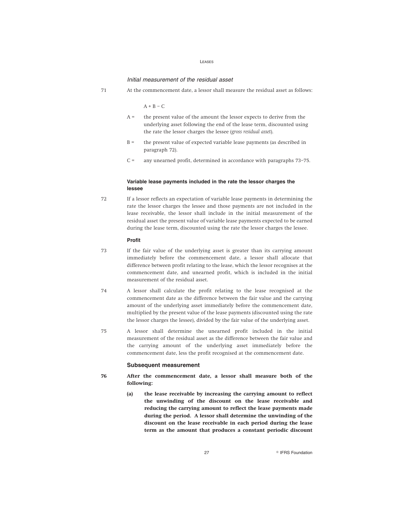#### Initial measurement of the residual asset

71 At the commencement date, a lessor shall measure the residual asset as follows:

#### $A + B - C$

- $A =$  the present value of the amount the lessor expects to derive from the underlying asset following the end of the lease term, discounted using the rate the lessor charges the lessee (*gross residual asset*).
- $B =$  the present value of expected variable lease payments (as described in paragraph 72).
- C = any unearned profit, determined in accordance with paragraphs 73–75.

## **Variable lease payments included in the rate the lessor charges the lessee**

72 If a lessor reflects an expectation of variable lease payments in determining the rate the lessor charges the lessee and those payments are not included in the lease receivable, the lessor shall include in the initial measurement of the residual asset the present value of variable lease payments expected to be earned during the lease term, discounted using the rate the lessor charges the lessee.

#### **Profit**

- 73 If the fair value of the underlying asset is greater than its carrying amount immediately before the commencement date, a lessor shall allocate that difference between profit relating to the lease, which the lessor recognises at the commencement date, and unearned profit, which is included in the initial measurement of the residual asset.
- 74 A lessor shall calculate the profit relating to the lease recognised at the commencement date as the difference between the fair value and the carrying amount of the underlying asset immediately before the commencement date, multiplied by the present value of the lease payments (discounted using the rate the lessor charges the lessee), divided by the fair value of the underlying asset.
- 75 A lessor shall determine the unearned profit included in the initial measurement of the residual asset as the difference between the fair value and the carrying amount of the underlying asset immediately before the commencement date, less the profit recognised at the commencement date.

#### **Subsequent measurement**

- **76 After the commencement date, a lessor shall measure both of the following:**
	- **(a) the lease receivable by increasing the carrying amount to reflect the unwinding of the discount on the lease receivable and reducing the carrying amount to reflect the lease payments made during the period. A lessor shall determine the unwinding of the discount on the lease receivable in each period during the lease term as the amount that produces a constant periodic discount**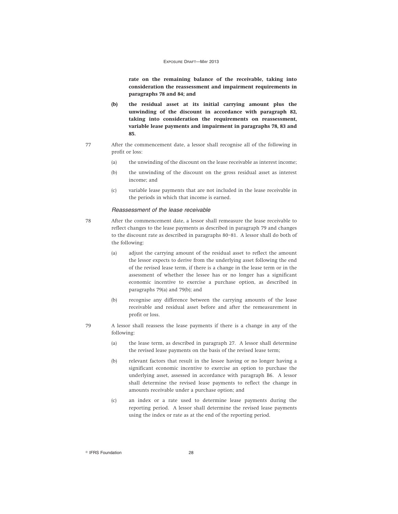**rate on the remaining balance of the receivable, taking into consideration the reassessment and impairment requirements in paragraphs 78 and 84; and**

- **(b) the residual asset at its initial carrying amount plus the unwinding of the discount in accordance with paragraph 82, taking into consideration the requirements on reassessment, variable lease payments and impairment in paragraphs 78, 83 and 85.**
- 77 After the commencement date, a lessor shall recognise all of the following in profit or loss:
	- (a) the unwinding of the discount on the lease receivable as interest income;
	- (b) the unwinding of the discount on the gross residual asset as interest income; and
	- (c) variable lease payments that are not included in the lease receivable in the periods in which that income is earned.

#### Reassessment of the lease receivable

- 78 After the commencement date, a lessor shall remeasure the lease receivable to reflect changes to the lease payments as described in paragraph 79 and changes to the discount rate as described in paragraphs 80–81. A lessor shall do both of the following:
	- (a) adjust the carrying amount of the residual asset to reflect the amount the lessor expects to derive from the underlying asset following the end of the revised lease term, if there is a change in the lease term or in the assessment of whether the lessee has or no longer has a significant economic incentive to exercise a purchase option, as described in paragraphs 79(a) and 79(b); and
	- (b) recognise any difference between the carrying amounts of the lease receivable and residual asset before and after the remeasurement in profit or loss.
- 79 A lessor shall reassess the lease payments if there is a change in any of the following:
	- (a) the lease term, as described in paragraph 27. A lessor shall determine the revised lease payments on the basis of the revised lease term;
	- (b) relevant factors that result in the lessee having or no longer having a significant economic incentive to exercise an option to purchase the underlying asset, assessed in accordance with paragraph B6. A lessor shall determine the revised lease payments to reflect the change in amounts receivable under a purchase option; and
	- (c) an index or a rate used to determine lease payments during the reporting period. A lessor shall determine the revised lease payments using the index or rate as at the end of the reporting period.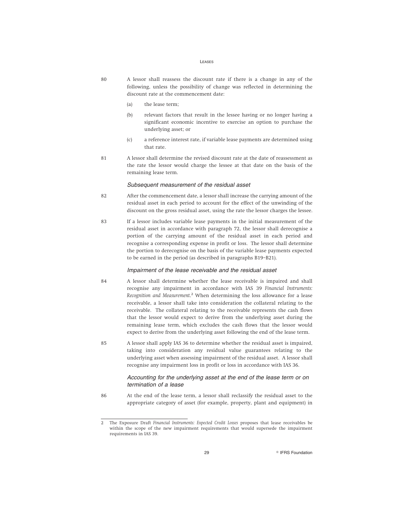- 80 A lessor shall reassess the discount rate if there is a change in any of the following, unless the possibility of change was reflected in determining the discount rate at the commencement date:
	- (a) the lease term;
	- (b) relevant factors that result in the lessee having or no longer having a significant economic incentive to exercise an option to purchase the underlying asset; or
	- (c) a reference interest rate, if variable lease payments are determined using that rate.
- 81 A lessor shall determine the revised discount rate at the date of reassessment as the rate the lessor would charge the lessee at that date on the basis of the remaining lease term.

#### Subsequent measurement of the residual asset

- 82 After the commencement date, a lessor shall increase the carrying amount of the residual asset in each period to account for the effect of the unwinding of the discount on the gross residual asset, using the rate the lessor charges the lessee.
- 83 If a lessor includes variable lease payments in the initial measurement of the residual asset in accordance with paragraph 72, the lessor shall derecognise a portion of the carrying amount of the residual asset in each period and recognise a corresponding expense in profit or loss. The lessor shall determine the portion to derecognise on the basis of the variable lease payments expected to be earned in the period (as described in paragraphs B19–B21).

#### Impairment of the lease receivable and the residual asset

- 84 A lessor shall determine whether the lease receivable is impaired and shall recognise any impairment in accordance with IAS 39 *Financial Instruments: Recognition and Measurement*. <sup>2</sup> When determining the loss allowance for a lease receivable, a lessor shall take into consideration the collateral relating to the receivable. The collateral relating to the receivable represents the cash flows that the lessor would expect to derive from the underlying asset during the remaining lease term, which excludes the cash flows that the lessor would expect to derive from the underlying asset following the end of the lease term.
- 85 A lessor shall apply IAS 36 to determine whether the residual asset is impaired, taking into consideration any residual value guarantees relating to the underlying asset when assessing impairment of the residual asset. A lessor shall recognise any impairment loss in profit or loss in accordance with IAS 36.

## Accounting for the underlying asset at the end of the lease term or on termination of <sup>a</sup> lease

86 At the end of the lease term, a lessor shall reclassify the residual asset to the appropriate category of asset (for example, property, plant and equipment) in

<sup>2</sup> The Exposure Draft *Financial Instruments: Expected Credit Losses* proposes that lease receivables be within the scope of the new impairment requirements that would supersede the impairment requirements in IAS 39.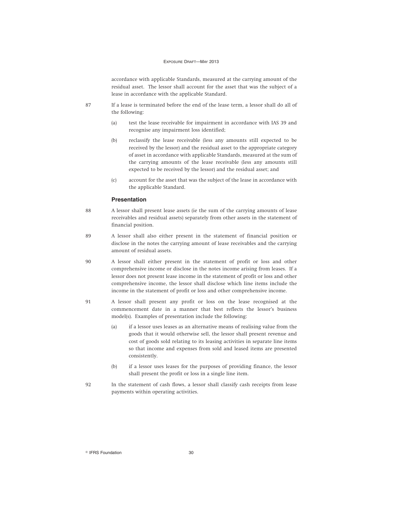accordance with applicable Standards, measured at the carrying amount of the residual asset. The lessor shall account for the asset that was the subject of a lease in accordance with the applicable Standard.

- 87 If a lease is terminated before the end of the lease term, a lessor shall do all of the following:
	- (a) test the lease receivable for impairment in accordance with IAS 39 and recognise any impairment loss identified;
	- (b) reclassify the lease receivable (less any amounts still expected to be received by the lessor) and the residual asset to the appropriate category of asset in accordance with applicable Standards, measured at the sum of the carrying amounts of the lease receivable (less any amounts still expected to be received by the lessor) and the residual asset; and
	- (c) account for the asset that was the subject of the lease in accordance with the applicable Standard.

#### **Presentation**

- 88 A lessor shall present lease assets (ie the sum of the carrying amounts of lease receivables and residual assets) separately from other assets in the statement of financial position.
- 89 A lessor shall also either present in the statement of financial position or disclose in the notes the carrying amount of lease receivables and the carrying amount of residual assets.
- 90 A lessor shall either present in the statement of profit or loss and other comprehensive income or disclose in the notes income arising from leases. If a lessor does not present lease income in the statement of profit or loss and other comprehensive income, the lessor shall disclose which line items include the income in the statement of profit or loss and other comprehensive income.
- 91 A lessor shall present any profit or loss on the lease recognised at the commencement date in a manner that best reflects the lessor's business model(s). Examples of presentation include the following:
	- (a) if a lessor uses leases as an alternative means of realising value from the goods that it would otherwise sell, the lessor shall present revenue and cost of goods sold relating to its leasing activities in separate line items so that income and expenses from sold and leased items are presented consistently.
	- (b) if a lessor uses leases for the purposes of providing finance, the lessor shall present the profit or loss in a single line item.
- 92 In the statement of cash flows, a lessor shall classify cash receipts from lease payments within operating activities.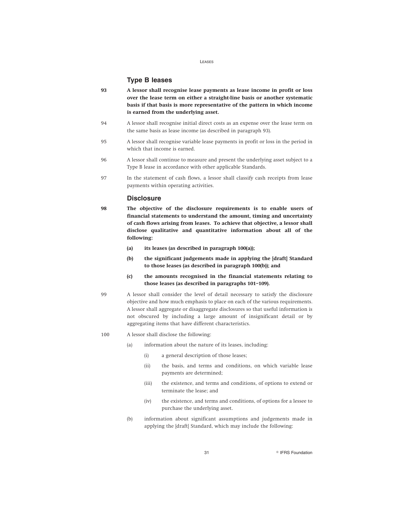## **Type B leases**

- **93 A lessor shall recognise lease payments as lease income in profit or loss over the lease term on either a straight-line basis or another systematic basis if that basis is more representative of the pattern in which income is earned from the underlying asset.**
- 94 A lessor shall recognise initial direct costs as an expense over the lease term on the same basis as lease income (as described in paragraph 93).
- 95 A lessor shall recognise variable lease payments in profit or loss in the period in which that income is earned.
- 96 A lessor shall continue to measure and present the underlying asset subject to a Type B lease in accordance with other applicable Standards.
- 97 In the statement of cash flows, a lessor shall classify cash receipts from lease payments within operating activities.

## **Disclosure**

- **98 The objective of the disclosure requirements is to enable users of financial statements to understand the amount, timing and uncertainty of cash flows arising from leases. To achieve that objective, a lessor shall disclose qualitative and quantitative information about all of the following:**
	- **(a) its leases (as described in paragraph 100(a));**
	- **(b) the significant judgements made in applying the [draft] Standard to those leases (as described in paragraph 100(b)); and**
	- **(c) the amounts recognised in the financial statements relating to those leases (as described in paragraphs 101–109).**
- 99 A lessor shall consider the level of detail necessary to satisfy the disclosure objective and how much emphasis to place on each of the various requirements. A lessor shall aggregate or disaggregate disclosures so that useful information is not obscured by including a large amount of insignificant detail or by aggregating items that have different characteristics.
- 100 A lessor shall disclose the following:
	- (a) information about the nature of its leases, including:
		- (i) a general description of those leases;
		- (ii) the basis, and terms and conditions, on which variable lease payments are determined;
		- (iii) the existence, and terms and conditions, of options to extend or terminate the lease; and
		- (iv) the existence, and terms and conditions, of options for a lessee to purchase the underlying asset.
	- (b) information about significant assumptions and judgements made in applying the [draft] Standard, which may include the following:

31 **CONTRES** Foundation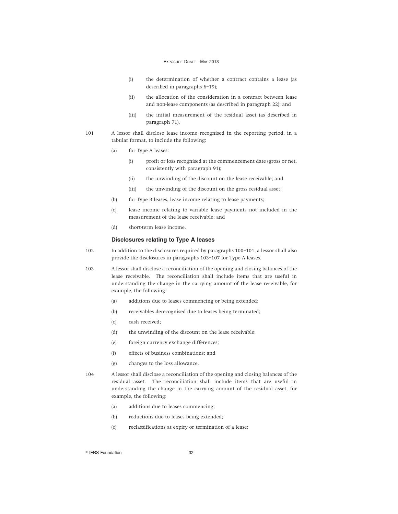- (i) the determination of whether a contract contains a lease (as described in paragraphs 6–19);
- (ii) the allocation of the consideration in a contract between lease and non-lease components (as described in paragraph 22); and
- (iii) the initial measurement of the residual asset (as described in paragraph 71).
- 101 A lessor shall disclose lease income recognised in the reporting period, in a tabular format, to include the following:
	- (a) for Type A leases:
		- (i) profit or loss recognised at the commencement date (gross or net, consistently with paragraph 91);
		- (ii) the unwinding of the discount on the lease receivable; and
		- (iii) the unwinding of the discount on the gross residual asset;
	- (b) for Type B leases, lease income relating to lease payments;
	- (c) lease income relating to variable lease payments not included in the measurement of the lease receivable; and
	- (d) short-term lease income.

## **Disclosures relating to Type A leases**

- 102 In addition to the disclosures required by paragraphs 100–101, a lessor shall also provide the disclosures in paragraphs 103–107 for Type A leases.
- 103 A lessor shall disclose a reconciliation of the opening and closing balances of the lease receivable. The reconciliation shall include items that are useful in understanding the change in the carrying amount of the lease receivable, for example, the following:
	- (a) additions due to leases commencing or being extended;
	- (b) receivables derecognised due to leases being terminated;
	- (c) cash received;
	- (d) the unwinding of the discount on the lease receivable;
	- (e) foreign currency exchange differences;
	- (f) effects of business combinations; and
	- (g) changes to the loss allowance.
- 104 A lessor shall disclose a reconciliation of the opening and closing balances of the residual asset. The reconciliation shall include items that are useful in understanding the change in the carrying amount of the residual asset, for example, the following:
	- (a) additions due to leases commencing;
	- (b) reductions due to leases being extended;
	- (c) reclassifications at expiry or termination of a lease;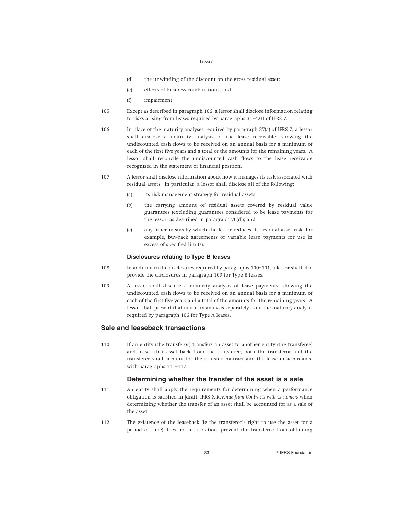- (d) the unwinding of the discount on the gross residual asset;
- (e) effects of business combinations; and
- (f) impairment.
- 105 Except as described in paragraph 106, a lessor shall disclose information relating to risks arising from leases required by paragraphs 31–42H of IFRS 7.
- 106 In place of the maturity analyses required by paragraph 37(a) of IFRS 7, a lessor shall disclose a maturity analysis of the lease receivable, showing the undiscounted cash flows to be received on an annual basis for a minimum of each of the first five years and a total of the amounts for the remaining years. A lessor shall reconcile the undiscounted cash flows to the lease receivable recognised in the statement of financial position.
- 107 A lessor shall disclose information about how it manages its risk associated with residual assets. In particular, a lessor shall disclose all of the following:
	- (a) its risk management strategy for residual assets;
	- (b) the carrying amount of residual assets covered by residual value guarantees (excluding guarantees considered to be lease payments for the lessor, as described in paragraph 70(d)); and
	- (c) any other means by which the lessor reduces its residual asset risk (for example, buy-back agreements or variable lease payments for use in excess of specified limits).

## **Disclosures relating to Type B leases**

- 108 In addition to the disclosures required by paragraphs 100–101, a lessor shall also provide the disclosures in paragraph 109 for Type B leases.
- 109 A lessor shall disclose a maturity analysis of lease payments, showing the undiscounted cash flows to be received on an annual basis for a minimum of each of the first five years and a total of the amounts for the remaining years. A lessor shall present that maturity analysis separately from the maturity analysis required by paragraph 106 for Type A leases.

## **Sale and leaseback transactions**

110 If an entity (the transferor) transfers an asset to another entity (the transferee) and leases that asset back from the transferee, both the transferor and the transferee shall account for the transfer contract and the lease in accordance with paragraphs 111–117.

## **Determining whether the transfer of the asset is a sale**

- 111 An entity shall apply the requirements for determining when a performance obligation is satisfied in [draft] IFRS X *Revenue from Contracts with Customers* when determining whether the transfer of an asset shall be accounted for as a sale of the asset.
- 112 The existence of the leaseback (ie the transferor's right to use the asset for a period of time) does not, in isolation, prevent the transferee from obtaining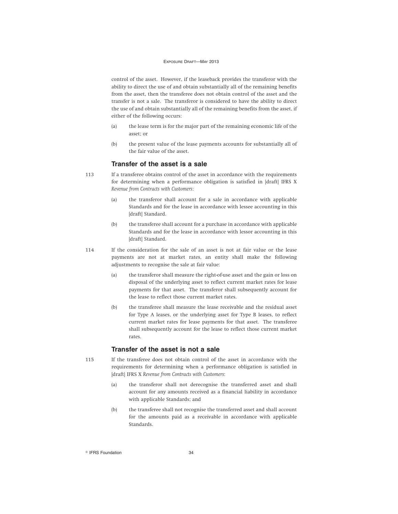control of the asset. However, if the leaseback provides the transferor with the ability to direct the use of and obtain substantially all of the remaining benefits from the asset, then the transferee does not obtain control of the asset and the transfer is not a sale. The transferor is considered to have the ability to direct the use of and obtain substantially all of the remaining benefits from the asset, if either of the following occurs:

- (a) the lease term is for the major part of the remaining economic life of the asset; or
- (b) the present value of the lease payments accounts for substantially all of the fair value of the asset.

## **Transfer of the asset is a sale**

- 113 If a transferee obtains control of the asset in accordance with the requirements for determining when a performance obligation is satisfied in [draft] IFRS X *Revenue from Contracts with Customers*:
	- (a) the transferor shall account for a sale in accordance with applicable Standards and for the lease in accordance with lessee accounting in this [draft] Standard.
	- (b) the transferee shall account for a purchase in accordance with applicable Standards and for the lease in accordance with lessor accounting in this [draft] Standard.
- 114 If the consideration for the sale of an asset is not at fair value or the lease payments are not at market rates, an entity shall make the following adjustments to recognise the sale at fair value:
	- (a) the transferor shall measure the right-of-use asset and the gain or loss on disposal of the underlying asset to reflect current market rates for lease payments for that asset. The transferor shall subsequently account for the lease to reflect those current market rates.
	- (b) the transferee shall measure the lease receivable and the residual asset for Type A leases, or the underlying asset for Type B leases, to reflect current market rates for lease payments for that asset. The transferee shall subsequently account for the lease to reflect those current market rates.

## **Transfer of the asset is not a sale**

- 115 If the transferee does not obtain control of the asset in accordance with the requirements for determining when a performance obligation is satisfied in [draft] IFRS X Revenue from Contracts with Customers:
	- (a) the transferor shall not derecognise the transferred asset and shall account for any amounts received as a financial liability in accordance with applicable Standards; and
	- (b) the transferee shall not recognise the transferred asset and shall account for the amounts paid as a receivable in accordance with applicable Standards.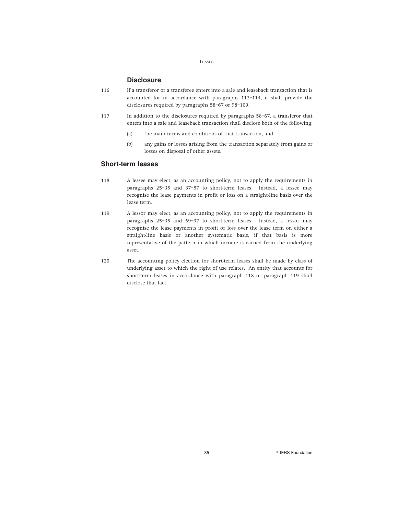## **Disclosure**

- 116 If a transferor or a transferee enters into a sale and leaseback transaction that is accounted for in accordance with paragraphs 113–114, it shall provide the disclosures required by paragraphs 58–67 or 98–109.
- 117 In addition to the disclosures required by paragraphs 58–67, a transferor that enters into a sale and leaseback transaction shall disclose both of the following:
	- (a) the main terms and conditions of that transaction, and
	- (b) any gains or losses arising from the transaction separately from gains or losses on disposal of other assets.

## **Short-term leases**

- 118 A lessee may elect, as an accounting policy, not to apply the requirements in paragraphs 25–35 and 37–57 to short-term leases. Instead, a lessee may recognise the lease payments in profit or loss on a straight-line basis over the lease term.
- 119 A lessor may elect, as an accounting policy, not to apply the requirements in paragraphs 25–35 and 69–97 to short-term leases. Instead, a lessor may recognise the lease payments in profit or loss over the lease term on either a straight-line basis or another systematic basis, if that basis is more representative of the pattern in which income is earned from the underlying asset.
- 120 The accounting policy election for short-term leases shall be made by class of underlying asset to which the right of use relates. An entity that accounts for short-term leases in accordance with paragraph 118 or paragraph 119 shall disclose that fact.

35 **B IFRS Foundation**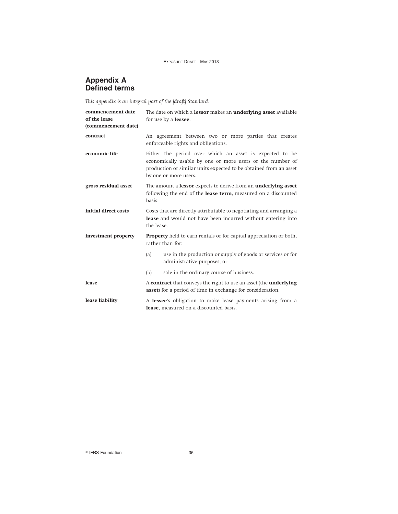# **Appendix A Defined terms**

*This appendix is an integral part of the [draft] Standard.*

| commencement date<br>of the lease<br>(commencement date) | The date on which a lessor makes an underlying asset available<br>for use by a lessee.                                                                                                                             |  |
|----------------------------------------------------------|--------------------------------------------------------------------------------------------------------------------------------------------------------------------------------------------------------------------|--|
| contract                                                 | An agreement between two or more parties that creates<br>enforceable rights and obligations.                                                                                                                       |  |
| economic life                                            | Either the period over which an asset is expected to be<br>economically usable by one or more users or the number of<br>production or similar units expected to be obtained from an asset<br>by one or more users. |  |
| gross residual asset                                     | The amount a lessor expects to derive from an underlying asset<br>following the end of the <b>lease term</b> , measured on a discounted<br>basis.                                                                  |  |
| initial direct costs                                     | Costs that are directly attributable to negotiating and arranging a<br>lease and would not have been incurred without entering into<br>the lease.                                                                  |  |
| investment property                                      | <b>Property</b> held to earn rentals or for capital appreciation or both,<br>rather than for:                                                                                                                      |  |
|                                                          | use in the production or supply of goods or services or for<br>(a)<br>administrative purposes, or                                                                                                                  |  |
|                                                          | sale in the ordinary course of business.<br>(b)                                                                                                                                                                    |  |
| lease                                                    | A contract that conveys the right to use an asset (the underlying<br>asset) for a period of time in exchange for consideration.                                                                                    |  |
| lease liability                                          | A lessee's obligation to make lease payments arising from a<br>lease, measured on a discounted basis.                                                                                                              |  |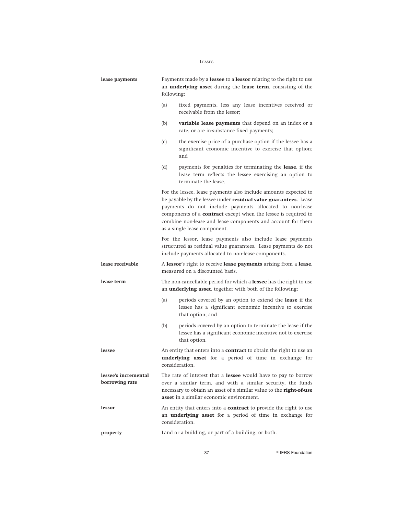| lease payments                         | Payments made by a <b>lessee</b> to a <b>lessor</b> relating to the right to use<br>an underlying asset during the lease term, consisting of the<br>following: |                                                                                                                                                                                                                                                                                                                                                                       |  |
|----------------------------------------|----------------------------------------------------------------------------------------------------------------------------------------------------------------|-----------------------------------------------------------------------------------------------------------------------------------------------------------------------------------------------------------------------------------------------------------------------------------------------------------------------------------------------------------------------|--|
|                                        | (a)                                                                                                                                                            | fixed payments, less any lease incentives received or<br>receivable from the lessor:                                                                                                                                                                                                                                                                                  |  |
|                                        | (b)                                                                                                                                                            | variable lease payments that depend on an index or a<br>rate, or are in-substance fixed payments;                                                                                                                                                                                                                                                                     |  |
|                                        | (c)                                                                                                                                                            | the exercise price of a purchase option if the lessee has a<br>significant economic incentive to exercise that option;<br>and                                                                                                                                                                                                                                         |  |
|                                        | (d)                                                                                                                                                            | payments for penalties for terminating the lease, if the<br>lease term reflects the lessee exercising an option to<br>terminate the lease.                                                                                                                                                                                                                            |  |
|                                        |                                                                                                                                                                | For the lessee, lease payments also include amounts expected to<br>be payable by the lessee under residual value guarantees. Lease<br>payments do not include payments allocated to non-lease<br>components of a <b>contract</b> except when the lessee is required to<br>combine non-lease and lease components and account for them<br>as a single lease component. |  |
|                                        |                                                                                                                                                                | For the lessor, lease payments also include lease payments<br>structured as residual value guarantees. Lease payments do not<br>include payments allocated to non-lease components.                                                                                                                                                                                   |  |
| lease receivable                       |                                                                                                                                                                | A lessor's right to receive lease payments arising from a lease,<br>measured on a discounted basis.                                                                                                                                                                                                                                                                   |  |
| lease term                             |                                                                                                                                                                | The non-cancellable period for which a lessee has the right to use<br>an <b>underlying asset</b> , together with both of the following:                                                                                                                                                                                                                               |  |
|                                        | (a)                                                                                                                                                            | periods covered by an option to extend the <b>lease</b> if the<br>lessee has a significant economic incentive to exercise<br>that option; and                                                                                                                                                                                                                         |  |
|                                        | (b)                                                                                                                                                            | periods covered by an option to terminate the lease if the<br>lessee has a significant economic incentive not to exercise<br>that option.                                                                                                                                                                                                                             |  |
| lessee                                 |                                                                                                                                                                | An entity that enters into a contract to obtain the right to use an<br>underlying asset for a period of time in exchange for<br>consideration.                                                                                                                                                                                                                        |  |
| lessee's incremental<br>borrowing rate |                                                                                                                                                                | The rate of interest that a lessee would have to pay to borrow<br>over a similar term, and with a similar security, the funds<br>necessary to obtain an asset of a similar value to the right-of-use<br>asset in a similar economic environment.                                                                                                                      |  |
| lessor                                 |                                                                                                                                                                | An entity that enters into a <b>contract</b> to provide the right to use<br>an underlying asset for a period of time in exchange for<br>consideration.                                                                                                                                                                                                                |  |
| property                               |                                                                                                                                                                | Land or a building, or part of a building, or both.                                                                                                                                                                                                                                                                                                                   |  |

37 **CONSTRUSS EXECUTE SETS** Foundation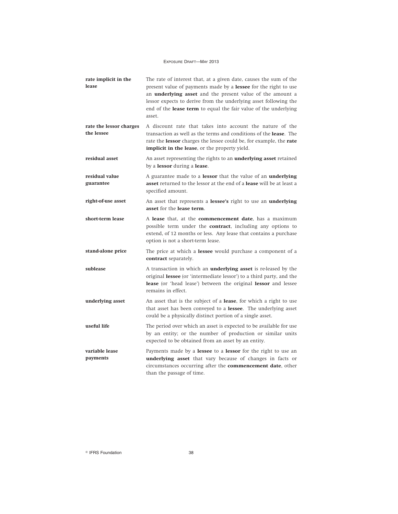| rate implicit in the<br>lease         | The rate of interest that, at a given date, causes the sum of the<br>present value of payments made by a lessee for the right to use<br>an underlying asset and the present value of the amount a<br>lessor expects to derive from the underlying asset following the<br>end of the lease term to equal the fair value of the underlying<br>asset. |
|---------------------------------------|----------------------------------------------------------------------------------------------------------------------------------------------------------------------------------------------------------------------------------------------------------------------------------------------------------------------------------------------------|
| rate the lessor charges<br>the lessee | A discount rate that takes into account the nature of the<br>transaction as well as the terms and conditions of the <b>lease</b> . The<br>rate the lessor charges the lessee could be, for example, the rate<br>implicit in the lease, or the property yield.                                                                                      |
| residual asset                        | An asset representing the rights to an <b>underlying asset</b> retained<br>by a <b>lessor</b> during a <b>lease</b> .                                                                                                                                                                                                                              |
| residual value<br>guarantee           | A guarantee made to a lessor that the value of an underlying<br><b>asset</b> returned to the lessor at the end of a <b>lease</b> will be at least a<br>specified amount.                                                                                                                                                                           |
| right-of-use asset                    | An asset that represents a <b>lessee's</b> right to use an <b>underlying</b><br>asset for the lease term.                                                                                                                                                                                                                                          |
| short-term lease                      | A lease that, at the commencement date, has a maximum<br>possible term under the <b>contract</b> , including any options to<br>extend, of 12 months or less. Any lease that contains a purchase<br>option is not a short-term lease.                                                                                                               |
| stand-alone price                     | The price at which a lessee would purchase a component of a<br>contract separately.                                                                                                                                                                                                                                                                |
| sublease                              | A transaction in which an <i>underlying</i> asset is re-leased by the<br>original lessee (or 'intermediate lessor') to a third party, and the<br>lease (or 'head lease') between the original lessor and lessee<br>remains in effect.                                                                                                              |
| underlying asset                      | An asset that is the subject of a lease, for which a right to use<br>that asset has been conveyed to a lessee. The underlying asset<br>could be a physically distinct portion of a single asset.                                                                                                                                                   |
| useful life                           | The period over which an asset is expected to be available for use<br>by an entity; or the number of production or similar units<br>expected to be obtained from an asset by an entity.                                                                                                                                                            |
| variable lease<br>payments            | Payments made by a <b>lessee</b> to a <b>lessor</b> for the right to use an<br>underlying asset that vary because of changes in facts or<br>circumstances occurring after the <b>commencement date</b> , other<br>than the passage of time.                                                                                                        |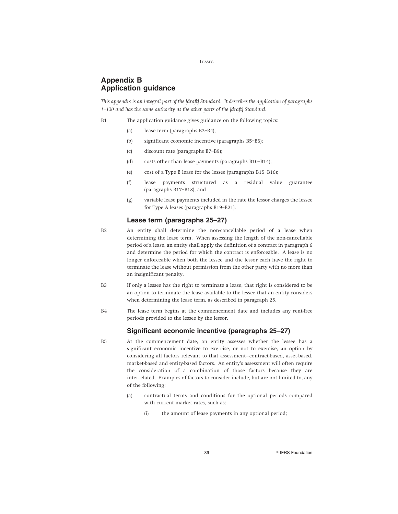# **Appendix B Application guidance**

*This appendix is an integral part of the [draft] Standard. It describes the application of paragraphs 1–120 and has the same authority as the other parts of the [draft] Standard.*

- B1 The application guidance gives guidance on the following topics:
	- (a) lease term (paragraphs B2–B4);
	- (b) significant economic incentive (paragraphs B5–B6);
	- (c) discount rate (paragraphs B7–B9);
	- (d) costs other than lease payments (paragraphs B10–B14);
	- (e) cost of a Type B lease for the lessee (paragraphs B15–B16);
	- (f) lease payments structured as a residual value guarantee (paragraphs B17–B18); and
	- (g) variable lease payments included in the rate the lessor charges the lessee for Type A leases (paragraphs B19–B21).

#### **Lease term (paragraphs 25–27)**

- B2 An entity shall determine the non-cancellable period of a lease when determining the lease term. When assessing the length of the non-cancellable period of a lease, an entity shall apply the definition of a contract in paragraph 6 and determine the period for which the contract is enforceable. A lease is no longer enforceable when both the lessee and the lessor each have the right to terminate the lease without permission from the other party with no more than an insignificant penalty.
- B3 If only a lessee has the right to terminate a lease, that right is considered to be an option to terminate the lease available to the lessee that an entity considers when determining the lease term, as described in paragraph 25.
- B4 The lease term begins at the commencement date and includes any rent-free periods provided to the lessee by the lessor.

## **Significant economic incentive (paragraphs 25–27)**

- B5 At the commencement date, an entity assesses whether the lessee has a significant economic incentive to exercise, or not to exercise, an option by considering all factors relevant to that assessment—contract-based, asset-based, market-based and entity-based factors. An entity's assessment will often require the consideration of a combination of those factors because they are interrelated. Examples of factors to consider include, but are not limited to, any of the following:
	- (a) contractual terms and conditions for the optional periods compared with current market rates, such as:
		- (i) the amount of lease payments in any optional period;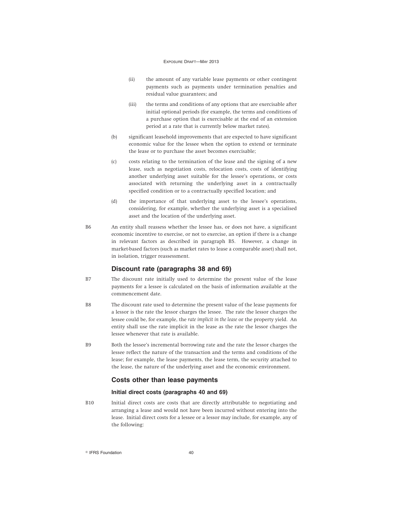- (ii) the amount of any variable lease payments or other contingent payments such as payments under termination penalties and residual value guarantees; and
- (iii) the terms and conditions of any options that are exercisable after initial optional periods (for example, the terms and conditions of a purchase option that is exercisable at the end of an extension period at a rate that is currently below market rates).
- (b) significant leasehold improvements that are expected to have significant economic value for the lessee when the option to extend or terminate the lease or to purchase the asset becomes exercisable;
- (c) costs relating to the termination of the lease and the signing of a new lease, such as negotiation costs, relocation costs, costs of identifying another underlying asset suitable for the lessee's operations, or costs associated with returning the underlying asset in a contractually specified condition or to a contractually specified location; and
- (d) the importance of that underlying asset to the lessee's operations, considering, for example, whether the underlying asset is a specialised asset and the location of the underlying asset.
- B6 An entity shall reassess whether the lessee has, or does not have, a significant economic incentive to exercise, or not to exercise, an option if there is a change in relevant factors as described in paragraph B5. However, a change in market-based factors (such as market rates to lease a comparable asset) shall not, in isolation, trigger reassessment.

#### **Discount rate (paragraphs 38 and 69)**

- B7 The discount rate initially used to determine the present value of the lease payments for a lessee is calculated on the basis of information available at the commencement date.
- B8 The discount rate used to determine the present value of the lease payments for a lessor is the rate the lessor charges the lessee. The rate the lessor charges the lessee could be, for example, the *rate implicit in the lease* or the property yield. An entity shall use the rate implicit in the lease as the rate the lessor charges the lessee whenever that rate is available.
- B9 Both the lessee's incremental borrowing rate and the rate the lessor charges the lessee reflect the nature of the transaction and the terms and conditions of the lease; for example, the lease payments, the lease term, the security attached to the lease, the nature of the underlying asset and the economic environment.

#### **Costs other than lease payments**

#### **Initial direct costs (paragraphs 40 and 69)**

B10 Initial direct costs are costs that are directly attributable to negotiating and arranging a lease and would not have been incurred without entering into the lease. Initial direct costs for a lessee or a lessor may include, for example, any of the following: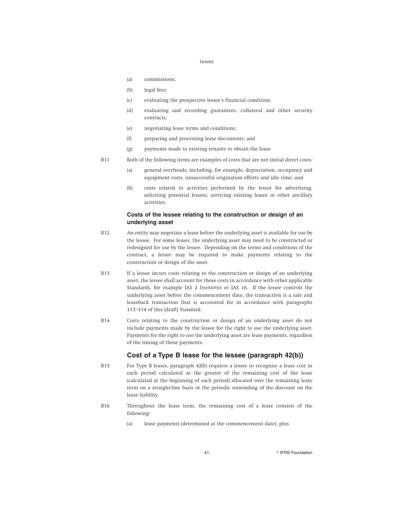- (a) commissions;
- (b) legal fees;
- (c) evaluating the prospective lessee's financial condition;
- (d) evaluating and recording guarantees, collateral and other security contracts;
- (e) negotiating lease terms and conditions;
- (f) preparing and processing lease documents; and
- (g) payments made to existing tenants to obtain the lease.
- B11 Both of the following items are examples of costs that are not initial direct costs:
	- (a) general overheads, including, for example, depreciation, occupancy and equipment costs, unsuccessful origination efforts and idle time; and
	- (b) costs related to activities performed by the lessor for advertising, soliciting potential lessees, servicing existing leases or other ancillary activities.

#### **Costs of the lessee relating to the construction or design of an underlying asset**

- B12 An entity may negotiate a lease before the underlying asset is available for use by the lessee. For some leases, the underlying asset may need to be constructed or redesigned for use by the lessee. Depending on the terms and conditions of the contract, a lessee may be required to make payments relating to the construction or design of the asset.
- B13 If a lessee incurs costs relating to the construction or design of an underlying asset, the lessee shall account for those costs in accordance with other applicable Standards, for example IAS 2 *Inventories* or IAS 16. If the lessee controls the underlying asset before the commencement date, the transaction is a sale and leaseback transaction that is accounted for in accordance with paragraphs 113–114 of this [draft] Standard.
- B14 Costs relating to the construction or design of an underlying asset do not include payments made by the lessee for the right to use the underlying asset. Payments for the right to use the underlying asset are lease payments, regardless of the timing of those payments.

## **Cost of a Type B lease for the lessee (paragraph 42(b))**

- B15 For Type B leases, paragraph 42(b) requires a lessee to recognise a lease cost in each period calculated as the greater of the remaining cost of the lease (calculated at the beginning of each period) allocated over the remaining lease term on a straight-line basis or the periodic unwinding of the discount on the lease liability.
- B16 Throughout the lease term, the remaining cost of a lease consists of the following:
	- (a) lease payments (determined at the commencement date); plus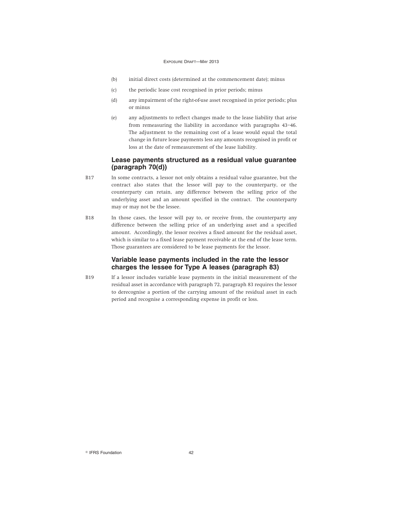- (b) initial direct costs (determined at the commencement date); minus
- (c) the periodic lease cost recognised in prior periods; minus
- (d) any impairment of the right-of-use asset recognised in prior periods; plus or minus
- (e) any adjustments to reflect changes made to the lease liability that arise from remeasuring the liability in accordance with paragraphs 43–46. The adjustment to the remaining cost of a lease would equal the total change in future lease payments less any amounts recognised in profit or loss at the date of remeasurement of the lease liability.

# **Lease payments structured as a residual value guarantee (paragraph 70(d))**

- B17 In some contracts, a lessor not only obtains a residual value guarantee, but the contract also states that the lessor will pay to the counterparty, or the counterparty can retain, any difference between the selling price of the underlying asset and an amount specified in the contract. The counterparty may or may not be the lessee.
- B18 In those cases, the lessor will pay to, or receive from, the counterparty any difference between the selling price of an underlying asset and a specified amount. Accordingly, the lessor receives a fixed amount for the residual asset, which is similar to a fixed lease payment receivable at the end of the lease term. Those guarantees are considered to be lease payments for the lessor.

#### **Variable lease payments included in the rate the lessor charges the lessee for Type A leases (paragraph 83)**

B19 If a lessor includes variable lease payments in the initial measurement of the residual asset in accordance with paragraph 72, paragraph 83 requires the lessor to derecognise a portion of the carrying amount of the residual asset in each period and recognise a corresponding expense in profit or loss.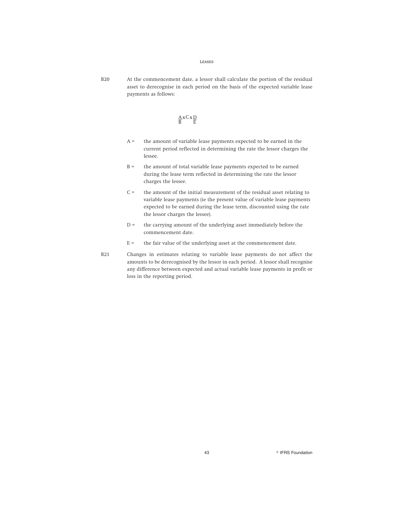B20 At the commencement date, a lessor shall calculate the portion of the residual asset to derecognise in each period on the basis of the expected variable lease payments as follows:

# $\frac{A}{B}$ x C x  $\frac{D}{E}$

- A = the amount of variable lease payments expected to be earned in the current period reflected in determining the rate the lessor charges the lessee.
- B = the amount of total variable lease payments expected to be earned during the lease term reflected in determining the rate the lessor charges the lessee.
- C = the amount of the initial measurement of the residual asset relating to variable lease payments (ie the present value of variable lease payments expected to be earned during the lease term, discounted using the rate the lessor charges the lessee).
- D = the carrying amount of the underlying asset immediately before the commencement date.
- $E =$  the fair value of the underlying asset at the commencement date.
- B21 Changes in estimates relating to variable lease payments do not affect the amounts to be derecognised by the lessor in each period. A lessor shall recognise any difference between expected and actual variable lease payments in profit or loss in the reporting period.

43 **R IFRS Foundation**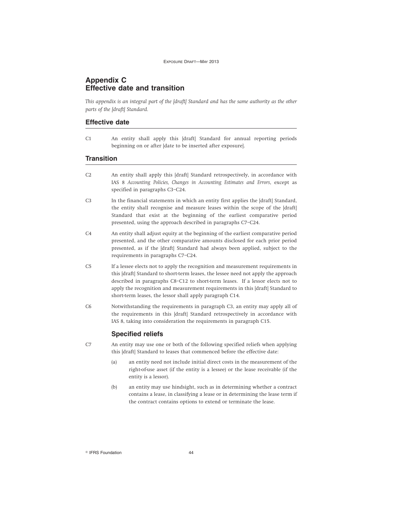# **Appendix C Effective date and transition**

*This appendix is an integral part of the [draft] Standard and has the same authority as the other parts of the [draft] Standard.*

# **Effective date**

C1 An entity shall apply this [draft] Standard for annual reporting periods beginning on or after [date to be inserted after exposure].

## **Transition**

- C2 An entity shall apply this [draft] Standard retrospectively, in accordance with IAS 8 *Accounting Policies, Changes in Accounting Estimates and Errors*, except as specified in paragraphs C3–C24.
- C3 In the financial statements in which an entity first applies the [draft] Standard, the entity shall recognise and measure leases within the scope of the [draft] Standard that exist at the beginning of the earliest comparative period presented, using the approach described in paragraphs C7–C24.
- C4 An entity shall adjust equity at the beginning of the earliest comparative period presented, and the other comparative amounts disclosed for each prior period presented, as if the [draft] Standard had always been applied, subject to the requirements in paragraphs C7–C24.
- C5 If a lessee elects not to apply the recognition and measurement requirements in this [draft] Standard to short-term leases, the lessee need not apply the approach described in paragraphs C8–C12 to short-term leases. If a lessor elects not to apply the recognition and measurement requirements in this [draft] Standard to short-term leases, the lessor shall apply paragraph C14.
- C6 Notwithstanding the requirements in paragraph C3, an entity may apply all of the requirements in this [draft] Standard retrospectively in accordance with IAS 8, taking into consideration the requirements in paragraph C15.

#### **Specified reliefs**

- C7 An entity may use one or both of the following specified reliefs when applying this [draft] Standard to leases that commenced before the effective date:
	- (a) an entity need not include initial direct costs in the measurement of the right-of-use asset (if the entity is a lessee) or the lease receivable (if the entity is a lessor).
	- (b) an entity may use hindsight, such as in determining whether a contract contains a lease, in classifying a lease or in determining the lease term if the contract contains options to extend or terminate the lease.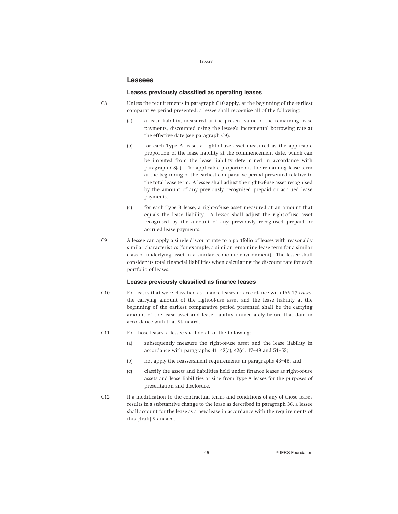#### **Lessees**

#### **Leases previously classified as operating leases**

C8 Unless the requirements in paragraph C10 apply, at the beginning of the earliest comparative period presented, a lessee shall recognise all of the following:

- (a) a lease liability, measured at the present value of the remaining lease payments, discounted using the lessee's incremental borrowing rate at the effective date (see paragraph C9).
- (b) for each Type A lease, a right-of-use asset measured as the applicable proportion of the lease liability at the commencement date, which can be imputed from the lease liability determined in accordance with paragraph C8(a). The applicable proportion is the remaining lease term at the beginning of the earliest comparative period presented relative to the total lease term. A lessee shall adjust the right-of-use asset recognised by the amount of any previously recognised prepaid or accrued lease payments.
- (c) for each Type B lease, a right-of-use asset measured at an amount that equals the lease liability. A lessee shall adjust the right-of-use asset recognised by the amount of any previously recognised prepaid or accrued lease payments.
- C9 A lessee can apply a single discount rate to a portfolio of leases with reasonably similar characteristics (for example, a similar remaining lease term for a similar class of underlying asset in a similar economic environment). The lessee shall consider its total financial liabilities when calculating the discount rate for each portfolio of leases.

#### **Leases previously classified as finance leases**

- C10 For leases that were classified as finance leases in accordance with IAS 17 *Leases*, the carrying amount of the right-of-use asset and the lease liability at the beginning of the earliest comparative period presented shall be the carrying amount of the lease asset and lease liability immediately before that date in accordance with that Standard.
- C11 For those leases, a lessee shall do all of the following:
	- (a) subsequently measure the right-of-use asset and the lease liability in accordance with paragraphs 41, 42(a), 42(c), 47–49 and 51–53;
	- (b) not apply the reassessment requirements in paragraphs 43–46; and
	- (c) classify the assets and liabilities held under finance leases as right-of-use assets and lease liabilities arising from Type A leases for the purposes of presentation and disclosure.
- C12 If a modification to the contractual terms and conditions of any of those leases results in a substantive change to the lease as described in paragraph 36, a lessee shall account for the lease as a new lease in accordance with the requirements of this [draft] Standard.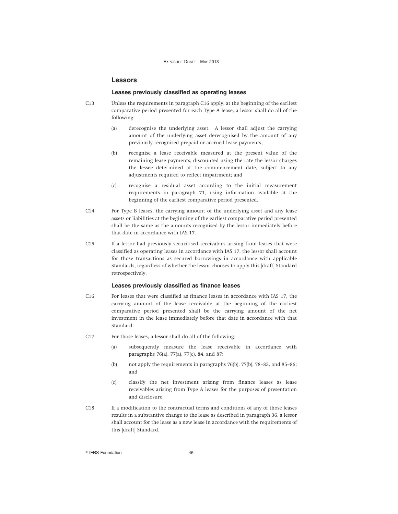#### **Lessors**

#### **Leases previously classified as operating leases**

- C13 Unless the requirements in paragraph C16 apply, at the beginning of the earliest comparative period presented for each Type A lease, a lessor shall do all of the following:
	- (a) derecognise the underlying asset. A lessor shall adjust the carrying amount of the underlying asset derecognised by the amount of any previously recognised prepaid or accrued lease payments;
	- (b) recognise a lease receivable measured at the present value of the remaining lease payments, discounted using the rate the lessor charges the lessee determined at the commencement date, subject to any adjustments required to reflect impairment; and
	- (c) recognise a residual asset according to the initial measurement requirements in paragraph 71, using information available at the beginning of the earliest comparative period presented.
- C14 For Type B leases, the carrying amount of the underlying asset and any lease assets or liabilities at the beginning of the earliest comparative period presented shall be the same as the amounts recognised by the lessor immediately before that date in accordance with IAS 17.
- C15 If a lessor had previously securitised receivables arising from leases that were classified as operating leases in accordance with IAS 17, the lessor shall account for those transactions as secured borrowings in accordance with applicable Standards, regardless of whether the lessor chooses to apply this [draft] Standard retrospectively.

#### **Leases previously classified as finance leases**

- C16 For leases that were classified as finance leases in accordance with IAS 17, the carrying amount of the lease receivable at the beginning of the earliest comparative period presented shall be the carrying amount of the net investment in the lease immediately before that date in accordance with that Standard.
- C17 For those leases, a lessor shall do all of the following:
	- (a) subsequently measure the lease receivable in accordance with paragraphs 76(a), 77(a), 77(c), 84, and 87;
	- (b) not apply the requirements in paragraphs 76(b), 77(b), 78–83, and 85–86; and
	- (c) classify the net investment arising from finance leases as lease receivables arising from Type A leases for the purposes of presentation and disclosure.
- C18 If a modification to the contractual terms and conditions of any of those leases results in a substantive change to the lease as described in paragraph 36, a lessor shall account for the lease as a new lease in accordance with the requirements of this [draft] Standard.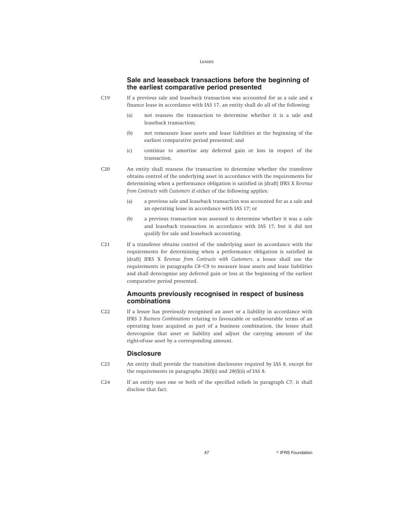# **Sale and leaseback transactions before the beginning of the earliest comparative period presented**

- C19 If a previous sale and leaseback transaction was accounted for as a sale and a finance lease in accordance with IAS 17, an entity shall do all of the following:
	- (a) not reassess the transaction to determine whether it is a sale and leaseback transaction;
	- (b) not remeasure lease assets and lease liabilities at the beginning of the earliest comparative period presented; and
	- (c) continue to amortise any deferred gain or loss in respect of the transaction.
- C20 An entity shall reassess the transaction to determine whether the transferee obtains control of the underlying asset in accordance with the requirements for determining when a performance obligation is satisfied in [draft] IFRS X *Revenue from Contracts with Customers* if either of the following applies:
	- (a) a previous sale and leaseback transaction was accounted for as a sale and an operating lease in accordance with IAS 17; or
	- (b) a previous transaction was assessed to determine whether it was a sale and leaseback transaction in accordance with IAS 17, but it did not qualify for sale and leaseback accounting.
- C21 If a transferee obtains control of the underlying asset in accordance with the requirements for determining when a performance obligation is satisfied in [draft] IFRS X *Revenue from Contracts with Customers*, a lessee shall use the requirements in paragraphs C8–C9 to measure lease assets and lease liabilities and shall derecognise any deferred gain or loss at the beginning of the earliest comparative period presented.

# **Amounts previously recognised in respect of business combinations**

C22 If a lessee has previously recognised an asset or a liability in accordance with IFRS 3 *Business Combinations* relating to favourable or unfavourable terms of an operating lease acquired as part of a business combination, the lessee shall derecognise that asset or liability and adjust the carrying amount of the right-of-use asset by a corresponding amount.

# **Disclosure**

- C23 An entity shall provide the transition disclosures required by IAS 8, except for the requirements in paragraphs 28(f)(i) and 28(f)(ii) of IAS 8.
- C24 If an entity uses one or both of the specified reliefs in paragraph C7, it shall disclose that fact.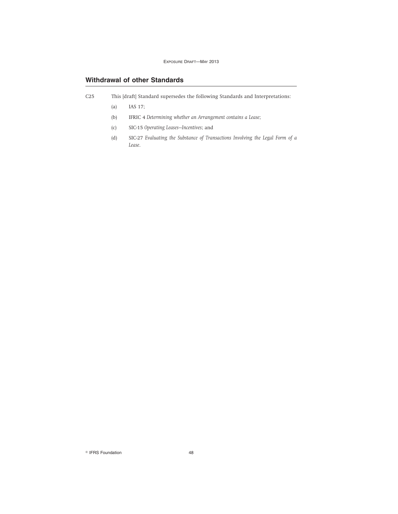# **Withdrawal of other Standards**

| C25 |  |  |  | This [draft] Standard supersedes the following Standards and Interpretations: |  |  |  |  |  |  |
|-----|--|--|--|-------------------------------------------------------------------------------|--|--|--|--|--|--|
|-----|--|--|--|-------------------------------------------------------------------------------|--|--|--|--|--|--|

- (a) IAS 17;
- (b) IFRIC 4 *Determining whether an Arrangement contains a Lease*;
- (c) SIC-15 *Operating Leases—Incentives*; and
- (d) SIC-27 *Evaluating the Substance of Transactions Involving the Legal Form of a Lease*.

 $\degree$  IFRS Foundation 48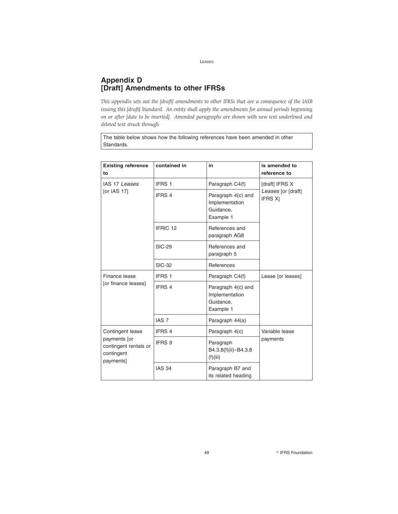# **Appendix D [Draft] Amendments to other IFRSs**

*This appendix sets out the [draft] amendments to other IFRSs that are a consequence of the IASB issuing this [draft] Standard. An entity shall apply the amendments for annual periods beginning on or after [date to be inserted]. Amended paragraphs are shown with new text underlined and deleted text struck through.*

LEASES

The table below shows how the following references have been amended in other Standards.

| <b>Existing reference</b><br>to                                  | contained in     | in                                                             | is amended to<br>reference to |
|------------------------------------------------------------------|------------------|----------------------------------------------------------------|-------------------------------|
| IAS 17 Leases                                                    | IFRS 1           | Paragraph C4(f)                                                | [draft] IFRS X                |
| [or IAS 17]                                                      | IFRS 4           | Paragraph 4(c) and<br>Implementation<br>Guidance,<br>Example 1 | Leases [or [draft]<br>IFRS X1 |
|                                                                  | IFRIC 12         | References and<br>paragraph AG8                                |                               |
|                                                                  | <b>SIC-29</b>    | References and<br>paragraph 5                                  |                               |
|                                                                  | <b>SIC-32</b>    | References                                                     |                               |
| Finance lease                                                    | IFRS 1           | Paragraph C4(f)                                                | Lease [or leases]             |
| [or finance leases]                                              | IFRS 4           | Paragraph 4(c) and<br>Implementation<br>Guidance,<br>Example 1 |                               |
|                                                                  | IAS <sub>7</sub> | Paragraph 44(a)                                                |                               |
| Contingent lease                                                 | IFRS 4           | Paragraph 4(c)                                                 | Variable lease                |
| payments [or<br>contingent rentals or<br>contingent<br>payments] | IFRS 9           | Paragraph<br>B4.3.8(f)(ii)-B4.3.8<br>(f)(iii)                  | payments                      |
|                                                                  | <b>IAS 34</b>    | Paragraph B7 and<br>its related heading                        |                               |

49 **PERS Foundation**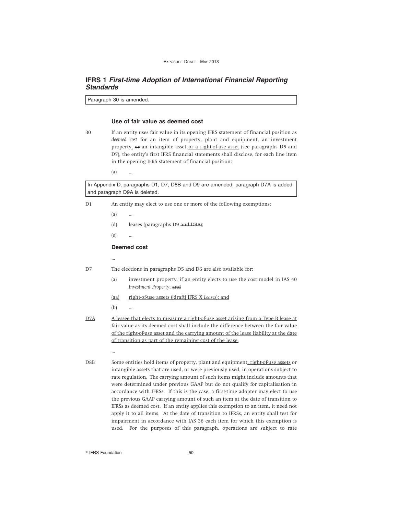# **IFRS 1 First-time Adoption of International Financial Reporting Standards**

Paragraph 30 is amended.

#### **Use of fair value as deemed cost**

- 30 If an entity uses fair value in its opening IFRS statement of financial position as *deemed cost* for an item of property, plant and equipment, an investment property, or an intangible asset or a right-of-use asset (see paragraphs D5 and D7), the entity's first IFRS financial statements shall disclose, for each line item in the opening IFRS statement of financial position:
	- $(a)$

In Appendix D, paragraphs D1, D7, D8B and D9 are amended, paragraph D7A is added and paragraph D9A is deleted.

- D1 An entity may elect to use one or more of the following exemptions:
	- $(a)$
	- (d) leases (paragraphs D9 and D9A);
	- (e) …

#### **Deemed cost**

…

- D7 The elections in paragraphs D5 and D6 are also available for:
	- (a) investment property, if an entity elects to use the cost model in IAS 40 *Investment Property*; and
	- (aa) right-of-use assets ([draft] IFRS X *Leases*); and
	- $(b)$

…

- D7A A lessee that elects to measure a right-of-use asset arising from a Type B lease at fair value as its deemed cost shall include the difference between the fair value of the right-of-use asset and the carrying amount of the lease liability at the date of transition as part of the remaining cost of the lease.
- D8B Some entities hold items of property, plant and equipment, right-of-use assets or intangible assets that are used, or were previously used, in operations subject to rate regulation. The carrying amount of such items might include amounts that were determined under previous GAAP but do not qualify for capitalisation in accordance with IFRSs. If this is the case, a first-time adopter may elect to use the previous GAAP carrying amount of such an item at the date of transition to IFRSs as deemed cost. If an entity applies this exemption to an item, it need not apply it to all items. At the date of transition to IFRSs, an entity shall test for impairment in accordance with IAS 36 each item for which this exemption is used. For the purposes of this paragraph, operations are subject to rate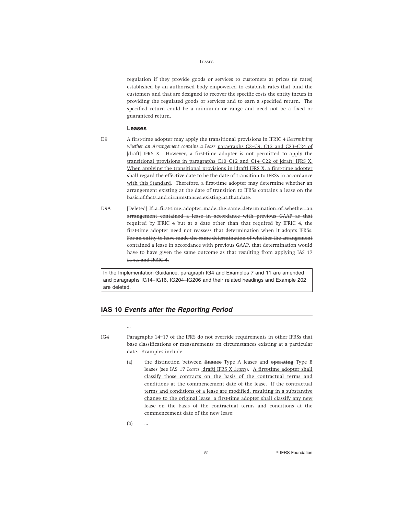regulation if they provide goods or services to customers at prices (ie rates) established by an authorised body empowered to establish rates that bind the customers and that are designed to recover the specific costs the entity incurs in providing the regulated goods or services and to earn a specified return. The specified return could be a minimum or range and need not be a fixed or guaranteed return.

#### **Leases**

- D9 A first-time adopter may apply the transitional provisions in IFRIC 4 *Determining whether an Arrangement contains a Lease* paragraphs C3–C9, C13 and C23–C24 of [draft] IFRS X. However, a first-time adopter is not permitted to apply the transitional provisions in paragraphs C10–C12 and C14–C22 of [draft] IFRS X. When applying the transitional provisions in [draft] IFRS X, a first-time adopter shall regard the effective date to be the date of transition to IFRSs in accordance with this Standard. Therefore, a first-time adopter may determine whether an arrangement existing at the date of transition to IFRSs contains a lease on the basis of facts and circumstances existing at that date.
- D9A [Deleted] If a first-time adopter made the same determination of whether an arrangement contained a lease in accordance with previous GAAP as that required by IFRIC 4 but at a date other than that required by IFRIC 4, the first-time adopter need not reassess that determination when it adopts IFRSs. For an entity to have made the same determination of whether the arrangement contained a lease in accordance with previous GAAP, that determination would have to have given the same outcome as that resulting from applying IAS 17 *Leases* and IFRIC 4.

In the Implementation Guidance, paragraph IG4 and Examples 7 and 11 are amended and paragraphs IG14–IG16, IG204–IG206 and their related headings and Example 202 are deleted.

#### **IAS 10 Events after the Reporting Period**

IG4 Paragraphs 14–17 of the IFRS do not override requirements in other IFRSs that base classifications or measurements on circumstances existing at a particular date. Examples include:

> (a) the distinction between  $f$  finance Type  $A$  leases and operating Type  $B$ leases (see IAS 17 *Leases* [draft] IFRS X *Leases*). A first-time adopter shall classify those contracts on the basis of the contractual terms and conditions at the commencement date of the lease. If the contractual terms and conditions of a lease are modified, resulting in a substantive change to the original lease, a first-time adopter shall classify any new lease on the basis of the contractual terms and conditions at the commencement date of the new lease;

 $(b)$  ...

…

51 **Constanting Construction Constanting Construction Construction**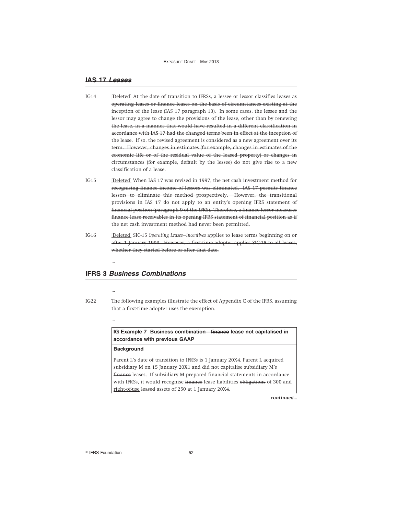#### **IAS 17 Leases**

- IG14 [Deleted] At the date of transition to IFRSs, a lessee or lessor classifies leases as operating leases or finance leases on the basis of circumstances existing at the inception of the lease (IAS 17 paragraph 13). In some cases, the lessee and the lessor may agree to change the provisions of the lease, other than by renewing the lease, in a manner that would have resulted in a different classification in accordance with IAS 17 had the changed terms been in effect at the inception of the lease. If so, the revised agreement is considered as a new agreement over its term. However, changes in estimates (for example, changes in estimates of the economic life or of the residual value of the leased property) or changes in circumstances (for example, default by the lessee) do not give rise to a new classification of a lease.
- IG15 [Deleted] When IAS 17 was revised in 1997, the net cash investment method for recognising finance income of lessors was eliminated. IAS 17 permits finance lessors to eliminate this method prospectively. However, the transitional provisions in IAS 17 do not apply to an entity's opening IFRS statement of financial position (paragraph 9 of the IFRS). Therefore, a finance lessor measures finance lease receivables in its opening IFRS statement of financial position as if the net cash investment method had never been permitted.
- IG16 [Deleted] SIC-15 *Operating Leases—Incentives* applies to lease terms beginning on or after 1 January 1999. However, a first-time adopter applies SIC-15 to all leases, whether they started before or after that date.

# **IFRS 3 Business Combinations**

...

...

...

IG22 The following examples illustrate the effect of Appendix C of the IFRS, assuming that a first-time adopter uses the exemption.

> **IG Example 7 Business combination—finance lease not capitalised in accordance with previous GAAP**

#### **Background**

Parent L's date of transition to IFRSs is 1 January 20X4. Parent L acquired subsidiary M on 15 January 20X1 and did not capitalise subsidiary M's finance leases. If subsidiary M prepared financial statements in accordance with IFRSs, it would recognise finance lease liabilities obligations of 300 and right-of-use leased assets of 250 at 1 January 20X4.

*continued...*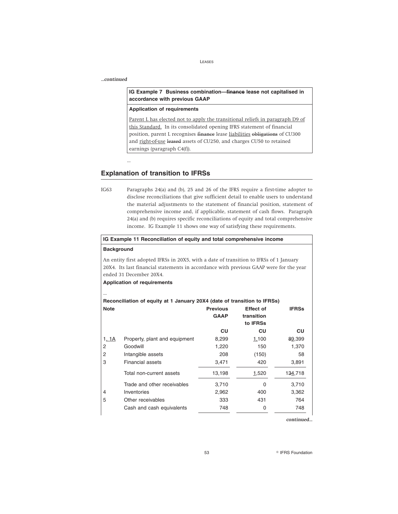#### *...continued*

**IG Example 7 Business combination—finance lease not capitalised in accordance with previous GAAP**

LEASES

#### **Application of requirements**

Parent L has elected not to apply the transitional reliefs in paragraph D9 of this Standard. In its consolidated opening IFRS statement of financial position, parent L recognises finance lease liabilities obligations of CU300 and right-of-use leased assets of CU250, and charges CU50 to retained earnings (paragraph C4(f)).

# **Explanation of transition to IFRSs**

…

IG63 Paragraphs 24(a) and (b), 25 and 26 of the IFRS require a first-time adopter to disclose reconciliations that give sufficient detail to enable users to understand the material adjustments to the statement of financial position, statement of comprehensive income and, if applicable, statement of cash flows. Paragraph 24(a) and (b) requires specific reconciliations of equity and total comprehensive income. IG Example 11 shows one way of satisfying these requirements.

## **IG Example 11 Reconciliation of equity and total comprehensive income**

#### **Background**

…

An entity first adopted IFRSs in 20X5, with a date of transition to IFRSs of 1 January 20X4. Its last financial statements in accordance with previous GAAP were for the year ended 31 December 20X4.

#### **Application of requirements**

#### **Reconciliation of equity at 1 January 20X4 (date of transition to IFRSs) Note Previous Effect of IFRSs**

|       |                               | <b>GAAP</b> | transition<br>to IFRSs |         |
|-------|-------------------------------|-------------|------------------------|---------|
|       |                               | CU          | CU                     | CU      |
| 1, 1A | Property, plant and equipment | 8,299       | 1,100                  | 89,399  |
| 2     | Goodwill                      | 1,220       | 150                    | 1,370   |
| 2     | Intangible assets             | 208         | (150)                  | 58      |
| 3     | Financial assets              | 3,471       | 420                    | 3,891   |
|       | Total non-current assets      | 13,198      | 1,520                  | 134,718 |
|       | Trade and other receivables   | 3,710       | 0                      | 3,710   |
| 4     | Inventories                   | 2,962       | 400                    | 3,362   |
| 5     | Other receivables             | 333         | 431                    | 764     |
|       | Cash and cash equivalents     | 748         | 0                      | 748     |

*continued...*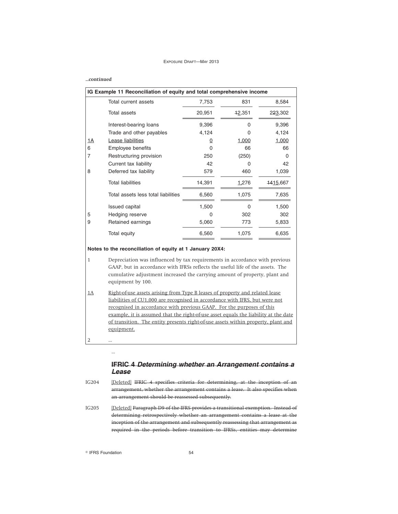# *...continued*

|           | IG Example 11 Reconciliation of equity and total comprehensive income |                |          |          |
|-----------|-----------------------------------------------------------------------|----------------|----------|----------|
|           | Total current assets                                                  | 7,753          | 831      | 8,584    |
|           | Total assets                                                          | 20,951         | 42,351   | 223,302  |
|           | Interest-bearing loans                                                | 9,396          | 0        | 9,396    |
|           | Trade and other payables                                              | 4,124          | 0        | 4,124    |
| <u>1A</u> | Lease liabilities                                                     | $\overline{0}$ | 1,000    | 1,000    |
| 6         | Employee benefits                                                     | $\Omega$       | 66       | 66       |
| 7         | Restructuring provision                                               | 250            | (250)    | 0        |
|           | Current tax liability                                                 | 42             | 0        | 42       |
| 8         | Deferred tax liability                                                | 579            | 460      | 1,039    |
|           | <b>Total liabilities</b>                                              | 14,391         | 1,276    | 4415,667 |
|           | Total assets less total liabilities                                   | 6,560          | 1,075    | 7,635    |
|           | <b>Issued capital</b>                                                 | 1,500          | $\Omega$ | 1,500    |
| 5         | Hedging reserve                                                       | O              | 302      | 302      |
| 9         | Retained earnings                                                     | 5,060          | 773      | 5,833    |
|           | Total equity                                                          | 6,560          | 1,075    | 6,635    |
|           |                                                                       |                |          |          |

#### **Notes to the reconciliation of equity at 1 January 20X4:**

- 1 Depreciation was influenced by tax requirements in accordance with previous GAAP, but in accordance with IFRSs reflects the useful life of the assets. The cumulative adjustment increased the carrying amount of property, plant and equipment by 100.
- 1A Right-of-use assets arising from Type B leases of property and related lease liabilities of CU1,000 are recognised in accordance with IFRS, but were not recognised in accordance with previous GAAP. For the purposes of this example, it is assumed that the right-of-use asset equals the liability at the date of transition. The entity presents right-of-use assets within property, plant and equipment.

# **IFRIC 4 Determining whether an Arrangement contains <sup>a</sup> Lease**

IG204 [Deleted] IFRIC 4 specifies criteria for determining, at the inception of an arrangement, whether the arrangement contains a lease. It also specifies when an arrangement should be reassessed subsequently.

IG205 [Deleted] Paragraph D9 of the IFRS provides a transitional exemption. Instead of determining retrospectively whether an arrangement contains a lease at the inception of the arrangement and subsequently reassessing that arrangement as required in the periods before transition to IFRSs, entities may determine

<sup>©</sup> IFRS Foundation 54

2 ...

...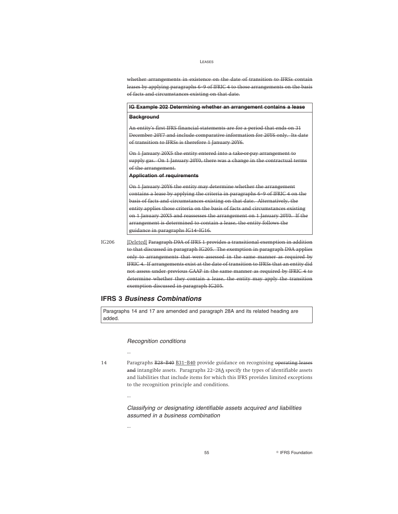#### whether arrangements in existence on the date of transition to IFRSs contain leases by applying paragraphs 6–9 of IFRIC 4 to those arrangements on the basis of facts and circumstances existing on that date.

# **IG Example 202 Determining whether an arrangement contains a lease**

#### **Background**

An entity's first IFRS financial statements are for a period that ends on 31 December 20Y7 and include comparative information for 20Y6 only. Its date of transition to IFRSs is therefore 1 January 20Y6.

On 1 January 20X5 the entity entered into a take-or-pay arrangement to supply gas. On 1 January 20Y0, there was a change in the contractual terms of the arrangement.

#### **Application of requirements**

On 1 January 20Y6 the entity may determine whether the arrangement contains a lease by applying the criteria in paragraphs 6–9 of IFRIC 4 on the basis of facts and circumstances existing on that date. Alternatively, the entity applies those criteria on the basis of facts and circumstances existing on 1 January 20X5 and reassesses the arrangement on 1 January 20Y0. If the arrangement is determined to contain a lease, the entity follows the guidance in paragraphs IG14–IG16.

IG206 [Deleted] Paragraph D9A of IFRS 1 provides a transitional exemption in addition to that discussed in paragraph IG205. The exemption in paragraph D9A applies only to arrangements that were assessed in the same manner as required by IFRIC 4. If arrangements exist at the date of transition to IFRSs that an entity did not assess under previous GAAP in the same manner as required by IFRIC 4 to determine whether they contain a lease, the entity may apply the transition exemption discussed in paragraph IG205.

## **IFRS 3 Business Combinations**

Paragraphs 14 and 17 are amended and paragraph 28A and its related heading are added.

#### Recognition conditions

…

...

...

14 Paragraphs B28–B40 B31–B40 provide guidance on recognising operating leases and intangible assets. Paragraphs 22–28A specify the types of identifiable assets and liabilities that include items for which this IFRS provides limited exceptions to the recognition principle and conditions.

> Classifying or designating identifiable assets acquired and liabilities assumed in <sup>a</sup> business combination

#### LEASES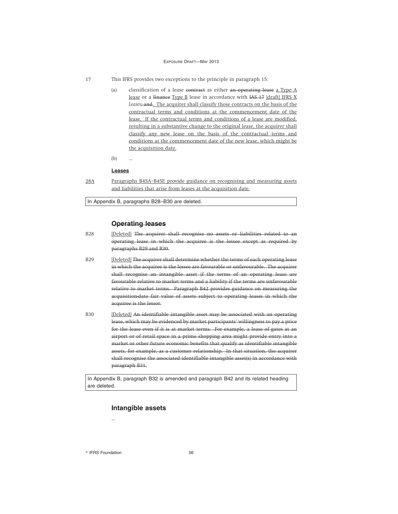- 17 This IFRS provides two exceptions to the principle in paragraph 15:
	- (a) classification of a lease contract as either an operating lease a Type A lease or a finance Type B lease in accordance with IAS 17 [draft] IFRS X *Leases*; and. The acquirer shall classify those contracts on the basis of the contractual terms and conditions at the commencement date of the lease. If the contractual terms and conditions of a lease are modified, resulting in a substantive change to the original lease, the acquirer shall classify any new lease on the basis of the contractual terms and conditions at the commencement date of the new lease, which might be the acquisition date.

(b) …

#### **Leases**

28A Paragraphs B45A–B45E provide guidance on recognising and measuring assets and liabilities that arise from leases at the acquisition date.

In Appendix B, paragraphs B28–B30 are deleted.

#### **Operating leases**

- B28 [Deleted] The acquirer shall recognise no assets or liabilities related to an operating lease in which the acquiree is the lessee except as required by paragraphs B29 and B30.
- B29 [Deleted] The acquirer shall determine whether the terms of each operating lease in which the acquiree is the lessee are favourable or unfavourable. The acquirer shall recognise an intangible asset if the terms of an operating lease are favourable relative to market terms and a liability if the terms are unfavourable relative to market terms. Paragraph B42 provides guidance on measuring the acquisition-date fair value of assets subject to operating leases in which the acquiree is the lessor.
- B30 [Deleted] An identifiable intangible asset may be associated with an operating lease, which may be evidenced by market participants' willingness to pay a price for the lease even if it is at market terms. For example, a lease of gates at an airport or of retail space in a prime shopping area might provide entry into a market or other future economic benefits that qualify as identifiable intangible assets, for example, as a customer relationship. In that situation, the acquirer shall recognise the associated identifiable intangible asset(s) in accordance with paragraph B31.

In Appendix B, paragraph B32 is amended and paragraph B42 and its related heading are deleted.

#### **Intangible assets**

<sup>©</sup> IFRS Foundation 56

…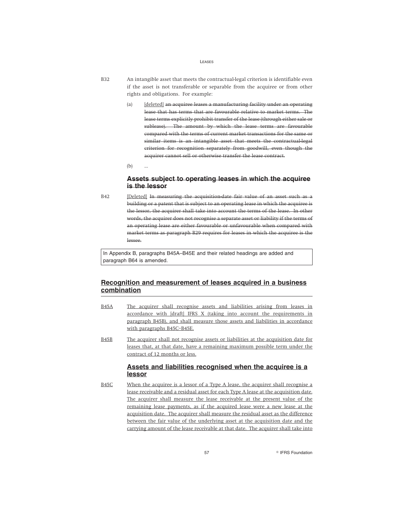- B32 An intangible asset that meets the contractual-legal criterion is identifiable even if the asset is not transferable or separable from the acquiree or from other rights and obligations. For example:
	- (a) [deleted] an acquiree leases a manufacturing facility under an operating lease that has terms that are favourable relative to market terms. The lease terms explicitly prohibit transfer of the lease (through either sale or sublease). The amount by which the lease terms are favourable compared with the terms of current market transactions for the same or similar items is an intangible asset that meets the contractual-legal criterion for recognition separately from goodwill, even though the acquirer cannot sell or otherwise transfer the lease contract.

 $(b)$ 

### **Assets subject to operating leases in which the acquiree is the lessor**

B42 [Deleted] In measuring the acquisition-date fair value of an asset such as a building or a patent that is subject to an operating lease in which the acquiree is the lessor, the acquirer shall take into account the terms of the lease. In other words, the acquirer does not recognise a separate asset or liability if the terms of an operating lease are either favourable or unfavourable when compared with market terms as paragraph B29 requires for leases in which the acquiree is the lessee.

In Appendix B, paragraphs B45A–B45E and their related headings are added and paragraph B64 is amended.

# **Recognition and measurement of leases acquired in a business combination**

- B45A The acquirer shall recognise assets and liabilities arising from leases in accordance with [draft] IFRS X (taking into account the requirements in paragraph B45B), and shall measure those assets and liabilities in accordance with paragraphs B45C–B45E.
- B45B The acquirer shall not recognise assets or liabilities at the acquisition date for leases that, at that date, have a remaining maximum possible term under the contract of 12 months or less.

# **Assets and liabilities recognised when the acquiree is a lessor**

B45C When the acquiree is a lessor of a Type A lease, the acquirer shall recognise a lease receivable and a residual asset for each Type A lease at the acquisition date. The acquirer shall measure the lease receivable at the present value of the remaining lease payments, as if the acquired lease were a new lease at the acquisition date. The acquirer shall measure the residual asset as the difference between the fair value of the underlying asset at the acquisition date and the carrying amount of the lease receivable at that date. The acquirer shall take into

57 **Contract Contract Contract Contract Contract Contract Contract Contract Contract Contract Contract Contract Contract Contract Contract Contract Contract Contract Contract Contract Contract Contract Contract Contract Co**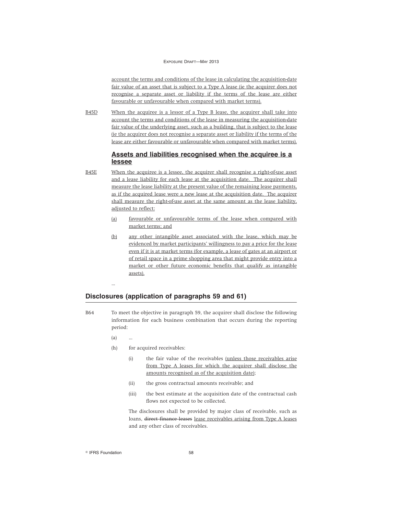account the terms and conditions of the lease in calculating the acquisition-date fair value of an asset that is subject to a Type A lease (ie the acquirer does not recognise a separate asset or liability if the terms of the lease are either favourable or unfavourable when compared with market terms).

B45D When the acquiree is a lessor of a Type B lease, the acquirer shall take into account the terms and conditions of the lease in measuring the acquisition-date fair value of the underlying asset, such as a building, that is subject to the lease (ie the acquirer does not recognise a separate asset or liability if the terms of the lease are either favourable or unfavourable when compared with market terms).

# **Assets and liabilities recognised when the acquiree is a lessee**

- B45E When the acquiree is a lessee, the acquirer shall recognise a right-of-use asset and a lease liability for each lease at the acquisition date. The acquirer shall measure the lease liability at the present value of the remaining lease payments, as if the acquired lease were a new lease at the acquisition date. The acquirer shall measure the right-of-use asset at the same amount as the lease liability, adjusted to reflect:
	- (a) favourable or unfavourable terms of the lease when compared with market terms; and
	- (b) any other intangible asset associated with the lease, which may be evidenced by market participants' willingness to pay a price for the lease even if it is at market terms (for example, a lease of gates at an airport or of retail space in a prime shopping area that might provide entry into a market or other future economic benefits that qualify as intangible assets).

# **Disclosures (application of paragraphs 59 and 61)**

B64 To meet the objective in paragraph 59, the acquirer shall disclose the following information for each business combination that occurs during the reporting period:

 $(a)$ 

...

- (h) for acquired receivables:
	- (i) the fair value of the receivables (unless those receivables arise from Type A leases for which the acquirer shall disclose the amounts recognised as of the acquisition date);
	- (ii) the gross contractual amounts receivable; and
	- (iii) the best estimate at the acquisition date of the contractual cash flows not expected to be collected.

The disclosures shall be provided by major class of receivable, such as loans, direct finance leases lease receivables arising from Type A leases and any other class of receivables.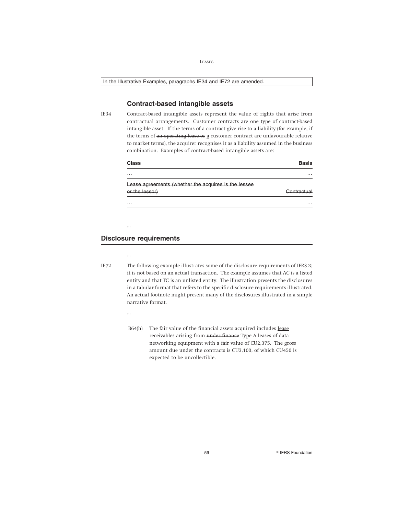```
LEASES
```
In the Illustrative Examples, paragraphs IE34 and IE72 are amended.

## **Contract-based intangible assets**

IE34 Contract-based intangible assets represent the value of rights that arise from contractual arrangements. Customer contracts are one type of contract-based intangible asset. If the terms of a contract give rise to a liability (for example, if the terms of an operating lease or a customer contract are unfavourable relative to market terms), the acquirer recognises it as a liability assumed in the business combination. Examples of contract-based intangible assets are:

| <b>Class</b>                                         | <b>Basis</b> |
|------------------------------------------------------|--------------|
| $\cdots$                                             | $\cdots$     |
| Lease agreements (whether the acquiree is the lessee |              |
| or the lessor)                                       | Contractual  |
| $\cdots$                                             | $\cdots$     |

#### **Disclosure requirements**

...

…

IE72 The following example illustrates some of the disclosure requirements of IFRS 3; it is not based on an actual transaction. The example assumes that AC is a listed entity and that TC is an unlisted entity. The illustration presents the disclosures in a tabular format that refers to the specific disclosure requirements illustrated. An actual footnote might present many of the disclosures illustrated in a simple narrative format.

...

B64(h) The fair value of the financial assets acquired includes lease receivables arising from under finance Type A leases of data networking equipment with a fair value of CU2,375. The gross amount due under the contracts is CU3,100, of which CU450 is expected to be uncollectible.

59 **B** IFRS Foundation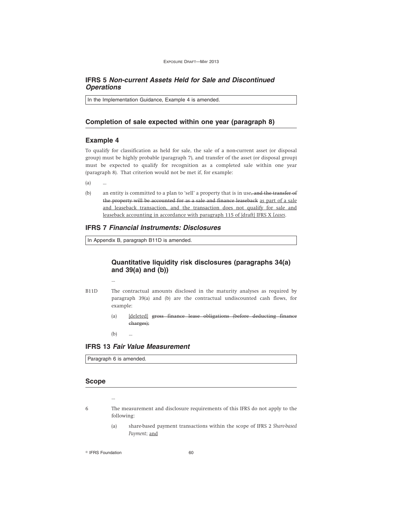# **IFRS 5 Non-current Assets Held for Sale and Discontinued Operations**

In the Implementation Guidance, Example 4 is amended.

# **Completion of sale expected within one year (paragraph 8)**

#### **Example 4**

To qualify for classification as held for sale, the sale of a non-current asset (or disposal group) must be highly probable (paragraph 7), and transfer of the asset (or disposal group) must be expected to qualify for recognition as a completed sale within one year (paragraph 8). That criterion would not be met if, for example:

 $(a)$ 

(b) an entity is committed to a plan to 'sell' a property that is in use, and the transfer of the property will be accounted for as a sale and finance leaseback as part of a sale and leaseback transaction, and the transaction does not qualify for sale and leaseback accounting in accordance with paragraph 115 of [draft] IFRS X *Leases*.

# **IFRS 7 Financial Instruments: Disclosures**

In Appendix B, paragraph B11D is amended.

# **Quantitative liquidity risk disclosures (paragraphs 34(a) and 39(a) and (b))**

...

- B11D The contractual amounts disclosed in the maturity analyses as required by paragraph 39(a) and (b) are the contractual undiscounted cash flows, for example:
	- (a) [deleted] gross finance lease obligations (before deducting finance charges);

 $(b)$ 

# **IFRS 13 Fair Value Measurement**

Paragraph 6 is amended.

…

# **Scope**

- 6 The measurement and disclosure requirements of this IFRS do not apply to the following:
	- (a) share-based payment transactions within the scope of IFRS 2 *Share-based Payment*; and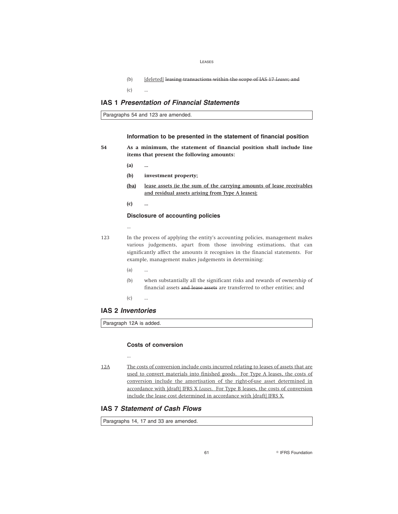```
LEASES
```
(b) [deleted] leasing transactions within the scope of IAS 17 *Leases*; and

(c) …

## **IAS 1 Presentation of Financial Statements**

Paragraphs 54 and 123 are amended.

#### **Information to be presented in the statement of financial position**

- **54 As a minimum, the statement of financial position shall include line items that present the following amounts:**
	- **(a) …**
	- **(b) investment property;**
	- **(ba) lease assets (ie the sum of the carrying amounts of lease receivables and residual assets arising from Type A leases);**

**(c) …**

#### **Disclosure of accounting policies**

- …
- 123 In the process of applying the entity's accounting policies, management makes various judgements, apart from those involving estimations, that can significantly affect the amounts it recognises in the financial statements. For example, management makes judgements in determining:
	- $(a)$
	- (b) when substantially all the significant risks and rewards of ownership of financial assets and lease assets are transferred to other entities; and
	- $(c)$

# **IAS 2 Inventories**

Paragraph 12A is added.

...

#### **Costs of conversion**

12A The costs of conversion include costs incurred relating to leases of assets that are used to convert materials into finished goods. For Type A leases, the costs of conversion include the amortisation of the right-of-use asset determined in accordance with [draft] IFRS X *Leases*. For Type B leases, the costs of conversion include the lease cost determined in accordance with [draft] IFRS X.

# **IAS 7 Statement of Cash Flows**

Paragraphs 14, 17 and 33 are amended.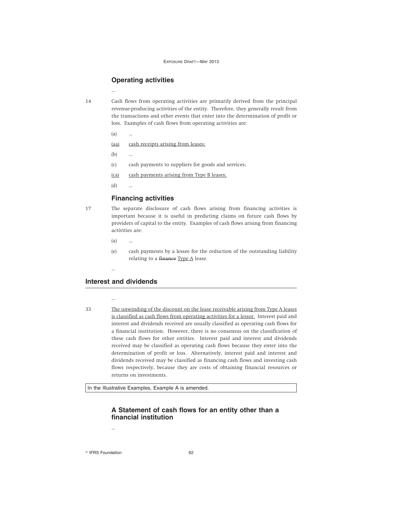# **Operating activities**

…

- 14 Cash flows from operating activities are primarily derived from the principal revenue-producing activities of the entity. Therefore, they generally result from the transactions and other events that enter into the determination of profit or loss. Examples of cash flows from operating activities are:
	- $(a)$
	- (aa) cash receipts arising from leases;
	- (b) …
	- (c) cash payments to suppliers for goods and services;
	- (ca) cash payments arising from Type B leases;
	- $(d)$  ...

# **Financing activities**

- 17 The separate disclosure of cash flows arising from financing activities is important because it is useful in predicting claims on future cash flows by providers of capital to the entity. Examples of cash flows arising from financing activities are:
	- (a) …
	- (e) cash payments by a lessee for the reduction of the outstanding liability relating to a  $f$ *inance* Type  $A$  lease.

# **Interest and dividends**

…

…

33 The unwinding of the discount on the lease receivable arising from Type A leases is classified as cash flows from operating activities for a lessor. Interest paid and interest and dividends received are usually classified as operating cash flows for a financial institution. However, there is no consensus on the classification of these cash flows for other entities. Interest paid and interest and dividends received may be classified as operating cash flows because they enter into the determination of profit or loss. Alternatively, interest paid and interest and dividends received may be classified as financing cash flows and investing cash flows respectively, because they are costs of obtaining financial resources or returns on investments.

In the Illustrative Examples, Example A is amended.

# **A Statement of cash flows for an entity other than a financial institution**

...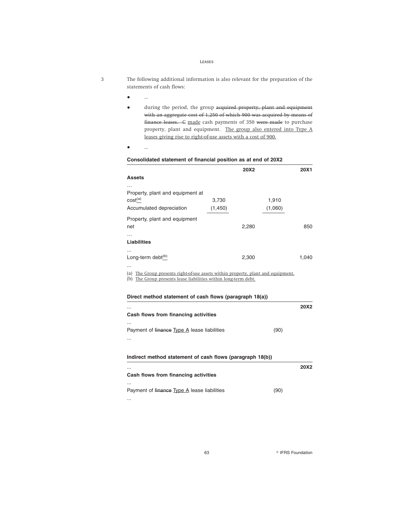- 3 The following additional information is also relevant for the preparation of the statements of cash flows:
	- ...
	- during the period, the group acquired property, plant and equipment with an aggregate cost of 1,250 of which 900 was acquired by means of finance leases. C made cash payments of 350 were made to purchase property, plant and equipment. The group also entered into Type A leases giving rise to right-of-use assets with a cost of 900.
	- ...

#### **Consolidated statement of financial position as at end of 20X2**

|                                                                                          |                  | 20X2  |                  | <b>20X1</b> |
|------------------------------------------------------------------------------------------|------------------|-------|------------------|-------------|
| <b>Assets</b>                                                                            |                  |       |                  |             |
| .<br>Property, plant and equipment at<br>cost <sup>(a)</sup><br>Accumulated depreciation | 3,730<br>(1,450) |       | 1,910<br>(1,060) |             |
| Property, plant and equipment<br>net                                                     |                  | 2,280 |                  | 850         |
| .<br>Liabilities                                                                         |                  |       |                  |             |
| $\cdots$<br>Long-term debt $(6)$<br>$\cdots$                                             |                  | 2,300 |                  | 1,040       |

(a) The Group presents right-of-use assets within property, plant and equipment.

(b) The Group presents lease liabilities within long-term debt.

#### **Direct method statement of cash flows (paragraph 18(a))**

| $\cdots$                                                  | 20X2 |
|-----------------------------------------------------------|------|
| Cash flows from financing activities                      |      |
|                                                           |      |
| Payment of finance Type A lease liabilities               | (90) |
|                                                           |      |
|                                                           |      |
| Indirect method statement of cash flows (paragraph 18(b)) |      |
|                                                           | 20X2 |
| Cash flows from financing activities                      |      |
| $\cdots$                                                  |      |
| Payment of finance Type A lease liabilities               | (90) |

...

63 **R IFRS Foundation**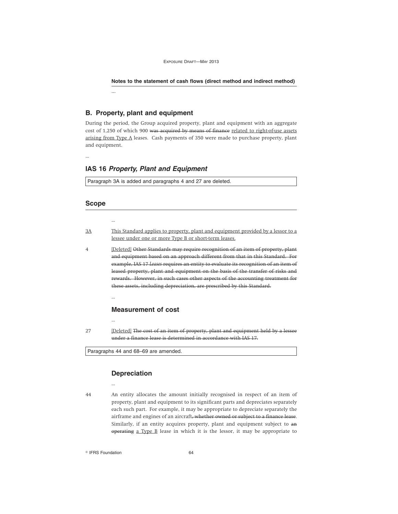**Notes to the statement of cash flows (direct method and indirect method)**

## **B. Property, plant and equipment**

...

During the period, the Group acquired property, plant and equipment with an aggregate cost of 1,250 of which 900 was acquired by means of finance related to right-of-use assets arising from Type  $\Delta$  leases. Cash payments of 350 were made to purchase property, plant and equipment.

# **IAS 16 Property, Plant and Equipment**

Paragraph 3A is added and paragraphs 4 and 27 are deleted.

#### **Scope**

…

...

…

...

...

- 3A This Standard applies to property, plant and equipment provided by a lessor to a lessee under one or more Type B or short-term leases.
- 4 [Deleted] Other Standards may require recognition of an item of property, plant and equipment based on an approach different from that in this Standard. For example, IAS 17 *Leases* requires an entity to evaluate its recognition of an item of leased property, plant and equipment on the basis of the transfer of risks and rewards. However, in such cases other aspects of the accounting treatment for these assets, including depreciation, are prescribed by this Standard.

#### **Measurement of cost**

27 [Deleted] The cost of an item of property, plant and equipment held by a lessee under a finance lease is determined in accordance with IAS 17.

Paragraphs 44 and 68–69 are amended.

#### **Depreciation**

44 An entity allocates the amount initially recognised in respect of an item of property, plant and equipment to its significant parts and depreciates separately each such part. For example, it may be appropriate to depreciate separately the airframe and engines of an aircraft<del>, whether owned or subject to a finance lease</del>. Similarly, if an entity acquires property, plant and equipment subject to an operating a Type B lease in which it is the lessor, it may be appropriate to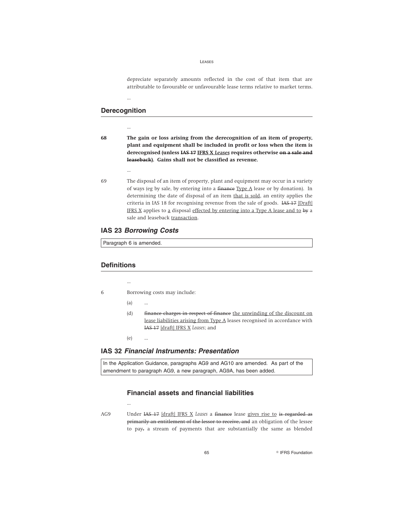depreciate separately amounts reflected in the cost of that item that are attributable to favourable or unfavourable lease terms relative to market terms.

#### **Derecognition**

...

…

| 68 | The gain or loss arising from the derecognition of an item of property,<br>plant and equipment shall be included in profit or loss when the item is<br>derecognised (unless IAS 17 IFRS X Leases requires otherwise on a sale and<br>leaseback). Gains shall not be classified as revenue.                                                                                                                                                                                     |
|----|--------------------------------------------------------------------------------------------------------------------------------------------------------------------------------------------------------------------------------------------------------------------------------------------------------------------------------------------------------------------------------------------------------------------------------------------------------------------------------|
|    |                                                                                                                                                                                                                                                                                                                                                                                                                                                                                |
| 69 | The disposal of an item of property, plant and equipment may occur in a variety<br>of ways (eg by sale, by entering into a <del>finance</del> Type A lease or by donation). In<br>determining the date of disposal of an item that is sold, an entity applies the<br>criteria in IAS 18 for recognising revenue from the sale of goods. $\frac{[A5, 17][D \text{raff}]}{[D \text{raff}]}$<br>IFRS X applies to a disposal effected by entering into a Type A lease and to by a |

## **IAS 23 Borrowing Costs**

sale and leaseback transaction.

Paragraph 6 is amended.

# **Definitions**

…

6 Borrowing costs may include:

(a) …

(d) finance charges in respect of finance the unwinding of the discount on lease liabilities arising from Type A leases recognised in accordance with IAS 17 [draft] IFRS X *Leases*; and

(e) ...

...

# **IAS 32 Financial Instruments: Presentation**

In the Application Guidance, paragraphs AG9 and AG10 are amended. As part of the amendment to paragraph AG9, a new paragraph, AG9A, has been added.

# **Financial assets and financial liabilities**

AG9 Under IAS 17 [draft] IFRS X *Leases* a finance lease gives rise to is regarded as primarily an entitlement of the lessor to receive, and an obligation of the lessee to pay, a stream of payments that are substantially the same as blended

65 **CONSIDERS** Foundation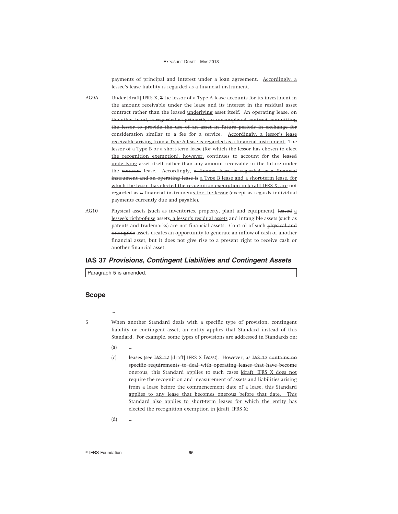payments of principal and interest under a loan agreement. Accordingly, a lessee's lease liability is regarded as a financial instrument.

AG9A Under [draft] IFRS X, Tthe lessor of a Type A lease accounts for its investment in the amount receivable under the lease and its interest in the residual asset contract rather than the leased underlying asset itself. An operating lease, on the other hand, is regarded as primarily an uncompleted contract committing the lessor to provide the use of an asset in future periods in exchange for consideration similar to a fee for a service. Accordingly, a lessor's lease receivable arising from a Type A lease is regarded as a financial instrument. The lessor of a Type B or a short-term lease (for which the lessor has chosen to elect the recognition exemption), however, continues to account for the leased underlying asset itself rather than any amount receivable in the future under the contract lease. Accordingly, a finance lease is regarded as a financial instrument and an operating lease is a Type B lease and a short-term lease, for which the lessor has elected the recognition exemption in [draft] IFRS X, are not regarded as a financial instruments for the lessor (except as regards individual payments currently due and payable).

AG10 Physical assets (such as inventories, property, plant and equipment), leased a lessee's right-of-use assets, a lessor's residual assets and intangible assets (such as patents and trademarks) are not financial assets. Control of such physical and intangible assets creates an opportunity to generate an inflow of cash or another financial asset, but it does not give rise to a present right to receive cash or another financial asset.

## **IAS 37 Provisions, Contingent Liabilities and Contingent Assets**

Paragraph 5 is amended.

…

#### **Scope**

5 When another Standard deals with a specific type of provision, contingent liability or contingent asset, an entity applies that Standard instead of this Standard. For example, some types of provisions are addressed in Standards on:

- $(a)$
- (c) leases (see IAS 17 [draft] IFRS X *Leases*). However, as IAS 17 contains no specific requirements to deal with operating leases that have become onerous, this Standard applies to such cases [draft] IFRS X does not require the recognition and measurement of assets and liabilities arising from a lease before the commencement date of a lease, this Standard applies to any lease that becomes onerous before that date. This Standard also applies to short-term leases for which the entity has elected the recognition exemption in [draft] IFRS X;

 $(d)$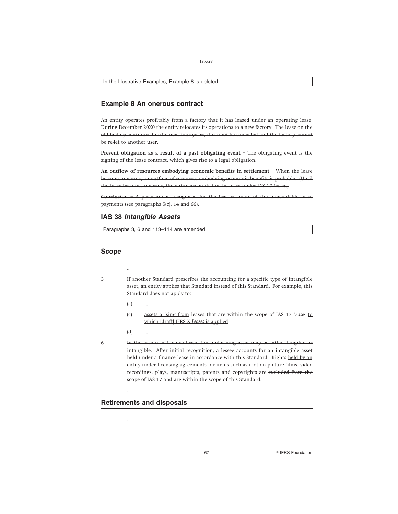```
LEASES
```
In the Illustrative Examples, Example 8 is deleted.

## **Example 8 An onerous contract**

An entity operates profitably from a factory that it has leased under an operating lease. During December 20X0 the entity relocates its operations to a new factory. The lease on the old factory continues for the next four years, it cannot be cancelled and the factory cannot be re-let to another user.

**Present obligation as a result of a past obligating event** – The obligating event is the signing of the lease contract, which gives rise to a legal obligation.

**An outflow of resources embodying economic benefits in settlement** – When the lease becomes onerous, an outflow of resources embodying economic benefits is probable. (Until the lease becomes onerous, the entity accounts for the lease under IAS 17 *Leases*.)

**Conclusion** – A provision is recognised for the best estimate of the unavoidable lease payments (see paragraphs 5(c), 14 and 66).

# **IAS 38 Intangible Assets**

Paragraphs 3, 6 and 113–114 are amended.

#### **Scope**

3 If another Standard prescribes the accounting for a specific type of intangible asset, an entity applies that Standard instead of this Standard. For example, this Standard does not apply to:

(a) …

…

(c) assets arising from leases that are within the scope of IAS 17 *Leases* to which [draft] IFRS X *Leases* is applied.

 $(d)$  ...

6 In the case of a finance lease, the underlying asset may be either tangible or intangible. After initial recognition, a lessee accounts for an intangible asset held under a finance lease in accordance with this Standard. Rights held by an entity under licensing agreements for items such as motion picture films, video recordings, plays, manuscripts, patents and copyrights are excluded from the scope of IAS 17 and are within the scope of this Standard.

# **Retirements and disposals**

…

...

67 **CONSIDERS** Foundation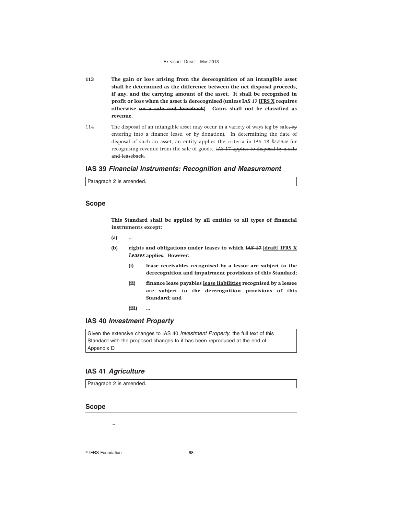- **113 The gain or loss arising from the derecognition of an intangible asset shall be determined as the difference between the net disposal proceeds, if any, and the carrying amount of the asset. It shall be recognised in profit or loss when the asset is derecognised (unless IAS 17 IFRS X requires otherwise on a sale and leaseback). Gains shall not be classified as revenue.**
- 114 The disposal of an intangible asset may occur in a variety of ways (eg by sale, by entering into a finance lease, or by donation). In determining the date of disposal of such an asset, an entity applies the criteria in IAS 18 *Revenue* for recognising revenue from the sale of goods. IAS 17 applies to disposal by a sale and leaseback.

# **IAS 39 Financial Instruments: Recognition and Measurement**

Paragraph 2 is amended.

#### **Scope**

**This Standard shall be applied by all entities to all types of financial instruments except:**

- **(a) ...**
- **(b) rights and obligations under leases to which IAS 17 [draft] IFRS X** *Leases* **applies. However:**
	- **(i) lease receivables recognised by a lessor are subject to the derecognition and impairment provisions of this Standard;**
	- **(ii) finance lease payables lease liabilities recognised by a lessee are subject to the derecognition provisions of this Standard; and**
	- **(iii) ...**

# **IAS 40 Investment Property**

Given the extensive changes to IAS 40 Investment Property, the full text of this Standard with the proposed changes to it has been reproduced at the end of Appendix D.

# **IAS 41 Agriculture**

Paragraph 2 is amended.

# **Scope**

...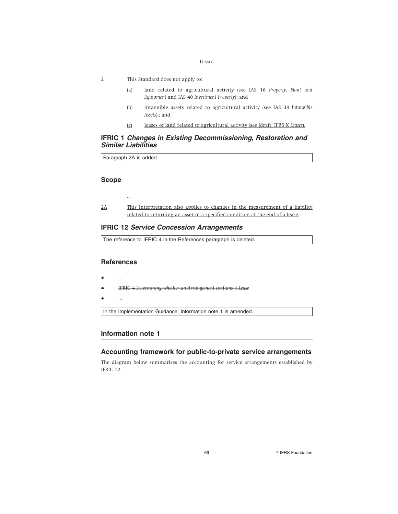- 2 This Standard does not apply to:
	- (a) land related to agricultural activity (see IAS 16 *Property, Plant and Equipment* and IAS 40 *Investment Property*); and
	- (b) intangible assets related to agricultural activity (see IAS 38 *Intangible Assets*).; and
	- (c) leases of land related to agricultural activity (see [draft] IFRS X *Leases*).

# **IFRIC 1 Changes in Existing Decommissioning, Restoration and Similar Liabilities**

Paragraph 2A is added.

…

#### **Scope**

2A This Interpretation also applies to changes in the measurement of a liability related to returning an asset in a specified condition at the end of a lease.

# **IFRIC 12 Service Concession Arrangements**

The reference to IFRIC 4 in the References paragraph is deleted.

# **References**

- ...
- IFRIC 4 *Determining whether an Arrangement contains a Lease*
- …

In the Implementation Guidance, Information note 1 is amended.

# **Information note 1**

#### **Accounting framework for public-to-private service arrangements**

The diagram below summarises the accounting for service arrangements established by IFRIC 12.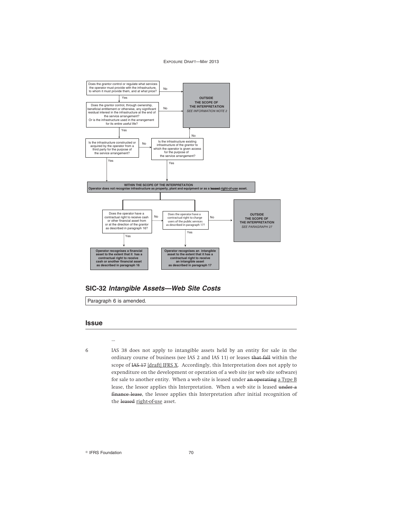

#### **SIC-32 Intangible Assets—Web Site Costs**

Paragraph 6 is amended.

…

# **Issue**

6 IAS 38 does not apply to intangible assets held by an entity for sale in the ordinary course of business (see IAS 2 and IAS 11) or leases that fall within the scope of IAS 17 [draft] IFRS X. Accordingly, this Interpretation does not apply to expenditure on the development or operation of a web site (or web site software) for sale to another entity. When a web site is leased under an operating a Type B lease, the lessor applies this Interpretation. When a web site is leased under a finance lease, the lessee applies this Interpretation after initial recognition of the leased right-of-use asset.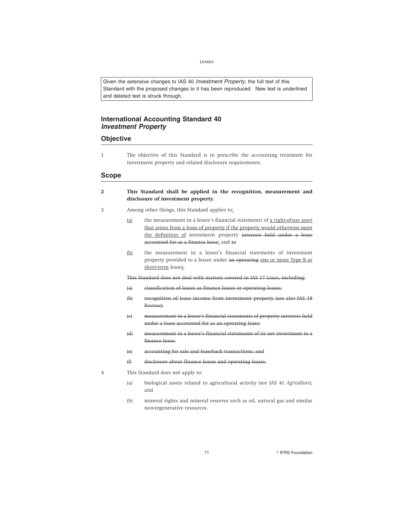Given the extensive changes to IAS 40 Investment Property, the full text of this Standard with the proposed changes to it has been reproduced. New text is underlined and deleted text is struck through.

# **International Accounting Standard 40 Investment Property**

# **Objective**

1 The objective of this Standard is to prescribe the accounting treatment for investment property and related disclosure requirements.

# **Scope**

| This Standard shall be applied in the recognition, measurement and |
|--------------------------------------------------------------------|
| disclosure of investment property.                                 |

- 3 Among other things, this Standard applies to:
	- (a) the measurement in a lessee's financial statements of a right-of-use asset that arises from a lease of property if the property would otherwise meet the definition of investment property interests held under a lease accounted for as a finance lease; and to
	- (b) the measurement in a lessor's financial statements of investment property provided to a lessee under an operating one or more Type B or short-term leases.

This Standard does not deal with matters covered in IAS 17 *Leases*, including:

- (a) classification of leases as finance leases or operating leases;
- (b) recognition of lease income from investment property (see also IAS 18 *Revenue*);
- (c) measurement in a lessee's financial statements of property interests held under a lease accounted for as an operating lease;
- (d) measurement in a lessor's financial statements of its net investment in a finance lease;
- (e) accounting for sale and leaseback transactions; and
- (f) disclosure about finance leases and operating leases.
- 4 This Standard does not apply to:
	- (a) biological assets related to agricultural activity (see IAS 41 *Agriculture*); and
	- (b) mineral rights and mineral reserves such as oil, natural gas and similar non-regenerative resources.

71 **Constanting Construction PIFRS Foundation**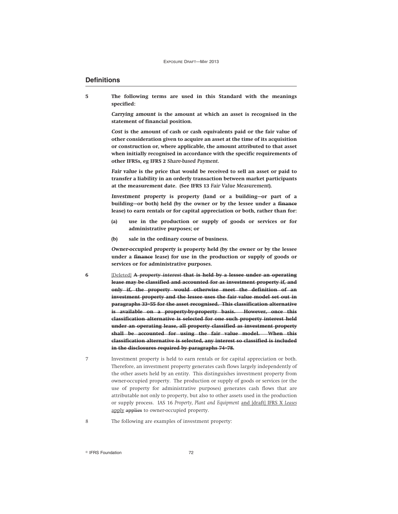## **Definitions**

**5 The following terms are used in this Standard with the meanings specified:**

> *Carrying amount* **is the amount at which an asset is recognised in the statement of financial position.**

> *Cost* **is the amount of cash or cash equivalents paid or the fair value of other consideration given to acquire an asset at the time of its acquisition or construction or, where applicable, the amount attributed to that asset when initially recognised in accordance with the specific requirements of other IFRSs, eg IFRS 2** *Share-based Payment***.**

> *Fair value* **is the price that would be received to sell an asset or paid to transfer a liability in an orderly transaction between market participants at the measurement date. (See IFRS 13** *Fair Value Measurement***).**

> *Investment property* **is property (land or a building—or part of a building—or both) held (by the owner or by the lessee under a finance lease) to earn rentals or for capital appreciation or both, rather than for:**

- **(a) use in the production or supply of goods or services or for administrative purposes; or**
- **(b) sale in the ordinary course of business.**

*Owner-occupied property* **is property held (by the owner or by the lessee under a finance lease) for use in the production or supply of goods or services or for administrative purposes.**

- **6** [Deleted] **A** *property interest* **that is held by a lessee under an operating lease may be classified and accounted for as investment property if, and only if, the property would otherwise meet the definition of an investment property and the lessee uses the fair value model set out in paragraphs 33–55 for the asset recognised. This classification alternative is available on a property-by-property basis. However, once this classification alternative is selected for one such property interest held under an operating lease, all property classified as investment property shall be accounted for using the fair value model. When this classification alternative is selected, any interest so classified is included in the disclosures required by paragraphs 74–78.**
- 7 Investment property is held to earn rentals or for capital appreciation or both. Therefore, an investment property generates cash flows largely independently of the other assets held by an entity. This distinguishes investment property from owner-occupied property. The production or supply of goods or services (or the use of property for administrative purposes) generates cash flows that are attributable not only to property, but also to other assets used in the production or supply process. IAS 16 *Property, Plant and Equipment* and [draft] IFRS X *Leases* apply applies to owner-occupied property.
- 8 The following are examples of investment property: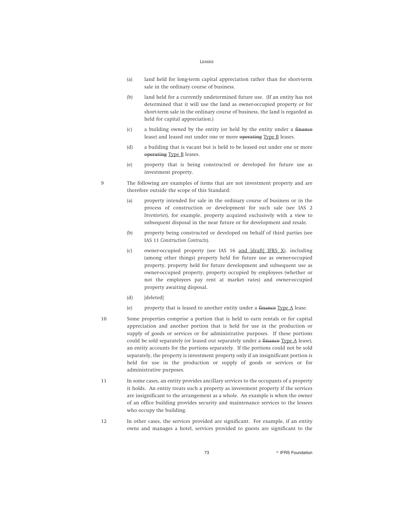- (a) land held for long-term capital appreciation rather than for short-term sale in the ordinary course of business.
- (b) land held for a currently undetermined future use. (If an entity has not determined that it will use the land as owner-occupied property or for short-term sale in the ordinary course of business, the land is regarded as held for capital appreciation.)
- (c) a building owned by the entity (or held by the entity under a finance lease) and leased out under one or more operating Type B leases.
- (d) a building that is vacant but is held to be leased out under one or more operating Type B leases.
- (e) property that is being constructed or developed for future use as investment property.
- 9 The following are examples of items that are not investment property and are therefore outside the scope of this Standard:
	- (a) property intended for sale in the ordinary course of business or in the process of construction or development for such sale (see IAS 2 *Inventories*), for example, property acquired exclusively with a view to subsequent disposal in the near future or for development and resale.
	- (b) property being constructed or developed on behalf of third parties (see IAS 11 *Construction Contracts*).
	- (c) owner-occupied property (see IAS 16 and [draft] IFRS X), including (among other things) property held for future use as owner-occupied property, property held for future development and subsequent use as owner-occupied property, property occupied by employees (whether or not the employees pay rent at market rates) and owner-occupied property awaiting disposal.
	- (d) [deleted]
	- (e) property that is leased to another entity under a  $f$  finance Type  $A$  lease.
- 10 Some properties comprise a portion that is held to earn rentals or for capital appreciation and another portion that is held for use in the production or supply of goods or services or for administrative purposes. If these portions could be sold separately (or leased out separately under a  $f$ inance Type  $A$  lease), an entity accounts for the portions separately. If the portions could not be sold separately, the property is investment property only if an insignificant portion is held for use in the production or supply of goods or services or for administrative purposes.
- 11 In some cases, an entity provides ancillary services to the occupants of a property it holds. An entity treats such a property as investment property if the services are insignificant to the arrangement as a whole. An example is when the owner of an office building provides security and maintenance services to the lessees who occupy the building.
- 12 In other cases, the services provided are significant. For example, if an entity owns and manages a hotel, services provided to guests are significant to the

73 **Research Street Exercise 15 A** IFRS Foundation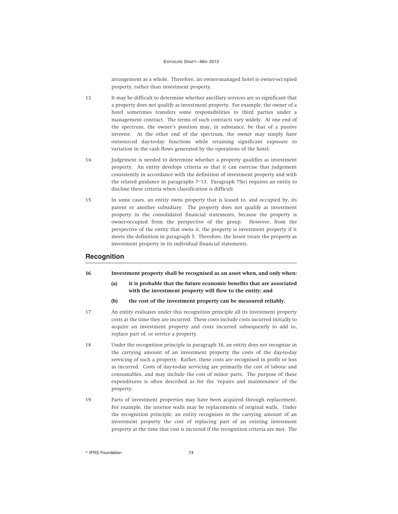arrangement as a whole. Therefore, an owner-managed hotel is owner-occupied property, rather than investment property.

- 13 It may be difficult to determine whether ancillary services are so significant that a property does not qualify as investment property. For example, the owner of a hotel sometimes transfers some responsibilities to third parties under a management contract. The terms of such contracts vary widely. At one end of the spectrum, the owner's position may, in substance, be that of a passive investor. At the other end of the spectrum, the owner may simply have outsourced day-to-day functions while retaining significant exposure to variation in the cash flows generated by the operations of the hotel.
- 14 Judgement is needed to determine whether a property qualifies as investment property. An entity develops criteria so that it can exercise that judgement consistently in accordance with the definition of investment property and with the related guidance in paragraphs 7–13. Paragraph 75(c) requires an entity to disclose these criteria when classification is difficult.
- 15 In some cases, an entity owns property that is leased to, and occupied by, its parent or another subsidiary. The property does not qualify as investment property in the consolidated financial statements, because the property is owner-occupied from the perspective of the group. However, from the perspective of the entity that owns it, the property is investment property if it meets the definition in paragraph 5. Therefore, the lessor treats the property as investment property in its individual financial statements.

## **Recognition**

### **16 Investment property shall be recognised as an asset when, and only when:**

- **(a) it is probable that the future economic benefits that are associated with the investment property will flow to the entity; and**
- **(b) the cost of the investment property can be measured reliably.**
- 17 An entity evaluates under this recognition principle all its investment property costs at the time they are incurred. These costs include costs incurred initially to acquire an investment property and costs incurred subsequently to add to, replace part of, or service a property.
- 18 Under the recognition principle in paragraph 16, an entity does not recognise in the carrying amount of an investment property the costs of the day-to-day servicing of such a property. Rather, these costs are recognised in profit or loss as incurred. Costs of day-to-day servicing are primarily the cost of labour and consumables, and may include the cost of minor parts. The purpose of these expenditures is often described as for the 'repairs and maintenance' of the property.
- 19 Parts of investment properties may have been acquired through replacement. For example, the interior walls may be replacements of original walls. Under the recognition principle, an entity recognises in the carrying amount of an investment property the cost of replacing part of an existing investment property at the time that cost is incurred if the recognition criteria are met. The

© IFRS Foundation 74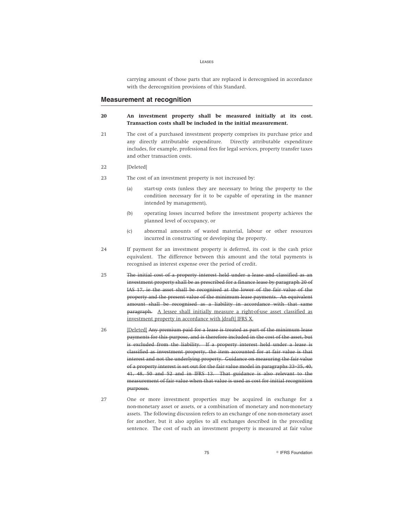carrying amount of those parts that are replaced is derecognised in accordance with the derecognition provisions of this Standard.

## **Measurement at recognition**

## **20 An investment property shall be measured initially at its cost. Transaction costs shall be included in the initial measurement.**

- 21 The cost of a purchased investment property comprises its purchase price and any directly attributable expenditure. Directly attributable expenditure includes, for example, professional fees for legal services, property transfer taxes and other transaction costs.
- 22 [Deleted]
- 23 The cost of an investment property is not increased by:
	- (a) start-up costs (unless they are necessary to bring the property to the condition necessary for it to be capable of operating in the manner intended by management),
	- (b) operating losses incurred before the investment property achieves the planned level of occupancy, or
	- (c) abnormal amounts of wasted material, labour or other resources incurred in constructing or developing the property.
- 24 If payment for an investment property is deferred, its cost is the cash price equivalent. The difference between this amount and the total payments is recognised as interest expense over the period of credit.
- 25 The initial cost of a property interest held under a lease and classified as an investment property shall be as prescribed for a finance lease by paragraph 20 of IAS 17, ie the asset shall be recognised at the lower of the fair value of the property and the present value of the minimum lease payments. An equivalent amount shall be recognised as a liability in accordance with that same paragraph. A lessee shall initially measure a right-of-use asset classified as investment property in accordance with [draft] IFRS X.
- 26 [Deleted] Any premium paid for a lease is treated as part of the minimum lease payments for this purpose, and is therefore included in the cost of the asset, but is excluded from the liability. If a property interest held under a lease is classified as investment property, the item accounted for at fair value is that interest and not the underlying property. Guidance on measuring the fair value of a property interest is set out for the fair value model in paragraphs 33–35, 40, 41, 48, 50 and 52 and in IFRS 13. That guidance is also relevant to the measurement of fair value when that value is used as cost for initial recognition purposes.
- 27 One or more investment properties may be acquired in exchange for a non-monetary asset or assets, or a combination of monetary and non-monetary assets. The following discussion refers to an exchange of one non-monetary asset for another, but it also applies to all exchanges described in the preceding sentence. The cost of such an investment property is measured at fair value

75 **Participal Executive State of PERS Foundation**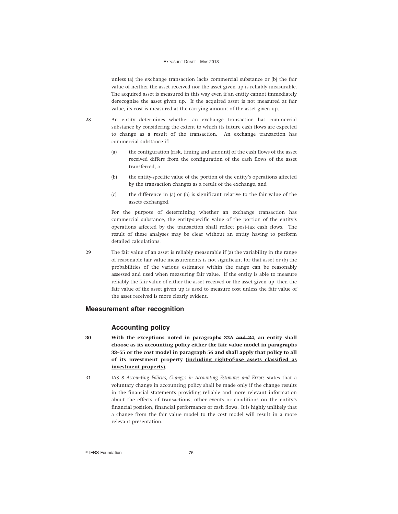unless (a) the exchange transaction lacks commercial substance or (b) the fair value of neither the asset received nor the asset given up is reliably measurable. The acquired asset is measured in this way even if an entity cannot immediately derecognise the asset given up. If the acquired asset is not measured at fair value, its cost is measured at the carrying amount of the asset given up.

- 28 An entity determines whether an exchange transaction has commercial substance by considering the extent to which its future cash flows are expected to change as a result of the transaction. An exchange transaction has commercial substance if:
	- (a) the configuration (risk, timing and amount) of the cash flows of the asset received differs from the configuration of the cash flows of the asset transferred, or
	- (b) the entity-specific value of the portion of the entity's operations affected by the transaction changes as a result of the exchange, and
	- (c) the difference in (a) or (b) is significant relative to the fair value of the assets exchanged.

For the purpose of determining whether an exchange transaction has commercial substance, the entity-specific value of the portion of the entity's operations affected by the transaction shall reflect post-tax cash flows. The result of these analyses may be clear without an entity having to perform detailed calculations.

29 The fair value of an asset is reliably measurable if (a) the variability in the range of reasonable fair value measurements is not significant for that asset or (b) the probabilities of the various estimates within the range can be reasonably assessed and used when measuring fair value. If the entity is able to measure reliably the fair value of either the asset received or the asset given up, then the fair value of the asset given up is used to measure cost unless the fair value of the asset received is more clearly evident.

### **Measurement after recognition**

### **Accounting policy**

- **30 With the exceptions noted in paragraphs 32A and 34, an entity shall choose as its accounting policy either the fair value model in paragraphs 33–55 or the cost model in paragraph 56 and shall apply that policy to all of its investment property (including right-of-use assets classified as investment property).**
- 31 IAS 8 *Accounting Policies, Changes in Accounting Estimates and Errors* states that a voluntary change in accounting policy shall be made only if the change results in the financial statements providing reliable and more relevant information about the effects of transactions, other events or conditions on the entity's financial position, financial performance or cash flows. It is highly unlikely that a change from the fair value model to the cost model will result in a more relevant presentation.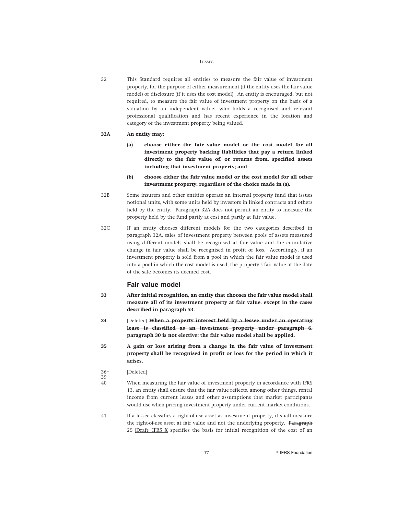32 This Standard requires all entities to measure the fair value of investment property, for the purpose of either measurement (if the entity uses the fair value model) or disclosure (if it uses the cost model). An entity is encouraged, but not required, to measure the fair value of investment property on the basis of a valuation by an independent valuer who holds a recognised and relevant professional qualification and has recent experience in the location and category of the investment property being valued.

### **32A An entity may:**

- **(a) choose either the fair value model or the cost model for all investment property backing liabilities that pay a return linked directly to the fair value of, or returns from, specified assets including that investment property; and**
- **(b) choose either the fair value model or the cost model for all other investment property, regardless of the choice made in (a).**
- 32B Some insurers and other entities operate an internal property fund that issues notional units, with some units held by investors in linked contracts and others held by the entity. Paragraph 32A does not permit an entity to measure the property held by the fund partly at cost and partly at fair value.
- 32C If an entity chooses different models for the two categories described in paragraph 32A, sales of investment property between pools of assets measured using different models shall be recognised at fair value and the cumulative change in fair value shall be recognised in profit or loss. Accordingly, if an investment property is sold from a pool in which the fair value model is used into a pool in which the cost model is used, the property's fair value at the date of the sale becomes its deemed cost.

## **Fair value model**

- **33 After initial recognition, an entity that chooses the fair value model shall measure all of its investment property at fair value, except in the cases described in paragraph 53.**
- **34** [Deleted] **When a property interest held by a lessee under an operating lease is classified as an investment property under paragraph 6, paragraph 30 is not elective; the fair value model shall be applied.**
- **35 A gain or loss arising from a change in the fair value of investment property shall be recognised in profit or loss for the period in which it arises.**
- 36– [Deleted]
- 39<br>40 When measuring the fair value of investment property in accordance with IFRS 13, an entity shall ensure that the fair value reflects, among other things, rental income from current leases and other assumptions that market participants would use when pricing investment property under current market conditions.
- 41 If a lessee classifies a right-of-use asset as investment property, it shall measure the right-of-use asset at fair value and not the underlying property. Paragraph 25 [Draft] IFRS X specifies the basis for initial recognition of the cost of an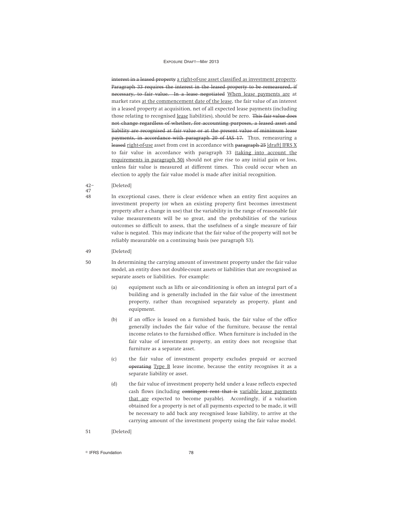interest in a leased property a right-of-use asset classified as investment property. Paragraph 33 requires the interest in the leased property to be remeasured, if necessary, to fair value. In a lease negotiated When lease payments are at market rates at the commencement date of the lease, the fair value of an interest in a leased property at acquisition, net of all expected lease payments (including those relating to recognised lease liabilities), should be zero. This fair value does not change regardless of whether, for accounting purposes, a leased asset and liability are recognised at fair value or at the present value of minimum lease payments, in accordance with paragraph 20 of IAS 17. Thus, remeasuring a leased right-of-use asset from cost in accordance with paragraph 25 [draft] IFRS X to fair value in accordance with paragraph 33 (taking into account the requirements in paragraph 50) should not give rise to any initial gain or loss, unless fair value is measured at different times. This could occur when an election to apply the fair value model is made after initial recognition.

#### 42– 47 [Deleted]

48 In exceptional cases, there is clear evidence when an entity first acquires an investment property (or when an existing property first becomes investment property after a change in use) that the variability in the range of reasonable fair value measurements will be so great, and the probabilities of the various outcomes so difficult to assess, that the usefulness of a single measure of fair value is negated. This may indicate that the fair value of the property will not be reliably measurable on a continuing basis (see paragraph 53).

### 49 [Deleted]

50 In determining the carrying amount of investment property under the fair value model, an entity does not double-count assets or liabilities that are recognised as separate assets or liabilities. For example:

- (a) equipment such as lifts or air-conditioning is often an integral part of a building and is generally included in the fair value of the investment property, rather than recognised separately as property, plant and equipment.
- (b) if an office is leased on a furnished basis, the fair value of the office generally includes the fair value of the furniture, because the rental income relates to the furnished office. When furniture is included in the fair value of investment property, an entity does not recognise that furniture as a separate asset.
- (c) the fair value of investment property excludes prepaid or accrued operating Type B lease income, because the entity recognises it as a separate liability or asset.
- (d) the fair value of investment property held under a lease reflects expected cash flows (including contingent rent that is variable lease payments that are expected to become payable). Accordingly, if a valuation obtained for a property is net of all payments expected to be made, it will be necessary to add back any recognised lease liability, to arrive at the carrying amount of the investment property using the fair value model.
- 51 [Deleted]

<sup>©</sup> IFRS Foundation 78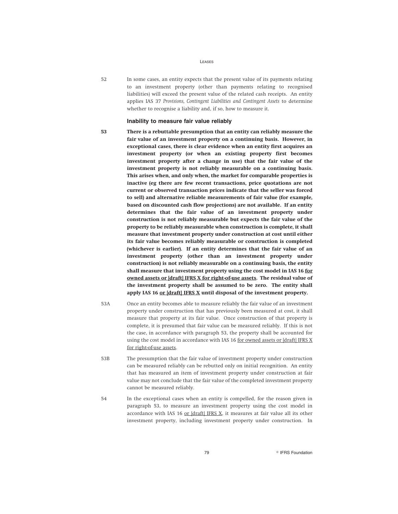52 In some cases, an entity expects that the present value of its payments relating to an investment property (other than payments relating to recognised liabilities) will exceed the present value of the related cash receipts. An entity applies IAS 37 *Provisions, Contingent Liabilities and Contingent Assets* to determine whether to recognise a liability and, if so, how to measure it.

### **Inability to measure fair value reliably**

- **53 There is a rebuttable presumption that an entity can reliably measure the fair value of an investment property on a continuing basis. However, in exceptional cases, there is clear evidence when an entity first acquires an investment property (or when an existing property first becomes investment property after a change in use) that the fair value of the investment property is not reliably measurable on a continuing basis. This arises when, and only when, the market for comparable properties is inactive (eg there are few recent transactions, price quotations are not current or observed transaction prices indicate that the seller was forced to sell) and alternative reliable measurements of fair value (for example, based on discounted cash flow projections) are not available. If an entity determines that the fair value of an investment property under construction is not reliably measurable but expects the fair value of the property to be reliably measurable when construction is complete, it shall measure that investment property under construction at cost until either its fair value becomes reliably measurable or construction is completed (whichever is earlier). If an entity determines that the fair value of an investment property (other than an investment property under construction) is not reliably measurable on a continuing basis, the entity shall measure that investment property using the cost model in IAS 16 for owned assets or [draft] IFRS X for right-of-use assets. The residual value of the investment property shall be assumed to be zero. The entity shall apply IAS 16 or [draft] IFRS X until disposal of the investment property.**
- 53A Once an entity becomes able to measure reliably the fair value of an investment property under construction that has previously been measured at cost, it shall measure that property at its fair value. Once construction of that property is complete, it is presumed that fair value can be measured reliably. If this is not the case, in accordance with paragraph 53, the property shall be accounted for using the cost model in accordance with IAS 16 for owned assets or [draft] IFRS X for right-of-use assets.
- 53B The presumption that the fair value of investment property under construction can be measured reliably can be rebutted only on initial recognition. An entity that has measured an item of investment property under construction at fair value may not conclude that the fair value of the completed investment property cannot be measured reliably.
- 54 In the exceptional cases when an entity is compelled, for the reason given in paragraph 53, to measure an investment property using the cost model in accordance with IAS 16 or [draft] IFRS X, it measures at fair value all its other investment property, including investment property under construction. In

79 **PERS Foundation**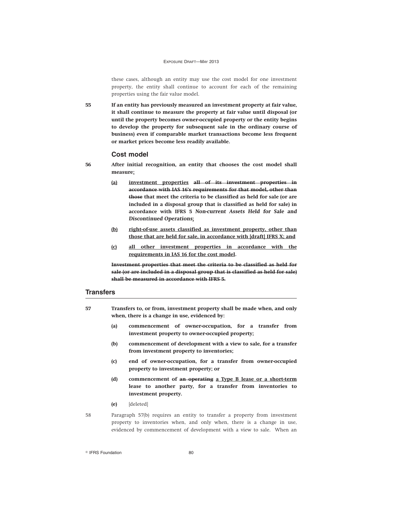these cases, although an entity may use the cost model for one investment property, the entity shall continue to account for each of the remaining properties using the fair value model.

**55 If an entity has previously measured an investment property at fair value, it shall continue to measure the property at fair value until disposal (or until the property becomes owner-occupied property or the entity begins to develop the property for subsequent sale in the ordinary course of business) even if comparable market transactions become less frequent or market prices become less readily available.**

## **Cost model**

- **56 After initial recognition, an entity that chooses the cost model shall measure:**
	- **(a) investment properties all of its investment properties in accordance with IAS 16's requirements for that model, other than those that meet the criteria to be classified as held for sale (or are included in a disposal group that is classified as held for sale) in accordance with IFRS 5** *Non-current Assets Held for Sale and Discontinued Operations***;**
	- **(b) right-of-use assets classified as investment property, other than those that are held for sale, in accordance with [draft] IFRS X; and**
	- **(c) all other investment properties in accordance with the requirements in IAS 16 for the cost model.**

**Investment properties that meet the criteria to be classified as held for sale (or are included in a disposal group that is classified as held for sale) shall be measured in accordance with IFRS 5.**

## **Transfers**

- **57 Transfers to, or from, investment property shall be made when, and only when, there is a change in use, evidenced by:**
	- **(a) commencement of owner-occupation, for a transfer from investment property to owner-occupied property;**
	- **(b) commencement of development with a view to sale, for a transfer from investment property to inventories;**
	- **(c) end of owner-occupation, for a transfer from owner-occupied property to investment property; or**
	- **(d) commencement of an operating a Type B lease or a short-term lease to another party, for a transfer from inventories to investment property.**
	- **(e)** [deleted]
- 58 Paragraph 57(b) requires an entity to transfer a property from investment property to inventories when, and only when, there is a change in use, evidenced by commencement of development with a view to sale. When an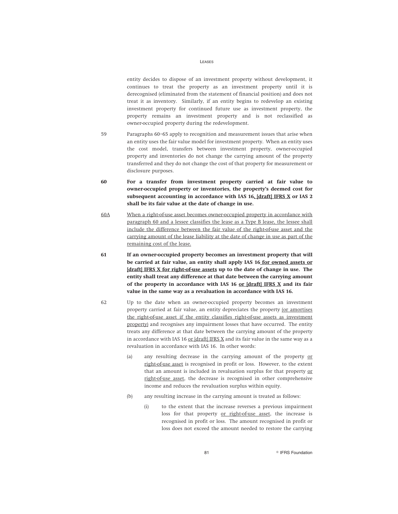entity decides to dispose of an investment property without development, it continues to treat the property as an investment property until it is derecognised (eliminated from the statement of financial position) and does not treat it as inventory. Similarly, if an entity begins to redevelop an existing investment property for continued future use as investment property, the property remains an investment property and is not reclassified as owner-occupied property during the redevelopment.

- 59 Paragraphs 60–65 apply to recognition and measurement issues that arise when an entity uses the fair value model for investment property. When an entity uses the cost model, transfers between investment property, owner-occupied property and inventories do not change the carrying amount of the property transferred and they do not change the cost of that property for measurement or disclosure purposes.
- **60 For a transfer from investment property carried at fair value to owner-occupied property or inventories, the property's deemed cost for subsequent accounting in accordance with IAS 16, [draft] IFRS X or IAS 2 shall be its fair value at the date of change in use.**
- 60A When a right-of-use asset becomes owner-occupied property in accordance with paragraph 60 and a lessee classifies the lease as a Type B lease, the lessee shall include the difference between the fair value of the right-of-use asset and the carrying amount of the lease liability at the date of change in use as part of the remaining cost of the lease.
- **61 If an owner-occupied property becomes an investment property that will be carried at fair value, an entity shall apply IAS 16 for owned assets or [draft] IFRS X for right-of-use assets up to the date of change in use. The entity shall treat any difference at that date between the carrying amount of the property in accordance with IAS 16 or [draft] IFRS X and its fair value in the same way as a revaluation in accordance with IAS 16.**
- 62 Up to the date when an owner-occupied property becomes an investment property carried at fair value, an entity depreciates the property (or amortises the right-of-use asset if the entity classifies right-of-use assets as investment property) and recognises any impairment losses that have occurred. The entity treats any difference at that date between the carrying amount of the property in accordance with IAS 16 or  $[draff]$  IFRS  $X$  and its fair value in the same way as a revaluation in accordance with IAS 16. In other words:
	- (a) any resulting decrease in the carrying amount of the property or right-of-use asset is recognised in profit or loss. However, to the extent that an amount is included in revaluation surplus for that property or right-of-use asset, the decrease is recognised in other comprehensive income and reduces the revaluation surplus within equity.
	- (b) any resulting increase in the carrying amount is treated as follows:
		- (i) to the extent that the increase reverses a previous impairment loss for that property or right-of-use asset, the increase is recognised in profit or loss. The amount recognised in profit or loss does not exceed the amount needed to restore the carrying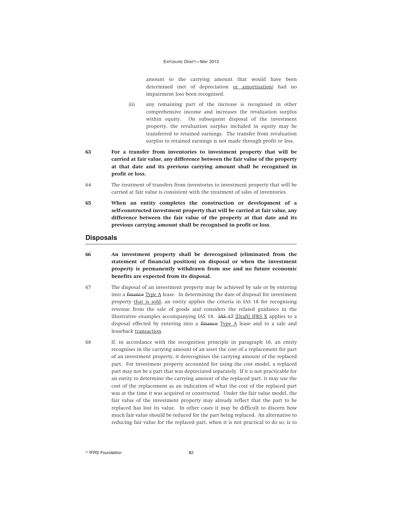amount to the carrying amount that would have been determined (net of depreciation or amortisation) had no impairment loss been recognised.

- (ii) any remaining part of the increase is recognised in other comprehensive income and increases the revaluation surplus within equity. On subsequent disposal of the investment property, the revaluation surplus included in equity may be transferred to retained earnings. The transfer from revaluation surplus to retained earnings is not made through profit or loss.
- **63 For a transfer from inventories to investment property that will be carried at fair value, any difference between the fair value of the property at that date and its previous carrying amount shall be recognised in profit or loss.**
- 64 The treatment of transfers from inventories to investment property that will be carried at fair value is consistent with the treatment of sales of inventories.
- **65 When an entity completes the construction or development of a self-constructed investment property that will be carried at fair value, any difference between the fair value of the property at that date and its previous carrying amount shall be recognised in profit or loss.**

### **Disposals**

- **66 An investment property shall be derecognised (eliminated from the statement of financial position) on disposal or when the investment property is permanently withdrawn from use and no future economic benefits are expected from its disposal.**
- 67 The disposal of an investment property may be achieved by sale or by entering into a  $f$ *inance* Type  $\Lambda$  lease. In determining the date of disposal for investment property that is sold, an entity applies the criteria in IAS 18 for recognising revenue from the sale of goods and considers the related guidance in the illustrative examples accompanying IAS 18. IAS 17 [Draft] IFRS X applies to a disposal effected by entering into a  $f$ *inance* Type  $A$  lease and to a sale and leaseback transaction.
- 68 If, in accordance with the recognition principle in paragraph 16, an entity recognises in the carrying amount of an asset the cost of a replacement for part of an investment property, it derecognises the carrying amount of the replaced part. For investment property accounted for using the cost model, a replaced part may not be a part that was depreciated separately. If it is not practicable for an entity to determine the carrying amount of the replaced part, it may use the cost of the replacement as an indication of what the cost of the replaced part was at the time it was acquired or constructed. Under the fair value model, the fair value of the investment property may already reflect that the part to be replaced has lost its value. In other cases it may be difficult to discern how much fair value should be reduced for the part being replaced. An alternative to reducing fair value for the replaced part, when it is not practical to do so, is to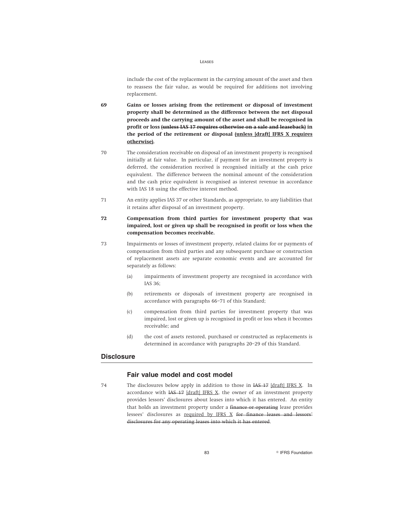include the cost of the replacement in the carrying amount of the asset and then to reassess the fair value, as would be required for additions not involving replacement.

- **69 Gains or losses arising from the retirement or disposal of investment property shall be determined as the difference between the net disposal proceeds and the carrying amount of the asset and shall be recognised in profit or loss (unless IAS 17 requires otherwise on a sale and leaseback) in the period of the retirement or disposal (unless [draft] IFRS X requires otherwise).**
- 70 The consideration receivable on disposal of an investment property is recognised initially at fair value. In particular, if payment for an investment property is deferred, the consideration received is recognised initially at the cash price equivalent. The difference between the nominal amount of the consideration and the cash price equivalent is recognised as interest revenue in accordance with IAS 18 using the effective interest method.
- 71 An entity applies IAS 37 or other Standards, as appropriate, to any liabilities that it retains after disposal of an investment property.
- **72 Compensation from third parties for investment property that was impaired, lost or given up shall be recognised in profit or loss when the compensation becomes receivable.**
- 73 Impairments or losses of investment property, related claims for or payments of compensation from third parties and any subsequent purchase or construction of replacement assets are separate economic events and are accounted for separately as follows:
	- (a) impairments of investment property are recognised in accordance with IAS 36;
	- (b) retirements or disposals of investment property are recognised in accordance with paragraphs 66–71 of this Standard;
	- (c) compensation from third parties for investment property that was impaired, lost or given up is recognised in profit or loss when it becomes receivable; and
	- (d) the cost of assets restored, purchased or constructed as replacements is determined in accordance with paragraphs 20–29 of this Standard.

## **Disclosure**

## **Fair value model and cost model**

74 The disclosures below apply in addition to those in IAS 17 [draft] IFRS X. In accordance with  $[AS_1 17]$  [draft] IFRS X, the owner of an investment property provides lessors' disclosures about leases into which it has entered. An entity that holds an investment property under a finance or operating lease provides lessees' disclosures as required by IFRS X for finance leases and lessors' disclosures for any operating leases into which it has entered.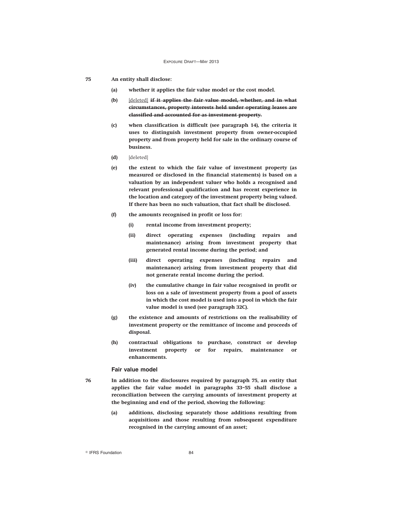- **75 An entity shall disclose:**
	- **(a) whether it applies the fair value model or the cost model.**
	- **(b)** [deleted] **if it applies the fair value model, whether, and in what circumstances, property interests held under operating leases are classified and accounted for as investment property.**
	- **(c) when classification is difficult (see paragraph 14), the criteria it uses to distinguish investment property from owner-occupied property and from property held for sale in the ordinary course of business.**
	- **(d)** [deleted]
	- **(e) the extent to which the fair value of investment property (as measured or disclosed in the financial statements) is based on a valuation by an independent valuer who holds a recognised and relevant professional qualification and has recent experience in the location and category of the investment property being valued. If there has been no such valuation, that fact shall be disclosed.**
	- **(f) the amounts recognised in profit or loss for:**
		- **(i) rental income from investment property;**
		- **(ii) direct operating expenses (including repairs and maintenance) arising from investment property that generated rental income during the period; and**
		- **(iii) direct operating expenses (including repairs and maintenance) arising from investment property that did not generate rental income during the period.**
		- **(iv) the cumulative change in fair value recognised in profit or loss on a sale of investment property from a pool of assets in which the cost model is used into a pool in which the fair value model is used (see paragraph 32C).**
	- **(g) the existence and amounts of restrictions on the realisability of investment property or the remittance of income and proceeds of disposal.**
	- **(h) contractual obligations to purchase, construct or develop investment property or for repairs, maintenance or enhancements.**

### **Fair value model**

- **76 In addition to the disclosures required by paragraph 75, an entity that applies the fair value model in paragraphs 33–55 shall disclose a reconciliation between the carrying amounts of investment property at the beginning and end of the period, showing the following:**
	- **(a) additions, disclosing separately those additions resulting from acquisitions and those resulting from subsequent expenditure recognised in the carrying amount of an asset;**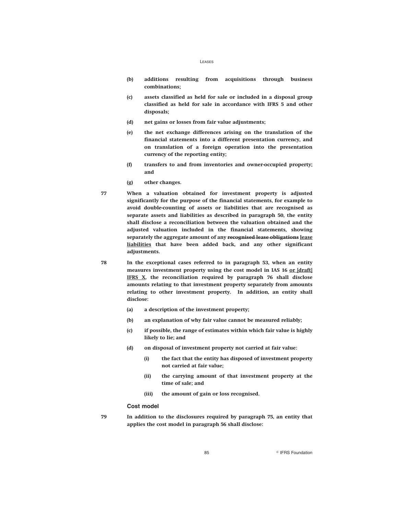- **(b) additions resulting from acquisitions through business combinations;**
- **(c) assets classified as held for sale or included in a disposal group classified as held for sale in accordance with IFRS 5 and other disposals;**
- **(d) net gains or losses from fair value adjustments;**
- **(e) the net exchange differences arising on the translation of the financial statements into a different presentation currency, and on translation of a foreign operation into the presentation currency of the reporting entity;**
- **(f) transfers to and from inventories and owner-occupied property; and**
- **(g) other changes.**
- **77 When a valuation obtained for investment property is adjusted significantly for the purpose of the financial statements, for example to avoid double-counting of assets or liabilities that are recognised as separate assets and liabilities as described in paragraph 50, the entity shall disclose a reconciliation between the valuation obtained and the adjusted valuation included in the financial statements, showing separately the aggregate amount of any recognised lease obligations lease liabilities that have been added back, and any other significant adjustments.**
- **78 In the exceptional cases referred to in paragraph 53, when an entity measures investment property using the cost model in IAS 16 or [draft] IFRS X, the reconciliation required by paragraph 76 shall disclose amounts relating to that investment property separately from amounts relating to other investment property. In addition, an entity shall disclose:**
	- **(a) a description of the investment property;**
	- **(b) an explanation of why fair value cannot be measured reliably;**
	- **(c) if possible, the range of estimates within which fair value is highly likely to lie; and**
	- **(d) on disposal of investment property not carried at fair value:**
		- **(i) the fact that the entity has disposed of investment property not carried at fair value;**
		- **(ii) the carrying amount of that investment property at the time of sale; and**
		- **(iii) the amount of gain or loss recognised.**

### **Cost model**

**79 In addition to the disclosures required by paragraph 75, an entity that applies the cost model in paragraph 56 shall disclose:**

85 **B** IFRS Foundation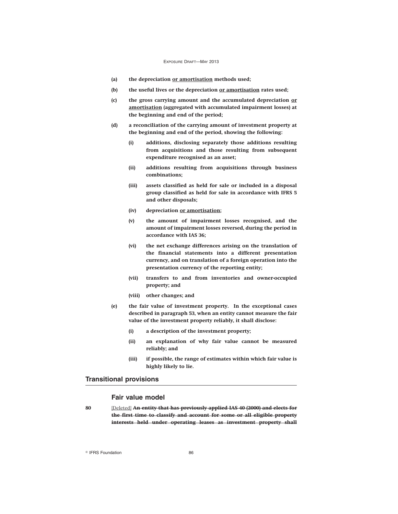- **(a) the depreciation or amortisation methods used;**
- **(b) the useful lives or the depreciation or amortisation rates used;**
- **(c) the gross carrying amount and the accumulated depreciation or amortisation (aggregated with accumulated impairment losses) at the beginning and end of the period;**
- **(d) a reconciliation of the carrying amount of investment property at the beginning and end of the period, showing the following:**
	- **(i) additions, disclosing separately those additions resulting from acquisitions and those resulting from subsequent expenditure recognised as an asset;**
	- **(ii) additions resulting from acquisitions through business combinations;**
	- **(iii) assets classified as held for sale or included in a disposal group classified as held for sale in accordance with IFRS 5 and other disposals;**
	- **(iv) depreciation or amortisation;**
	- **(v) the amount of impairment losses recognised, and the amount of impairment losses reversed, during the period in accordance with IAS 36;**
	- **(vi) the net exchange differences arising on the translation of the financial statements into a different presentation currency, and on translation of a foreign operation into the presentation currency of the reporting entity;**
	- **(vii) transfers to and from inventories and owner-occupied property; and**
	- **(viii) other changes; and**
- **(e) the fair value of investment property. In the exceptional cases described in paragraph 53, when an entity cannot measure the fair value of the investment property reliably, it shall disclose:**
	- **(i) a description of the investment property;**
	- **(ii) an explanation of why fair value cannot be measured reliably; and**
	- **(iii) if possible, the range of estimates within which fair value is highly likely to lie.**

## **Transitional provisions**

#### **Fair value model**

**80** [Deleted] **An entity that has previously applied IAS 40 (2000) and elects for the first time to classify and account for some or all eligible property interests held under operating leases as investment property shall**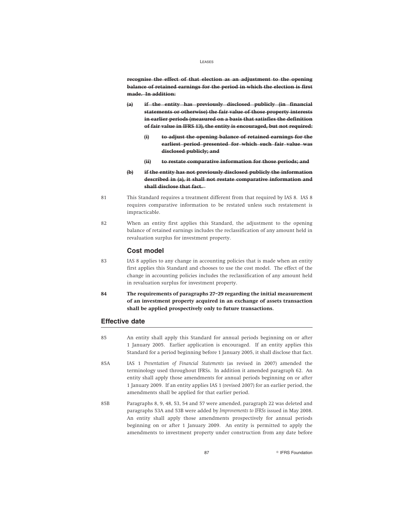**recognise the effect of that election as an adjustment to the opening balance of retained earnings for the period in which the election is first made. In addition:**

- **(a) if the entity has previously disclosed publicly (in financial statements or otherwise) the fair value of those property interests in earlier periods (measured on a basis that satisfies the definition of fair value in IFRS 13), the entity is encouraged, but not required:**
	- **(i) to adjust the opening balance of retained earnings for the earliest period presented for which such fair value was disclosed publicly; and**
	- **(ii) to restate comparative information for those periods; and**
- **(b) if the entity has not previously disclosed publicly the information described in (a), it shall not restate comparative information and shall disclose that fact.**
- 81 This Standard requires a treatment different from that required by IAS 8. IAS 8 requires comparative information to be restated unless such restatement is impracticable.
- 82 When an entity first applies this Standard, the adjustment to the opening balance of retained earnings includes the reclassification of any amount held in revaluation surplus for investment property.

## **Cost model**

- 83 IAS 8 applies to any change in accounting policies that is made when an entity first applies this Standard and chooses to use the cost model. The effect of the change in accounting policies includes the reclassification of any amount held in revaluation surplus for investment property.
- **84 The requirements of paragraphs 27–29 regarding the initial measurement of an investment property acquired in an exchange of assets transaction shall be applied prospectively only to future transactions.**

## **Effective date**

- 85 An entity shall apply this Standard for annual periods beginning on or after 1 January 2005. Earlier application is encouraged. If an entity applies this Standard for a period beginning before 1 January 2005, it shall disclose that fact.
- 85A IAS 1 *Presentation of Financial Statements* (as revised in 2007) amended the terminology used throughout IFRSs. In addition it amended paragraph 62. An entity shall apply those amendments for annual periods beginning on or after 1 January 2009. If an entity applies IAS 1 (revised 2007) for an earlier period, the amendments shall be applied for that earlier period.
- 85B Paragraphs 8, 9, 48, 53, 54 and 57 were amended, paragraph 22 was deleted and paragraphs 53A and 53B were added by *Improvements to IFRSs* issued in May 2008. An entity shall apply those amendments prospectively for annual periods beginning on or after 1 January 2009. An entity is permitted to apply the amendments to investment property under construction from any date before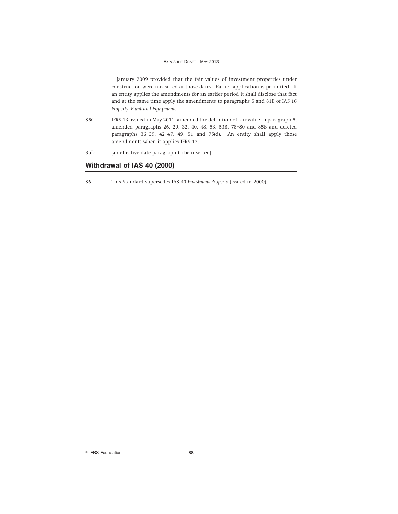1 January 2009 provided that the fair values of investment properties under construction were measured at those dates. Earlier application is permitted. If an entity applies the amendments for an earlier period it shall disclose that fact and at the same time apply the amendments to paragraphs 5 and 81E of IAS 16 *Property, Plant and Equipment*.

- 85C IFRS 13, issued in May 2011, amended the definition of fair value in paragraph 5, amended paragraphs 26, 29, 32, 40, 48, 53, 53B, 78–80 and 85B and deleted paragraphs 36–39, 42–47, 49, 51 and 75(d). An entity shall apply those amendments when it applies IFRS 13.
- 85D [an effective date paragraph to be inserted]

## **Withdrawal of IAS 40 (2000)**

86 This Standard supersedes IAS 40 *Investment Property* (issued in 2000).